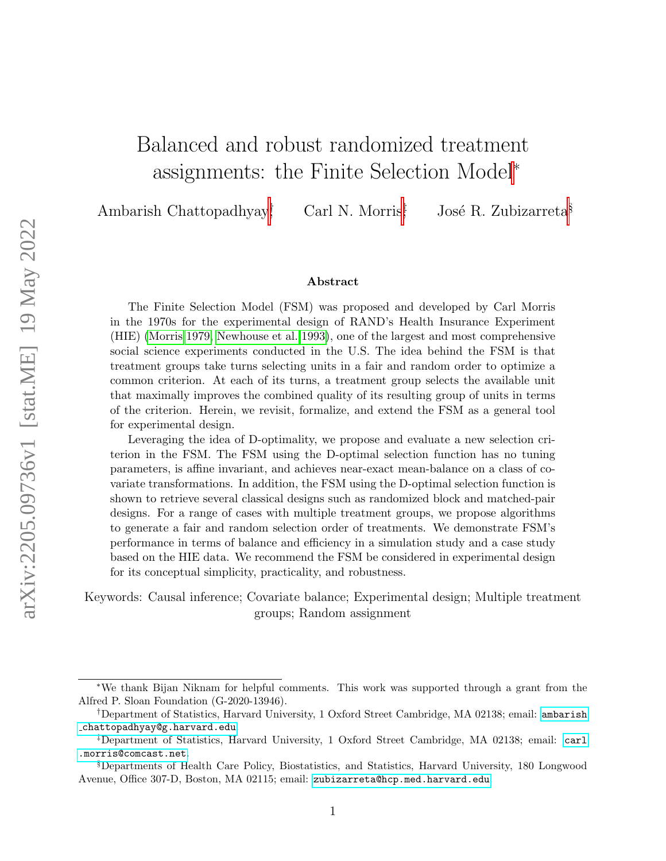# Balanced and robust randomized treatment assignments: the Finite Selection Model<sup>∗</sup>

Ambarish Chattopadhyay† Carl N. Morris<sup>‡</sup> José R. Zubizarreta<sup>§</sup>

#### Abstract

The Finite Selection Model (FSM) was proposed and developed by Carl Morris in the 1970s for the experimental design of RAND's Health Insurance Experiment (HIE) [\(Morris 1979,](#page-37-0) [Newhouse et al. 1993\)](#page-37-1), one of the largest and most comprehensive social science experiments conducted in the U.S. The idea behind the FSM is that treatment groups take turns selecting units in a fair and random order to optimize a common criterion. At each of its turns, a treatment group selects the available unit that maximally improves the combined quality of its resulting group of units in terms of the criterion. Herein, we revisit, formalize, and extend the FSM as a general tool for experimental design.

Leveraging the idea of D-optimality, we propose and evaluate a new selection criterion in the FSM. The FSM using the D-optimal selection function has no tuning parameters, is affine invariant, and achieves near-exact mean-balance on a class of covariate transformations. In addition, the FSM using the D-optimal selection function is shown to retrieve several classical designs such as randomized block and matched-pair designs. For a range of cases with multiple treatment groups, we propose algorithms to generate a fair and random selection order of treatments. We demonstrate FSM's performance in terms of balance and efficiency in a simulation study and a case study based on the HIE data. We recommend the FSM be considered in experimental design for its conceptual simplicity, practicality, and robustness.

Keywords: Causal inference; Covariate balance; Experimental design; Multiple treatment groups; Random assignment

<sup>∗</sup>We thank Bijan Niknam for helpful comments. This work was supported through a grant from the Alfred P. Sloan Foundation (G-2020-13946).

<sup>†</sup>Department of Statistics, Harvard University, 1 Oxford Street Cambridge, MA 02138; email: [ambarish](ambarish_chattopadhyay@g.harvard.edu) [chattopadhyay@g.harvard.edu](ambarish_chattopadhyay@g.harvard.edu).

<sup>‡</sup>Department of Statistics, Harvard University, 1 Oxford Street Cambridge, MA 02138; email: [carl](carl.morris@comcast.net) [.morris@comcast.net](carl.morris@comcast.net).

<sup>§</sup>Departments of Health Care Policy, Biostatistics, and Statistics, Harvard University, 180 Longwood Avenue, Office 307-D, Boston, MA 02115; email: <zubizarreta@hcp.med.harvard.edu>.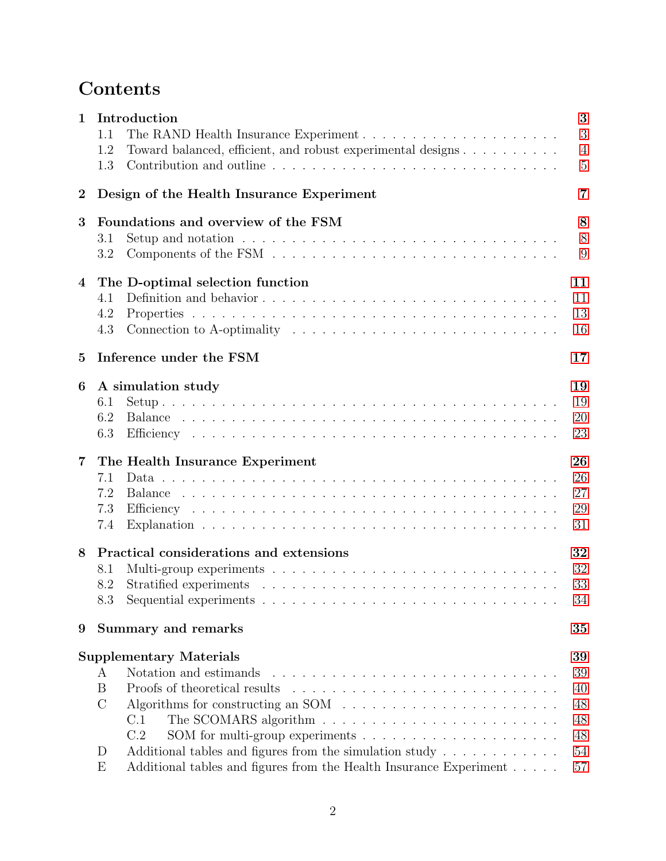## Contents

| $\mathbf{1}$    | 1.1           | Introduction                                                                                      | 3<br>3         |
|-----------------|---------------|---------------------------------------------------------------------------------------------------|----------------|
|                 | 1.2           | Toward balanced, efficient, and robust experimental designs                                       | $\overline{4}$ |
|                 | 1.3           | Contribution and outline                                                                          | 5              |
| $\overline{2}$  |               | Design of the Health Insurance Experiment                                                         | 7              |
| 3               |               | Foundations and overview of the FSM                                                               | 8              |
|                 | 3.1           | Setup and notation $\ldots \ldots \ldots \ldots \ldots \ldots \ldots \ldots \ldots \ldots \ldots$ | 8              |
|                 | 3.2           |                                                                                                   | 9              |
| $\overline{4}$  |               | The D-optimal selection function                                                                  | 11             |
|                 | 4.1           |                                                                                                   | 11             |
|                 | 4.2           |                                                                                                   | 13             |
|                 | 4.3           | Connection to A-optimality $\dots \dots \dots \dots \dots \dots \dots \dots \dots \dots \dots$    | 16             |
| $5\overline{)}$ |               | Inference under the FSM                                                                           | 17             |
| 6               |               | A simulation study                                                                                | 19             |
|                 | 6.1           |                                                                                                   | 19             |
|                 | 6.2           |                                                                                                   | 20             |
|                 | 6.3           |                                                                                                   | 23             |
| $\overline{7}$  |               | The Health Insurance Experiment                                                                   | 26             |
|                 | 7.1           |                                                                                                   | 26             |
|                 | 7.2           |                                                                                                   | 27             |
|                 | 7.3           |                                                                                                   | 29             |
|                 | 7.4           |                                                                                                   | 31             |
| 8               |               | Practical considerations and extensions                                                           | 32             |
|                 | 8.1           |                                                                                                   | 32             |
|                 | 8.2           |                                                                                                   | 33             |
|                 | 8.3           |                                                                                                   | 34             |
| 9               |               | <b>Summary and remarks</b>                                                                        | 35             |
|                 |               | <b>Supplementary Materials</b>                                                                    | 39             |
|                 | A             | Notation and estimands                                                                            | 39             |
|                 | B             |                                                                                                   | 40             |
|                 | $\mathcal{C}$ | Algorithms for constructing an SOM $\ldots \ldots \ldots \ldots \ldots \ldots \ldots$             | 48             |
|                 |               | C.1<br>The SCOMARS algorithm $\ldots \ldots \ldots \ldots \ldots \ldots \ldots \ldots$            | 48             |
|                 |               | SOM for multi-group experiments $\ldots \ldots \ldots \ldots \ldots \ldots$<br>C.2                | 48             |
|                 | D             | Additional tables and figures from the simulation study $\dots \dots \dots$                       | 54             |
|                 | E             | Additional tables and figures from the Health Insurance Experiment                                | 57             |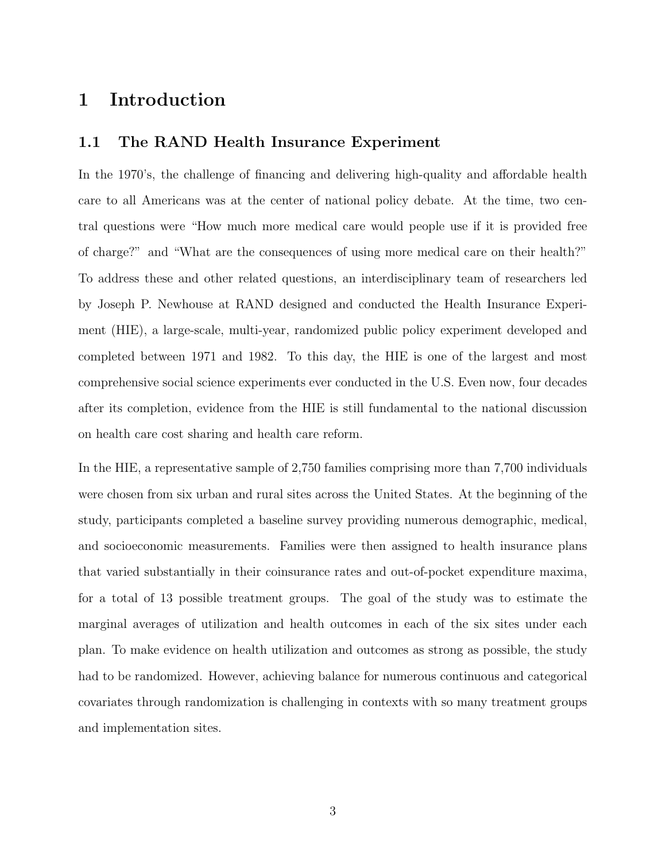## <span id="page-2-0"></span>1 Introduction

#### <span id="page-2-1"></span>1.1 The RAND Health Insurance Experiment

In the 1970's, the challenge of financing and delivering high-quality and affordable health care to all Americans was at the center of national policy debate. At the time, two central questions were "How much more medical care would people use if it is provided free of charge?" and "What are the consequences of using more medical care on their health?" To address these and other related questions, an interdisciplinary team of researchers led by Joseph P. Newhouse at RAND designed and conducted the Health Insurance Experiment (HIE), a large-scale, multi-year, randomized public policy experiment developed and completed between 1971 and 1982. To this day, the HIE is one of the largest and most comprehensive social science experiments ever conducted in the U.S. Even now, four decades after its completion, evidence from the HIE is still fundamental to the national discussion on health care cost sharing and health care reform.

In the HIE, a representative sample of 2,750 families comprising more than 7,700 individuals were chosen from six urban and rural sites across the United States. At the beginning of the study, participants completed a baseline survey providing numerous demographic, medical, and socioeconomic measurements. Families were then assigned to health insurance plans that varied substantially in their coinsurance rates and out-of-pocket expenditure maxima, for a total of 13 possible treatment groups. The goal of the study was to estimate the marginal averages of utilization and health outcomes in each of the six sites under each plan. To make evidence on health utilization and outcomes as strong as possible, the study had to be randomized. However, achieving balance for numerous continuous and categorical covariates through randomization is challenging in contexts with so many treatment groups and implementation sites.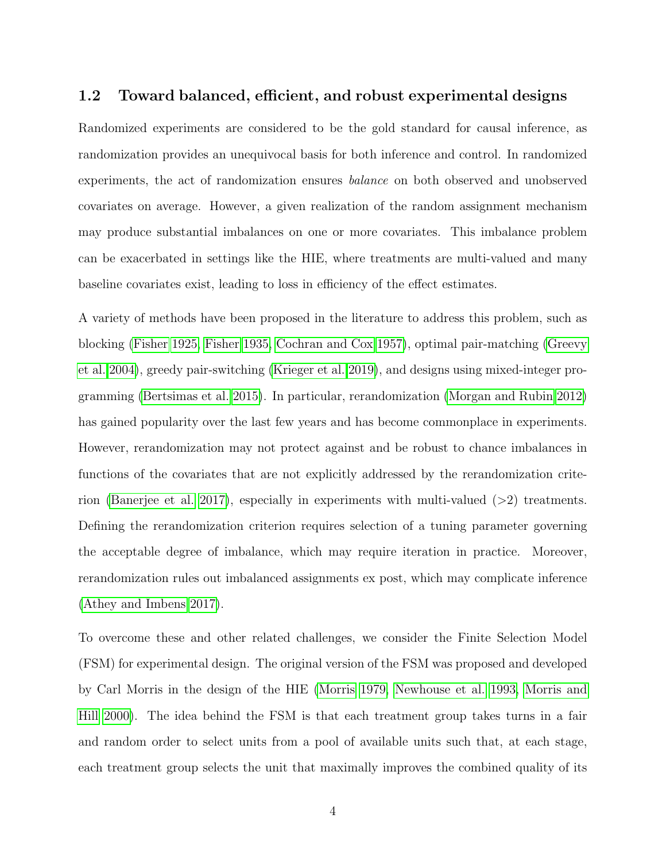#### <span id="page-3-0"></span>1.2 Toward balanced, efficient, and robust experimental designs

Randomized experiments are considered to be the gold standard for causal inference, as randomization provides an unequivocal basis for both inference and control. In randomized experiments, the act of randomization ensures balance on both observed and unobserved covariates on average. However, a given realization of the random assignment mechanism may produce substantial imbalances on one or more covariates. This imbalance problem can be exacerbated in settings like the HIE, where treatments are multi-valued and many baseline covariates exist, leading to loss in efficiency of the effect estimates.

A variety of methods have been proposed in the literature to address this problem, such as blocking [\(Fisher 1925,](#page-36-0) [Fisher 1935,](#page-36-1) [Cochran and Cox 1957\)](#page-36-2), optimal pair-matching [\(Greevy](#page-36-3) [et al. 2004\)](#page-36-3), greedy pair-switching [\(Krieger et al. 2019\)](#page-37-2), and designs using mixed-integer programming [\(Bertsimas et al. 2015\)](#page-36-4). In particular, rerandomization [\(Morgan and Rubin 2012\)](#page-37-3) has gained popularity over the last few years and has become commonplace in experiments. However, rerandomization may not protect against and be robust to chance imbalances in functions of the covariates that are not explicitly addressed by the rerandomization criterion [\(Banerjee et al. 2017\)](#page-36-5), especially in experiments with multi-valued (>2) treatments. Defining the rerandomization criterion requires selection of a tuning parameter governing the acceptable degree of imbalance, which may require iteration in practice. Moreover, rerandomization rules out imbalanced assignments ex post, which may complicate inference [\(Athey and Imbens 2017\)](#page-36-6).

To overcome these and other related challenges, we consider the Finite Selection Model (FSM) for experimental design. The original version of the FSM was proposed and developed by Carl Morris in the design of the HIE [\(Morris 1979,](#page-37-0) [Newhouse et al. 1993,](#page-37-1) [Morris and](#page-37-4) [Hill 2000\)](#page-37-4). The idea behind the FSM is that each treatment group takes turns in a fair and random order to select units from a pool of available units such that, at each stage, each treatment group selects the unit that maximally improves the combined quality of its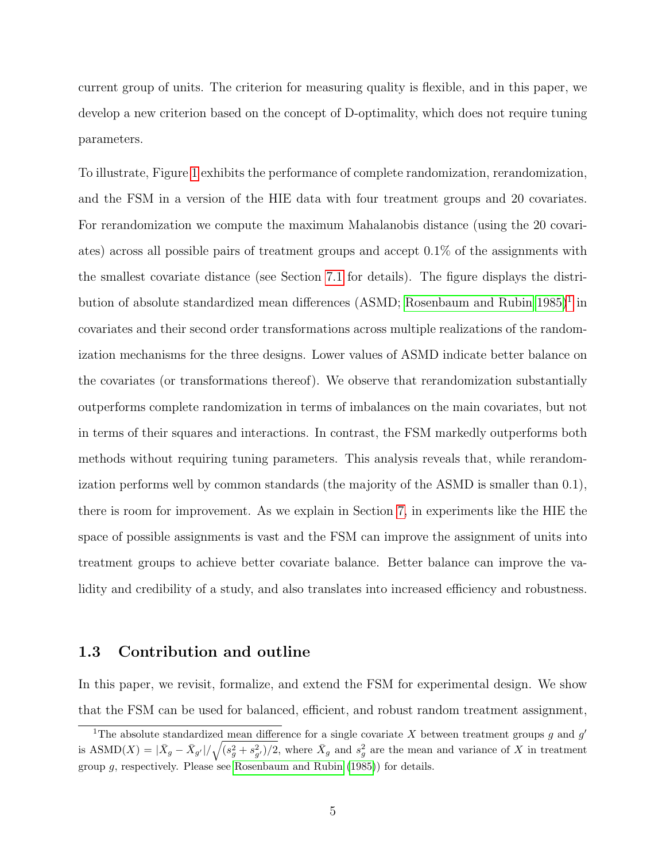current group of units. The criterion for measuring quality is flexible, and in this paper, we develop a new criterion based on the concept of D-optimality, which does not require tuning parameters.

To illustrate, Figure [1](#page-5-0) exhibits the performance of complete randomization, rerandomization, and the FSM in a version of the HIE data with four treatment groups and 20 covariates. For rerandomization we compute the maximum Mahalanobis distance (using the 20 covariates) across all possible pairs of treatment groups and accept 0.1% of the assignments with the smallest covariate distance (see Section [7.1](#page-25-1) for details). The figure displays the distri-bution of absolute standardized mean differences (ASMD; [Rosenbaum and Rubin 1985\)](#page-37-5)<sup>[1](#page-4-1)</sup> in covariates and their second order transformations across multiple realizations of the randomization mechanisms for the three designs. Lower values of ASMD indicate better balance on the covariates (or transformations thereof). We observe that rerandomization substantially outperforms complete randomization in terms of imbalances on the main covariates, but not in terms of their squares and interactions. In contrast, the FSM markedly outperforms both methods without requiring tuning parameters. This analysis reveals that, while rerandomization performs well by common standards (the majority of the ASMD is smaller than 0.1), there is room for improvement. As we explain in Section [7,](#page-25-0) in experiments like the HIE the space of possible assignments is vast and the FSM can improve the assignment of units into treatment groups to achieve better covariate balance. Better balance can improve the validity and credibility of a study, and also translates into increased efficiency and robustness.

#### <span id="page-4-0"></span>1.3 Contribution and outline

In this paper, we revisit, formalize, and extend the FSM for experimental design. We show that the FSM can be used for balanced, efficient, and robust random treatment assignment,

<span id="page-4-1"></span><sup>&</sup>lt;sup>1</sup>The absolute standardized mean difference for a single covariate X between treatment groups g and g' is  $\text{ASMD}(X) = |\bar{X}_g - \bar{X}_{g'}| / \sqrt{(s_g^2 + s_{g'}^2)/2}$ , where  $\bar{X}_g$  and  $s_g^2$  are the mean and variance of X in treatment group g, respectively. Please see [Rosenbaum and Rubin](#page-37-5) [\(1985\)](#page-37-5)) for details.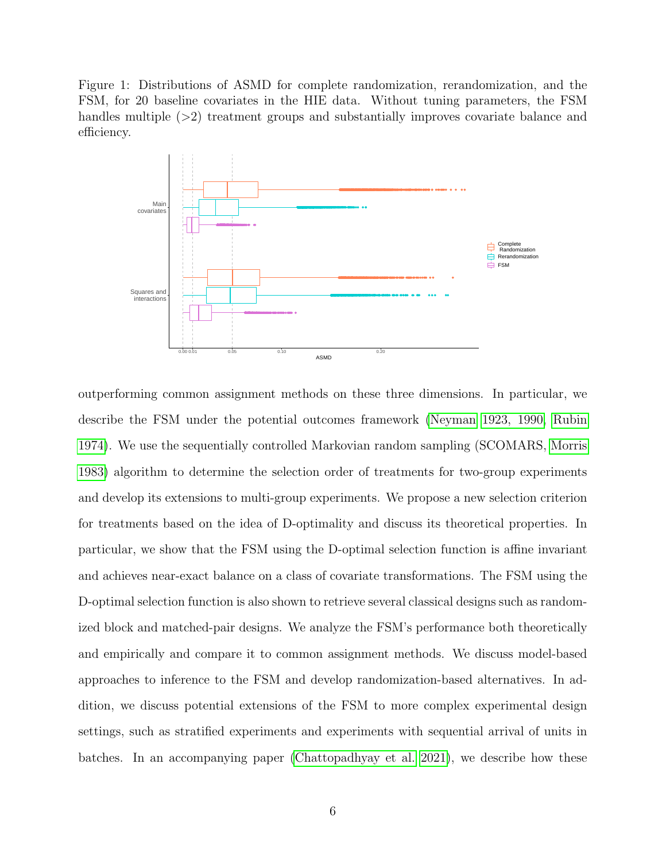Figure 1: Distributions of ASMD for complete randomization, rerandomization, and the FSM, for 20 baseline covariates in the HIE data. Without tuning parameters, the FSM handles multiple (>2) treatment groups and substantially improves covariate balance and efficiency.

<span id="page-5-0"></span>

outperforming common assignment methods on these three dimensions. In particular, we describe the FSM under the potential outcomes framework [\(Neyman 1923, 1990,](#page-37-6) [Rubin](#page-37-7) [1974\)](#page-37-7). We use the sequentially controlled Markovian random sampling (SCOMARS, [Morris](#page-37-8) [1983\)](#page-37-8) algorithm to determine the selection order of treatments for two-group experiments and develop its extensions to multi-group experiments. We propose a new selection criterion for treatments based on the idea of D-optimality and discuss its theoretical properties. In particular, we show that the FSM using the D-optimal selection function is affine invariant and achieves near-exact balance on a class of covariate transformations. The FSM using the D-optimal selection function is also shown to retrieve several classical designs such as randomized block and matched-pair designs. We analyze the FSM's performance both theoretically and empirically and compare it to common assignment methods. We discuss model-based approaches to inference to the FSM and develop randomization-based alternatives. In addition, we discuss potential extensions of the FSM to more complex experimental design settings, such as stratified experiments and experiments with sequential arrival of units in batches. In an accompanying paper [\(Chattopadhyay et al. 2021\)](#page-36-7), we describe how these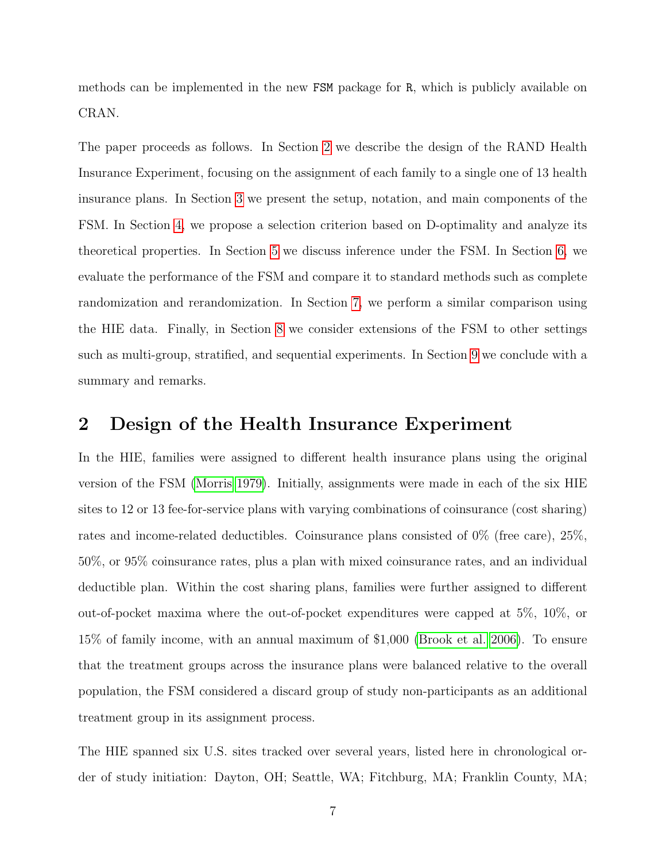methods can be implemented in the new FSM package for R, which is publicly available on CRAN.

The paper proceeds as follows. In Section [2](#page-6-0) we describe the design of the RAND Health Insurance Experiment, focusing on the assignment of each family to a single one of 13 health insurance plans. In Section [3](#page-7-0) we present the setup, notation, and main components of the FSM. In Section [4,](#page-10-0) we propose a selection criterion based on D-optimality and analyze its theoretical properties. In Section [5](#page-16-0) we discuss inference under the FSM. In Section [6,](#page-18-0) we evaluate the performance of the FSM and compare it to standard methods such as complete randomization and rerandomization. In Section [7,](#page-25-0) we perform a similar comparison using the HIE data. Finally, in Section [8](#page-31-0) we consider extensions of the FSM to other settings such as multi-group, stratified, and sequential experiments. In Section [9](#page-34-0) we conclude with a summary and remarks.

## <span id="page-6-0"></span>2 Design of the Health Insurance Experiment

In the HIE, families were assigned to different health insurance plans using the original version of the FSM [\(Morris 1979\)](#page-37-0). Initially, assignments were made in each of the six HIE sites to 12 or 13 fee-for-service plans with varying combinations of coinsurance (cost sharing) rates and income-related deductibles. Coinsurance plans consisted of 0% (free care), 25%, 50%, or 95% coinsurance rates, plus a plan with mixed coinsurance rates, and an individual deductible plan. Within the cost sharing plans, families were further assigned to different out-of-pocket maxima where the out-of-pocket expenditures were capped at 5%, 10%, or 15% of family income, with an annual maximum of \$1,000 [\(Brook et al. 2006\)](#page-36-8). To ensure that the treatment groups across the insurance plans were balanced relative to the overall population, the FSM considered a discard group of study non-participants as an additional treatment group in its assignment process.

The HIE spanned six U.S. sites tracked over several years, listed here in chronological order of study initiation: Dayton, OH; Seattle, WA; Fitchburg, MA; Franklin County, MA;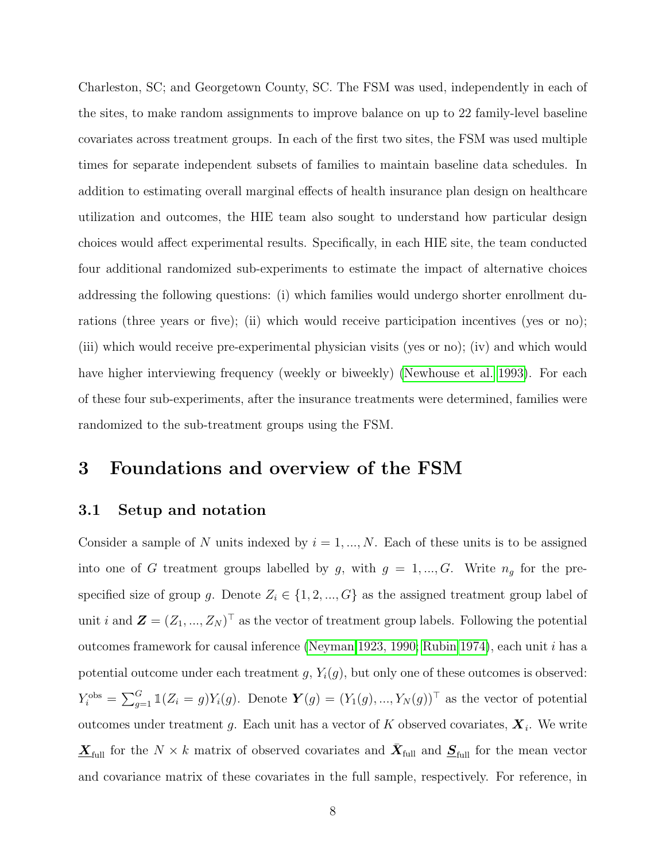Charleston, SC; and Georgetown County, SC. The FSM was used, independently in each of the sites, to make random assignments to improve balance on up to 22 family-level baseline covariates across treatment groups. In each of the first two sites, the FSM was used multiple times for separate independent subsets of families to maintain baseline data schedules. In addition to estimating overall marginal effects of health insurance plan design on healthcare utilization and outcomes, the HIE team also sought to understand how particular design choices would affect experimental results. Specifically, in each HIE site, the team conducted four additional randomized sub-experiments to estimate the impact of alternative choices addressing the following questions: (i) which families would undergo shorter enrollment durations (three years or five); (ii) which would receive participation incentives (yes or no); (iii) which would receive pre-experimental physician visits (yes or no); (iv) and which would have higher interviewing frequency (weekly or biweekly) [\(Newhouse et al. 1993\)](#page-37-1). For each of these four sub-experiments, after the insurance treatments were determined, families were randomized to the sub-treatment groups using the FSM.

## <span id="page-7-0"></span>3 Foundations and overview of the FSM

#### <span id="page-7-1"></span>3.1 Setup and notation

Consider a sample of N units indexed by  $i = 1, ..., N$ . Each of these units is to be assigned into one of G treatment groups labelled by g, with  $g = 1, ..., G$ . Write  $n_g$  for the prespecified size of group g. Denote  $Z_i \in \{1, 2, ..., G\}$  as the assigned treatment group label of unit i and  $\mathbf{Z} = (Z_1, ..., Z_N)^\top$  as the vector of treatment group labels. Following the potential outcomes framework for causal inference [\(Neyman 1923, 1990;](#page-37-6) [Rubin 1974\)](#page-37-7), each unit i has a potential outcome under each treatment  $g, Y_i(g)$ , but only one of these outcomes is observed:  $Y_i^{\text{obs}} = \sum_{g=1}^G \mathbb{1}(Z_i = g) Y_i(g)$ . Denote  $\boldsymbol{Y}(g) = (Y_1(g), ..., Y_N(g))^T$  as the vector of potential outcomes under treatment g. Each unit has a vector of K observed covariates,  $\boldsymbol{X}_i$ . We write  $\underline{\mathbf{X}}_{\text{full}}$  for the  $N \times k$  matrix of observed covariates and  $\overline{\mathbf{X}}_{\text{full}}$  and  $\underline{\mathbf{S}}_{\text{full}}$  for the mean vector and covariance matrix of these covariates in the full sample, respectively. For reference, in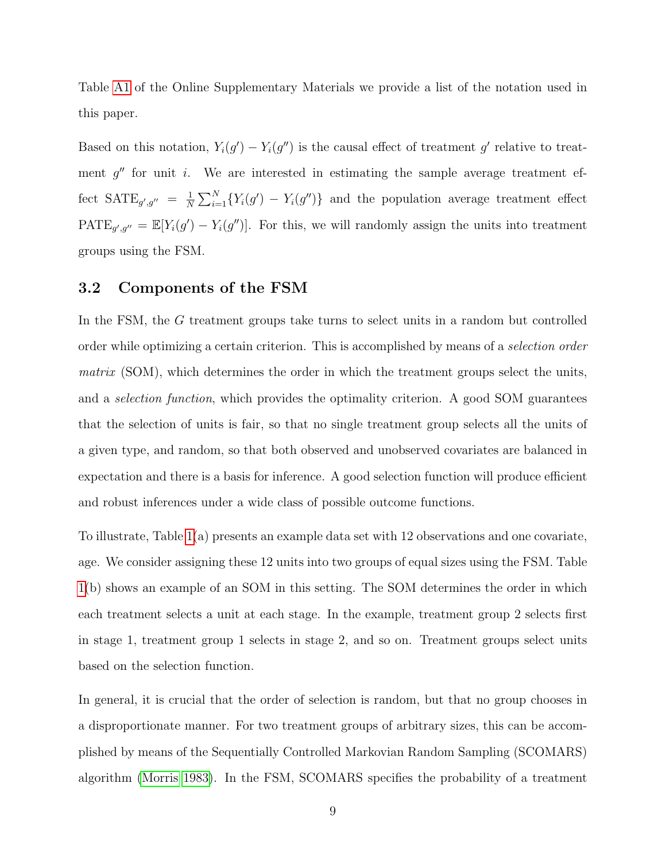Table [A1](#page-38-1) of the Online Supplementary Materials we provide a list of the notation used in this paper.

Based on this notation,  $Y_i(g') - Y_i(g'')$  is the causal effect of treatment g' relative to treatment  $g''$  for unit i. We are interested in estimating the sample average treatment effect  $\text{SATE}_{g',g''} = \frac{1}{N}$  $\frac{1}{N}\sum_{i=1}^{N} \{Y_i(g') - Y_i(g'')\}$  and the population average treatment effect  $\text{PATE}_{g',g''} = \mathbb{E}[Y_i(g') - Y_i(g'')]$ . For this, we will randomly assign the units into treatment groups using the FSM.

#### <span id="page-8-0"></span>3.2 Components of the FSM

In the FSM, the G treatment groups take turns to select units in a random but controlled order while optimizing a certain criterion. This is accomplished by means of a selection order matrix (SOM), which determines the order in which the treatment groups select the units, and a selection function, which provides the optimality criterion. A good SOM guarantees that the selection of units is fair, so that no single treatment group selects all the units of a given type, and random, so that both observed and unobserved covariates are balanced in expectation and there is a basis for inference. A good selection function will produce efficient and robust inferences under a wide class of possible outcome functions.

To illustrate, Table [1\(](#page-10-2)a) presents an example data set with 12 observations and one covariate, age. We consider assigning these 12 units into two groups of equal sizes using the FSM. Table [1\(](#page-10-2)b) shows an example of an SOM in this setting. The SOM determines the order in which each treatment selects a unit at each stage. In the example, treatment group 2 selects first in stage 1, treatment group 1 selects in stage 2, and so on. Treatment groups select units based on the selection function.

In general, it is crucial that the order of selection is random, but that no group chooses in a disproportionate manner. For two treatment groups of arbitrary sizes, this can be accomplished by means of the Sequentially Controlled Markovian Random Sampling (SCOMARS) algorithm [\(Morris 1983\)](#page-37-8). In the FSM, SCOMARS specifies the probability of a treatment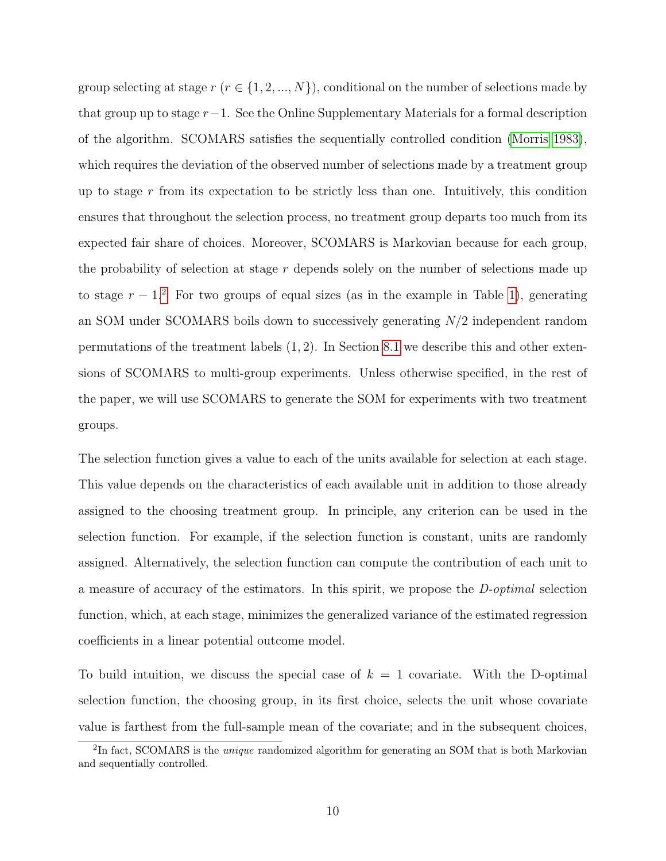group selecting at stage  $r$  ( $r \in \{1, 2, ..., N\}$ ), conditional on the number of selections made by that group up to stage  $r-1$ . See the Online Supplementary Materials for a formal description of the algorithm. SCOMARS satisfies the sequentially controlled condition [\(Morris 1983\)](#page-37-8), which requires the deviation of the observed number of selections made by a treatment group up to stage  $r$  from its expectation to be strictly less than one. Intuitively, this condition ensures that throughout the selection process, no treatment group departs too much from its expected fair share of choices. Moreover, SCOMARS is Markovian because for each group, the probability of selection at stage  $r$  depends solely on the number of selections made up to stage  $r - 1<sup>2</sup>$  $r - 1<sup>2</sup>$  $r - 1<sup>2</sup>$  For two groups of equal sizes (as in the example in Table [1\)](#page-10-2), generating an SOM under SCOMARS boils down to successively generating N/2 independent random permutations of the treatment labels  $(1, 2)$ . In Section [8.1](#page-31-1) we describe this and other extensions of SCOMARS to multi-group experiments. Unless otherwise specified, in the rest of the paper, we will use SCOMARS to generate the SOM for experiments with two treatment groups.

The selection function gives a value to each of the units available for selection at each stage. This value depends on the characteristics of each available unit in addition to those already assigned to the choosing treatment group. In principle, any criterion can be used in the selection function. For example, if the selection function is constant, units are randomly assigned. Alternatively, the selection function can compute the contribution of each unit to a measure of accuracy of the estimators. In this spirit, we propose the D-optimal selection function, which, at each stage, minimizes the generalized variance of the estimated regression coefficients in a linear potential outcome model.

To build intuition, we discuss the special case of  $k = 1$  covariate. With the D-optimal selection function, the choosing group, in its first choice, selects the unit whose covariate value is farthest from the full-sample mean of the covariate; and in the subsequent choices,

<span id="page-9-0"></span><sup>&</sup>lt;sup>2</sup>In fact, SCOMARS is the *unique* randomized algorithm for generating an SOM that is both Markovian and sequentially controlled.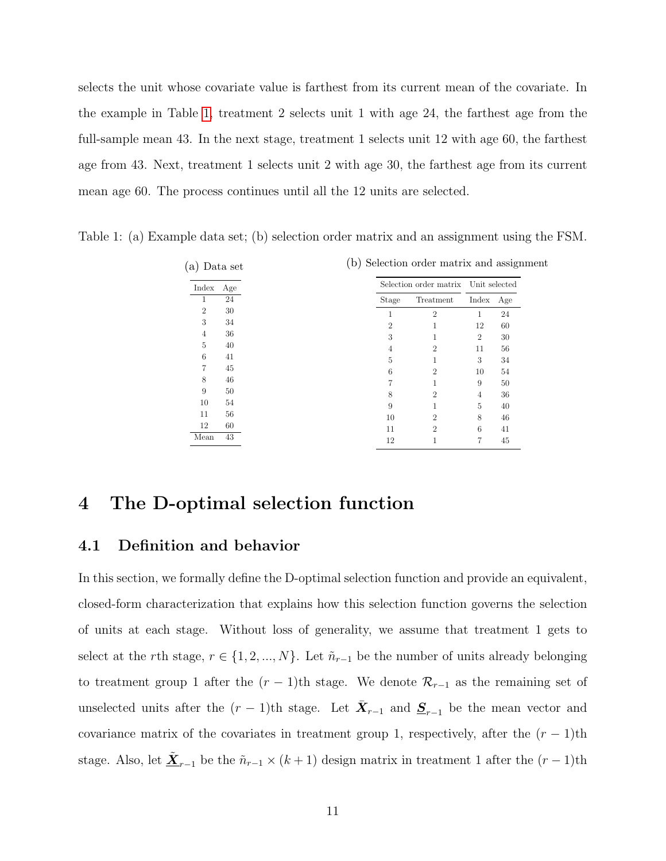selects the unit whose covariate value is farthest from its current mean of the covariate. In the example in Table [1,](#page-10-2) treatment 2 selects unit 1 with age 24, the farthest age from the full-sample mean 43. In the next stage, treatment 1 selects unit 12 with age 60, the farthest age from 43. Next, treatment 1 selects unit 2 with age 30, the farthest age from its current mean age 60. The process continues until all the 12 units are selected.

| a)             | Data set |       | (b) Selection order matrix and assignment |                |     |
|----------------|----------|-------|-------------------------------------------|----------------|-----|
| Index          | Age      |       | Selection order matrix Unit selected      |                |     |
| 1              | 24       | Stage | Treatment                                 | Index          | Age |
| $\overline{2}$ | 30       |       | $\overline{2}$                            | 1              | 24  |
| 3              | 34       | 2     |                                           | 12             | 60  |
| 4              | 36       | 3     | 1                                         | $\overline{2}$ | 30  |
| 5              | 40       | 4     | $\overline{2}$                            | 11             | 56  |
| 6              | 41       | 5     |                                           | 3              | 34  |
| 7              | 45       | 6     | $\overline{2}$                            | 10             | 54  |
| 8              | 46       |       | 1                                         | 9              | 50  |
| 9              | 50       | 8     | $\mathfrak{D}$                            | 4              | 36  |
| 10             | 54       | 9     |                                           | 5              | 40  |
| 11             | 56       | 10    | $\overline{2}$                            | 8              | 46  |
| 12             | 60       | 11    | $\overline{2}$                            | 6              | 41  |
| Mean           | 43       | 12    |                                           |                | 45  |

<span id="page-10-2"></span>Table 1: (a) Example data set; (b) selection order matrix and an assignment using the FSM.

## <span id="page-10-0"></span>4 The D-optimal selection function

#### <span id="page-10-1"></span>4.1 Definition and behavior

In this section, we formally define the D-optimal selection function and provide an equivalent, closed-form characterization that explains how this selection function governs the selection of units at each stage. Without loss of generality, we assume that treatment 1 gets to select at the rth stage,  $r \in \{1, 2, ..., N\}$ . Let  $\tilde{n}_{r-1}$  be the number of units already belonging to treatment group 1 after the  $(r-1)$ th stage. We denote  $\mathcal{R}_{r-1}$  as the remaining set of unselected units after the  $(r-1)$ th stage. Let  $\bar{\mathbf{X}}_{r-1}$  and  $\underline{\mathbf{S}}_{r-1}$  be the mean vector and covariance matrix of the covariates in treatment group 1, respectively, after the  $(r-1)$ th stage. Also, let  $\underline{\tilde{X}}_{r-1}$  be the  $\tilde{n}_{r-1} \times (k+1)$  design matrix in treatment 1 after the  $(r-1)$ th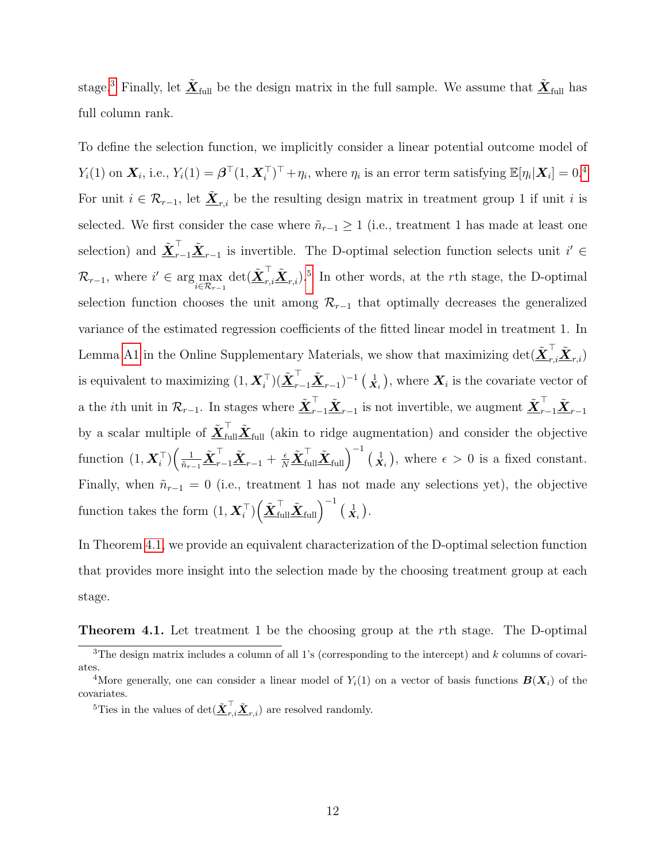stage.<sup>[3](#page-11-0)</sup> Finally, let  $\underline{\tilde{X}}_{\text{full}}$  be the design matrix in the full sample. We assume that  $\underline{\tilde{X}}_{\text{full}}$  has full column rank.

To define the selection function, we implicitly consider a linear potential outcome model of  $Y_i(1)$  on  $\boldsymbol{X}_i$ , i.e.,  $Y_i(1) = \boldsymbol{\beta}^\top (1, \boldsymbol{X}_i^\top)^\top + \eta_i$ , where  $\eta_i$  is an error term satisfying  $\mathbb{E}[\eta_i | \boldsymbol{X}_i] = 0.4$  $\mathbb{E}[\eta_i | \boldsymbol{X}_i] = 0.4$ For unit  $i \in \mathcal{R}_{r-1}$ , let  $\underline{\tilde{X}}_{r,i}$  be the resulting design matrix in treatment group 1 if unit i is selected. We first consider the case where  $\tilde{n}_{r-1} \geq 1$  (i.e., treatment 1 has made at least one selection) and  $\tilde{\underline{\mathbf{X}}}^{\top}_{r-1}\tilde{\underline{\mathbf{X}}}_{r-1}$  is invertible. The D-optimal selection function selects unit  $i' \in$  $\mathcal{R}_{r-1}$ , where  $i' \in \arg\max_{i \in \mathcal{R}_{r-1}} \det(\underline{\tilde{\mathbf{X}}}_{r,i}^\top \underline{\tilde{\mathbf{X}}}_{r,i})$ .<sup>[5](#page-11-2)</sup> In other words, at the rth stage, the D-optimal selection function chooses the unit among  $\mathcal{R}_{r-1}$  that optimally decreases the generalized variance of the estimated regression coefficients of the fitted linear model in treatment 1. In Lemma [A1](#page-39-1) in the Online Supplementary Materials, we show that maximizing  $\det(\tilde{\bm{X}}_{r,i}^{\top} \tilde{\bm{X}}_{r,i})$ is equivalent to maximizing  $(1, \boldsymbol{X}_i^{\top})(\tilde{\boldsymbol{X}}_{r-1}^{\top}\tilde{\boldsymbol{X}}_{r-1})^{-1}(\frac{1}{\boldsymbol{X}_i})$ , where  $\boldsymbol{X}_i$  is the covariate vector of a the *i*th unit in  $\mathcal{R}_{r-1}$ . In stages where  $\underline{\tilde{X}}_{r-1}^{\top} \underline{\tilde{X}}_{r-1}$  is not invertible, we augment  $\underline{\tilde{X}}_{r-1}^{\top} \underline{\tilde{X}}_{r-1}$ by a scalar multiple of  $\underline{\tilde{X}}_{\text{full}}^{\top} \tilde{\underline{X}}_{\text{full}}$  (akin to ridge augmentation) and consider the objective function  $(1, \boldsymbol{X}_i^{\top}) \Big( \frac{1}{\tilde{n}_{r-1}} \tilde{\boldsymbol{X}}_{r-1}^{\top} \tilde{\boldsymbol{X}}_{r-1} + \frac{\epsilon}{N} \tilde{\boldsymbol{X}}_{\text{full}}^{\top} \tilde{\boldsymbol{X}}_{\text{full}} \Big)^{-1} (\boldsymbol{X}_i),$  where  $\epsilon > 0$  is a fixed constant. Finally, when  $\tilde{n}_{r-1} = 0$  (i.e., treatment 1 has not made any selections yet), the objective function takes the form  $(1, \boldsymbol{X}_i^\top) \Big(\tilde{\boldsymbol{\underline{X}}}_{\text{full}}^\top \tilde{\boldsymbol{\underline{X}}}_{\text{full}}\Big)^{-1}$   $(\frac{1}{\boldsymbol{X}_i})$ .

In Theorem [4.1,](#page-11-3) we provide an equivalent characterization of the D-optimal selection function that provides more insight into the selection made by the choosing treatment group at each stage.

<span id="page-11-3"></span>Theorem 4.1. Let treatment 1 be the choosing group at the rth stage. The D-optimal

<span id="page-11-0"></span> $\overline{^{3}$ The design matrix includes a column of all 1's (corresponding to the intercept) and k columns of covariates.

<span id="page-11-1"></span><sup>&</sup>lt;sup>4</sup>More generally, one can consider a linear model of  $Y_i(1)$  on a vector of basis functions  $\mathbf{B}(\mathbf{X}_i)$  of the covariates.

<span id="page-11-2"></span><sup>&</sup>lt;sup>5</sup>Ties in the values of  $\det(\underline{\tilde{\mathbf{X}}}_{r,i}^{\top} \underline{\tilde{\mathbf{X}}}_{r,i})$  are resolved randomly.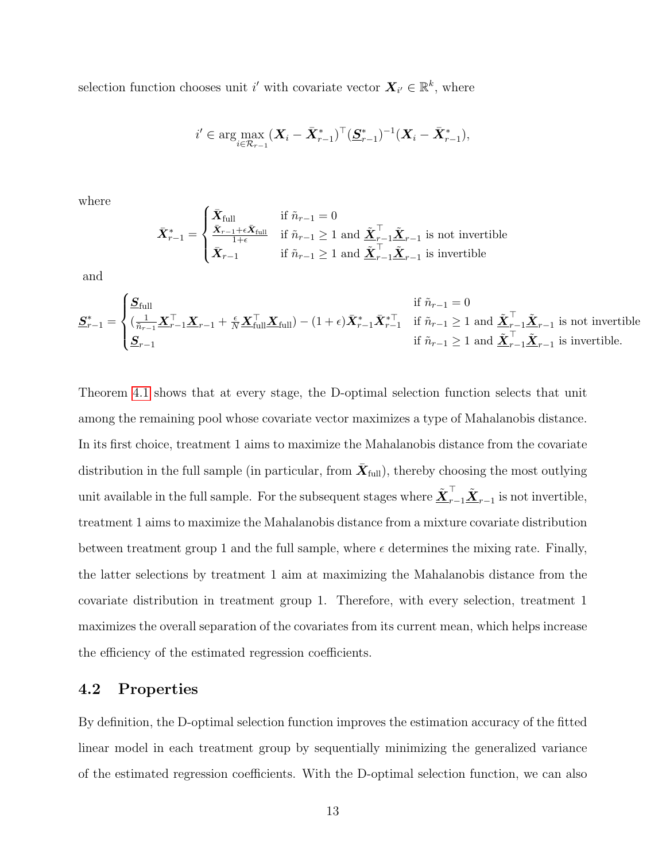selection function chooses unit i' with covariate vector  $\mathbf{X}_{i'} \in \mathbb{R}^k$ , where

$$
i' \in \arg \max_{i \in \mathcal{R}_{r-1}} (\boldsymbol{X}_i - \bar{\boldsymbol{X}}_{r-1}^*)^\top (\underline{\boldsymbol{S}}_{r-1}^*)^{-1} (\boldsymbol{X}_i - \bar{\boldsymbol{X}}_{r-1}^*),
$$

where

$$
\bar{X}_{r-1}^* = \begin{cases} \bar{X}_{\text{full}} & \text{if } \tilde{n}_{r-1} = 0\\ \frac{\bar{X}_{r-1} + \epsilon \bar{X}_{\text{full}}}{1 + \epsilon} & \text{if } \tilde{n}_{r-1} \ge 1 \text{ and } \underline{\tilde{X}}_{r-1}^\top \underline{\tilde{X}}_{r-1} \text{ is not invertible} \\ \bar{X}_{r-1} & \text{if } \tilde{n}_{r-1} \ge 1 \text{ and } \underline{\tilde{X}}_{r-1}^\top \underline{\tilde{X}}_{r-1} \text{ is invertible} \end{cases}
$$

and

$$
\underline{\mathbf{S}}_{r-1}^* = \begin{cases}\n\underline{\mathbf{S}}_{\text{full}} & \text{if } \tilde{n}_{r-1} = 0 \\
(\frac{1}{\tilde{n}_{r-1}} \underline{\mathbf{X}}_{r-1}^\top \underline{\mathbf{X}}_{r-1} + \frac{\epsilon}{N} \underline{\mathbf{X}}_{\text{full}}^\top \underline{\mathbf{X}}_{\text{full}}) - (1 + \epsilon) \bar{\mathbf{X}}_{r-1}^* \bar{\mathbf{X}}_{r-1}^{*\top} & \text{if } \tilde{n}_{r-1} \ge 1 \text{ and } \underline{\tilde{\mathbf{X}}}_{r-1}^\top \underline{\tilde{\mathbf{X}}}_{r-1} \text{ is not invertible} \\
\underline{\mathbf{S}}_{r-1} & \text{if } \tilde{n}_{r-1} \ge 1 \text{ and } \underline{\tilde{\mathbf{X}}}_{r-1}^\top \underline{\tilde{\mathbf{X}}}_{r-1} \text{ is invertible.}\n\end{cases}
$$

Theorem [4.1](#page-11-3) shows that at every stage, the D-optimal selection function selects that unit among the remaining pool whose covariate vector maximizes a type of Mahalanobis distance. In its first choice, treatment 1 aims to maximize the Mahalanobis distance from the covariate distribution in the full sample (in particular, from  $\bar{\bm{X}}_{\text{full}}$ ), thereby choosing the most outlying unit available in the full sample. For the subsequent stages where  $\tilde{\bm{X}}_{r-1}^\top \tilde{\bm{X}}_{r-1}$  is not invertible, treatment 1 aims to maximize the Mahalanobis distance from a mixture covariate distribution between treatment group 1 and the full sample, where  $\epsilon$  determines the mixing rate. Finally, the latter selections by treatment 1 aim at maximizing the Mahalanobis distance from the covariate distribution in treatment group 1. Therefore, with every selection, treatment 1 maximizes the overall separation of the covariates from its current mean, which helps increase the efficiency of the estimated regression coefficients.

#### <span id="page-12-0"></span>4.2 Properties

By definition, the D-optimal selection function improves the estimation accuracy of the fitted linear model in each treatment group by sequentially minimizing the generalized variance of the estimated regression coefficients. With the D-optimal selection function, we can also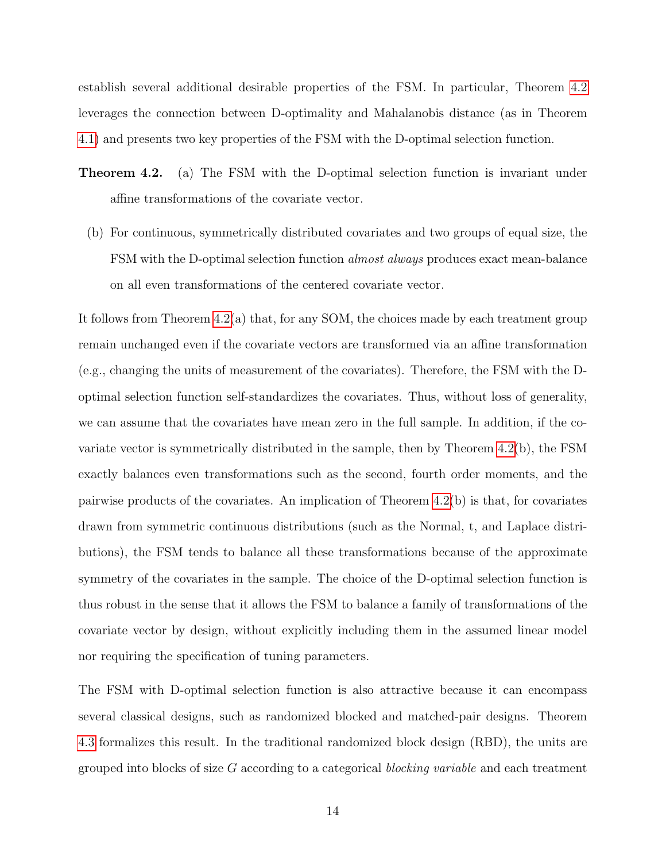establish several additional desirable properties of the FSM. In particular, Theorem [4.2](#page-13-0) leverages the connection between D-optimality and Mahalanobis distance (as in Theorem [4.1\)](#page-11-3) and presents two key properties of the FSM with the D-optimal selection function.

- <span id="page-13-0"></span>Theorem 4.2. (a) The FSM with the D-optimal selection function is invariant under affine transformations of the covariate vector.
	- (b) For continuous, symmetrically distributed covariates and two groups of equal size, the FSM with the D-optimal selection function almost always produces exact mean-balance on all even transformations of the centered covariate vector.

It follows from Theorem [4.2\(](#page-13-0)a) that, for any SOM, the choices made by each treatment group remain unchanged even if the covariate vectors are transformed via an affine transformation (e.g., changing the units of measurement of the covariates). Therefore, the FSM with the Doptimal selection function self-standardizes the covariates. Thus, without loss of generality, we can assume that the covariates have mean zero in the full sample. In addition, if the covariate vector is symmetrically distributed in the sample, then by Theorem [4.2\(](#page-13-0)b), the FSM exactly balances even transformations such as the second, fourth order moments, and the pairwise products of the covariates. An implication of Theorem [4.2\(](#page-13-0)b) is that, for covariates drawn from symmetric continuous distributions (such as the Normal, t, and Laplace distributions), the FSM tends to balance all these transformations because of the approximate symmetry of the covariates in the sample. The choice of the D-optimal selection function is thus robust in the sense that it allows the FSM to balance a family of transformations of the covariate vector by design, without explicitly including them in the assumed linear model nor requiring the specification of tuning parameters.

The FSM with D-optimal selection function is also attractive because it can encompass several classical designs, such as randomized blocked and matched-pair designs. Theorem [4.3](#page-14-0) formalizes this result. In the traditional randomized block design (RBD), the units are grouped into blocks of size G according to a categorical blocking variable and each treatment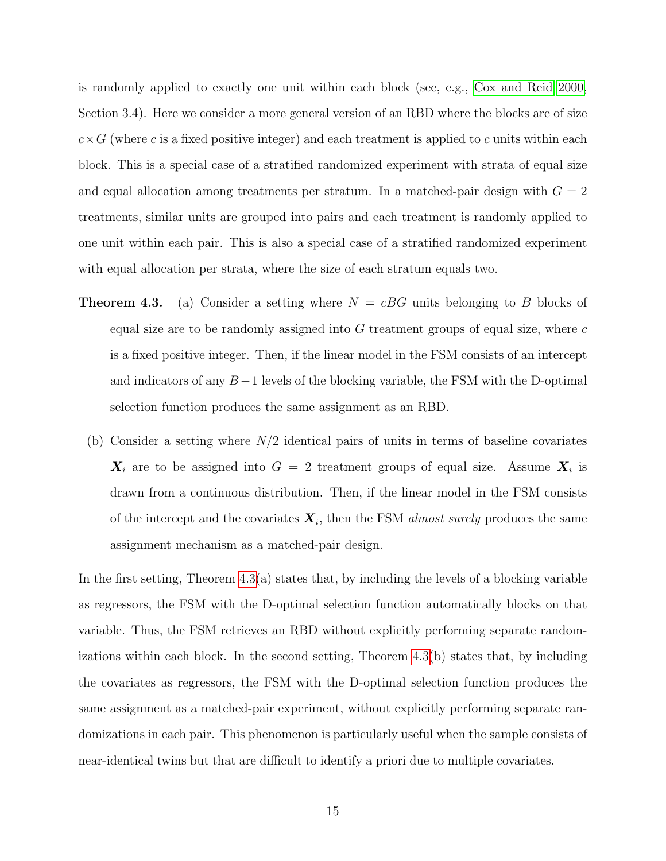is randomly applied to exactly one unit within each block (see, e.g., [Cox and Reid 2000,](#page-36-9) Section 3.4). Here we consider a more general version of an RBD where the blocks are of size  $c \times G$  (where c is a fixed positive integer) and each treatment is applied to c units within each block. This is a special case of a stratified randomized experiment with strata of equal size and equal allocation among treatments per stratum. In a matched-pair design with  $G = 2$ treatments, similar units are grouped into pairs and each treatment is randomly applied to one unit within each pair. This is also a special case of a stratified randomized experiment with equal allocation per strata, where the size of each stratum equals two.

- <span id="page-14-0"></span>**Theorem 4.3.** (a) Consider a setting where  $N = cBG$  units belonging to B blocks of equal size are to be randomly assigned into  $G$  treatment groups of equal size, where  $c$ is a fixed positive integer. Then, if the linear model in the FSM consists of an intercept and indicators of any  $B-1$  levels of the blocking variable, the FSM with the D-optimal selection function produces the same assignment as an RBD.
	- (b) Consider a setting where  $N/2$  identical pairs of units in terms of baseline covariates  $\boldsymbol{X}_i$  are to be assigned into  $G = 2$  treatment groups of equal size. Assume  $\boldsymbol{X}_i$  is drawn from a continuous distribution. Then, if the linear model in the FSM consists of the intercept and the covariates  $X_i$ , then the FSM *almost surely* produces the same assignment mechanism as a matched-pair design.

In the first setting, Theorem [4.3\(](#page-14-0)a) states that, by including the levels of a blocking variable as regressors, the FSM with the D-optimal selection function automatically blocks on that variable. Thus, the FSM retrieves an RBD without explicitly performing separate randomizations within each block. In the second setting, Theorem [4.3\(](#page-14-0)b) states that, by including the covariates as regressors, the FSM with the D-optimal selection function produces the same assignment as a matched-pair experiment, without explicitly performing separate randomizations in each pair. This phenomenon is particularly useful when the sample consists of near-identical twins but that are difficult to identify a priori due to multiple covariates.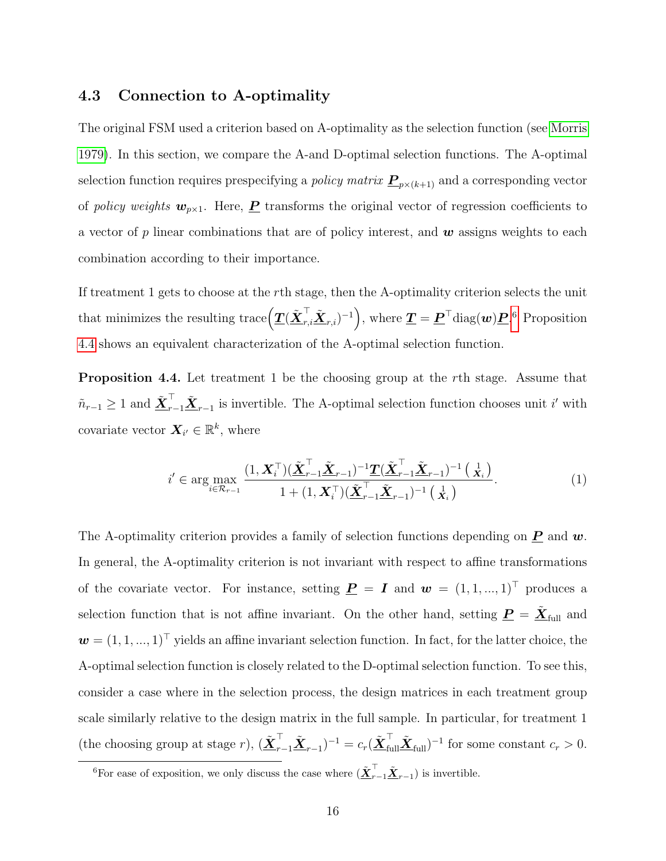#### <span id="page-15-0"></span>4.3 Connection to A-optimality

The original FSM used a criterion based on A-optimality as the selection function (see [Morris](#page-37-0) [1979\)](#page-37-0). In this section, we compare the A-and D-optimal selection functions. The A-optimal selection function requires prespecifying a *policy matrix*  $\underline{P}_{p\times(k+1)}$  and a corresponding vector of policy weights  $w_{p\times 1}$ . Here,  $\underline{P}$  transforms the original vector of regression coefficients to a vector of p linear combinations that are of policy interest, and  $w$  assigns weights to each combination according to their importance.

If treatment 1 gets to choose at the rth stage, then the A-optimality criterion selects the unit that minimizes the resulting trace  $(\underline{T}(\tilde{\bm{X}}_{r,i}^\top \tilde{\bm{X}}_{r,i})^{-1})$ , where  $\underline{T} = \underline{\bm{P}}^\top \text{diag}(\bm{w}) \underline{\bm{P}}$ .<sup>[6](#page-15-1)</sup> Proposition [4.4](#page-15-2) shows an equivalent characterization of the A-optimal selection function.

Proposition 4.4. Let treatment 1 be the choosing group at the rth stage. Assume that  $\tilde{n}_{r-1} \geq 1$  and  $\tilde{\underline{\mathbf{X}}}$ <sup>T</sup><sub>r−1</sub> $\tilde{\underline{\mathbf{X}}}$ <sub>r−1</sub> is invertible. The A-optimal selection function chooses unit *i'* with covariate vector  $\mathbf{X}_{i'} \in \mathbb{R}^k$ , where

<span id="page-15-2"></span>
$$
i' \in \arg\max_{i \in \mathcal{R}_{r-1}} \frac{(1, \boldsymbol{X}_i^{\top})(\tilde{\boldsymbol{\underline{X}}}_{r-1}^{\top}\tilde{\boldsymbol{\underline{X}}}_{r-1})^{-1}\boldsymbol{\underline{T}}(\tilde{\boldsymbol{\underline{X}}}_{r-1}^{\top}\tilde{\boldsymbol{\underline{X}}}_{r-1})^{-1}(\boldsymbol{\underline{\underline{X}}}_i)}{1 + (1, \boldsymbol{X}_i^{\top})(\tilde{\boldsymbol{\underline{X}}}_{r-1}^{\top}\tilde{\boldsymbol{\underline{X}}}_{r-1})^{-1}(\boldsymbol{\underline{\underline{X}}}_i)}.
$$
(1)

The A-optimality criterion provides a family of selection functions depending on  $\underline{P}$  and  $w$ . In general, the A-optimality criterion is not invariant with respect to affine transformations of the covariate vector. For instance, setting  $\underline{P} = I$  and  $w = (1, 1, ..., 1)^T$  produces a selection function that is not affine invariant. On the other hand, setting  $\underline{P} = \underline{\tilde{X}}_{full}$  and  $\mathbf{w} = (1, 1, ..., 1)^{\top}$  yields an affine invariant selection function. In fact, for the latter choice, the A-optimal selection function is closely related to the D-optimal selection function. To see this, consider a case where in the selection process, the design matrices in each treatment group scale similarly relative to the design matrix in the full sample. In particular, for treatment 1 (the choosing group at stage r),  $(\underline{\tilde{X}}_{r-1}^{\top} \underline{\tilde{X}}_{r-1})^{-1} = c_r (\underline{\tilde{X}}_{\text{full}}^{\top} \underline{\tilde{X}}_{\text{full}})^{-1}$  for some constant  $c_r > 0$ .

<span id="page-15-1"></span><sup>&</sup>lt;sup>6</sup>For ease of exposition, we only discuss the case where  $(\underline{\tilde{X}}_{r-1}^{\top} \underline{\tilde{X}}_{r-1})$  is invertible.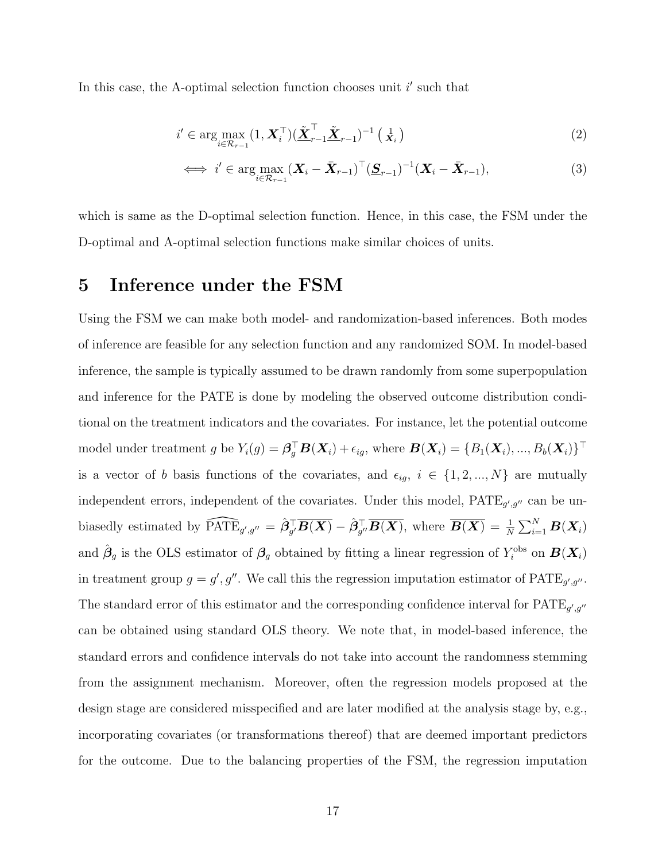In this case, the A-optimal selection function chooses unit  $i'$  such that

$$
i' \in \arg\max_{i \in \mathcal{R}_{r-1}} (1, \boldsymbol{X}_i^\top) (\tilde{\boldsymbol{\underline{X}}}_{r-1}^\top \tilde{\boldsymbol{\underline{X}}}_{r-1})^{-1} (\mathbf{x}_i)
$$
\n(2)

$$
\iff i' \in \arg\max_{i \in \mathcal{R}_{r-1}} (\boldsymbol{X}_i - \bar{\boldsymbol{X}}_{r-1})^\top (\underline{\boldsymbol{S}}_{r-1})^{-1} (\boldsymbol{X}_i - \bar{\boldsymbol{X}}_{r-1}),
$$
\n(3)

which is same as the D-optimal selection function. Hence, in this case, the FSM under the D-optimal and A-optimal selection functions make similar choices of units.

## <span id="page-16-0"></span>5 Inference under the FSM

Using the FSM we can make both model- and randomization-based inferences. Both modes of inference are feasible for any selection function and any randomized SOM. In model-based inference, the sample is typically assumed to be drawn randomly from some superpopulation and inference for the PATE is done by modeling the observed outcome distribution conditional on the treatment indicators and the covariates. For instance, let the potential outcome model under treatment g be  $Y_i(g) = \boldsymbol{\beta}_g^{\top} \boldsymbol{B}(\boldsymbol{X}_i) + \epsilon_{ig}$ , where  $\boldsymbol{B}(\boldsymbol{X}_i) = \{B_1(\boldsymbol{X}_i), ..., B_b(\boldsymbol{X}_i)\}^{\top}$ is a vector of b basis functions of the covariates, and  $\epsilon_{ig}$ ,  $i \in \{1, 2, ..., N\}$  are mutually independent errors, independent of the covariates. Under this model,  $\text{PATE}_{g',g''}$  can be unbiasedly estimated by  $\widehat{\text{PATE}}_{g',g''} = \hat{\beta}_{g'}^{\top} \overline{B(X)} - \hat{\beta}_{g''}^{\top} \overline{B(X)}$ , where  $\overline{B(X)} = \frac{1}{N} \sum_{i=1}^{N} B(X_i)$ and  $\hat{\beta}_g$  is the OLS estimator of  $\beta_g$  obtained by fitting a linear regression of  $Y_i^{\text{obs}}$  on  $\mathbf{B}(\mathbf{X}_i)$ in treatment group  $g = g', g''$ . We call this the regression imputation estimator of PATE<sub>g',g''</sub>. The standard error of this estimator and the corresponding confidence interval for  $\text{PATE}_{g',g''}$ can be obtained using standard OLS theory. We note that, in model-based inference, the standard errors and confidence intervals do not take into account the randomness stemming from the assignment mechanism. Moreover, often the regression models proposed at the design stage are considered misspecified and are later modified at the analysis stage by, e.g., incorporating covariates (or transformations thereof) that are deemed important predictors for the outcome. Due to the balancing properties of the FSM, the regression imputation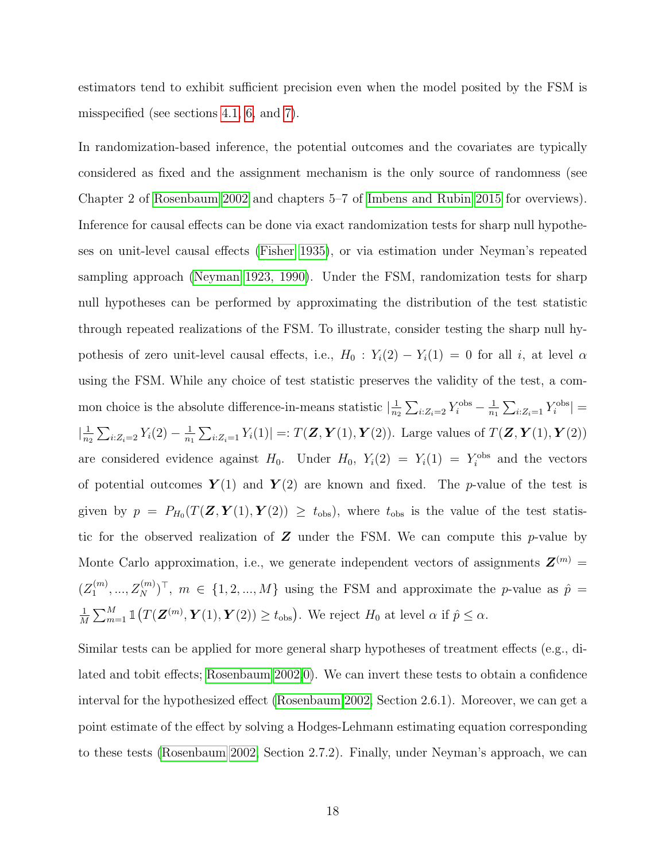estimators tend to exhibit sufficient precision even when the model posited by the FSM is misspecified (see sections [4.1,](#page-10-1) [6,](#page-18-0) and [7\)](#page-25-0).

In randomization-based inference, the potential outcomes and the covariates are typically considered as fixed and the assignment mechanism is the only source of randomness (see Chapter 2 of [Rosenbaum 2002](#page-37-9) and chapters 5–7 of [Imbens and Rubin 2015](#page-36-10) for overviews). Inference for causal effects can be done via exact randomization tests for sharp null hypotheses on unit-level causal effects [\(Fisher 1935\)](#page-36-1), or via estimation under Neyman's repeated sampling approach [\(Neyman 1923, 1990\)](#page-37-6). Under the FSM, randomization tests for sharp null hypotheses can be performed by approximating the distribution of the test statistic through repeated realizations of the FSM. To illustrate, consider testing the sharp null hypothesis of zero unit-level causal effects, i.e.,  $H_0$ :  $Y_i(2) - Y_i(1) = 0$  for all i, at level  $\alpha$ using the FSM. While any choice of test statistic preserves the validity of the test, a common choice is the absolute difference-in-means statistic  $\frac{1}{n}$  $\frac{1}{n_2} \sum_{i: Z_i = 2} Y_i^{\text{obs}} - \frac{1}{n_1}$  $\frac{1}{n_1} \sum_{i:Z_i=1} Y_i^{\text{obs}}$  =  $\frac{1}{n}$  $\frac{1}{n_2}\sum_{i:Z_i=2} Y_i(2) - \frac{1}{n_1}$  $\frac{1}{n_1}\sum_{i:Z_i=1}Y_i(1)|=:T(\mathbf{Z},\mathbf{Y}(1),\mathbf{Y}(2)).$  Large values of  $T(\mathbf{Z},\mathbf{Y}(1),\mathbf{Y}(2))$ are considered evidence against  $H_0$ . Under  $H_0$ ,  $Y_i(2) = Y_i(1) = Y_i^{\text{obs}}$  and the vectors of potential outcomes  $Y(1)$  and  $Y(2)$  are known and fixed. The p-value of the test is given by  $p = P_{H_0}(T(\mathbf{Z}, \mathbf{Y}(1), \mathbf{Y}(2)) \ge t_{obs})$ , where  $t_{obs}$  is the value of the test statistic for the observed realization of  $Z$  under the FSM. We can compute this p-value by Monte Carlo approximation, i.e., we generate independent vectors of assignments  $\mathbf{Z}^{(m)}$  =  $(Z_1^{(m)}$  $\{1, 2, ..., Z_N^{(m)}\}$ ,  $m \in \{1, 2, ..., M\}$  using the FSM and approximate the p-value as  $\hat{p} =$ 1  $\frac{1}{M}\sum_{m=1}^{M} \mathbb{1}(T(\mathbf{Z}^{(m)}, \mathbf{Y}(1), \mathbf{Y}(2)) \ge t_{\text{obs}})$ . We reject  $H_0$  at level  $\alpha$  if  $\hat{p} \le \alpha$ .

Similar tests can be applied for more general sharp hypotheses of treatment effects (e.g., dilated and tobit effects; [Rosenbaum 2002,](#page-37-9)[0\)](#page-37-10). We can invert these tests to obtain a confidence interval for the hypothesized effect [\(Rosenbaum 2002,](#page-37-9) Section 2.6.1). Moreover, we can get a point estimate of the effect by solving a Hodges-Lehmann estimating equation corresponding to these tests [\(Rosenbaum 2002,](#page-37-9) Section 2.7.2). Finally, under Neyman's approach, we can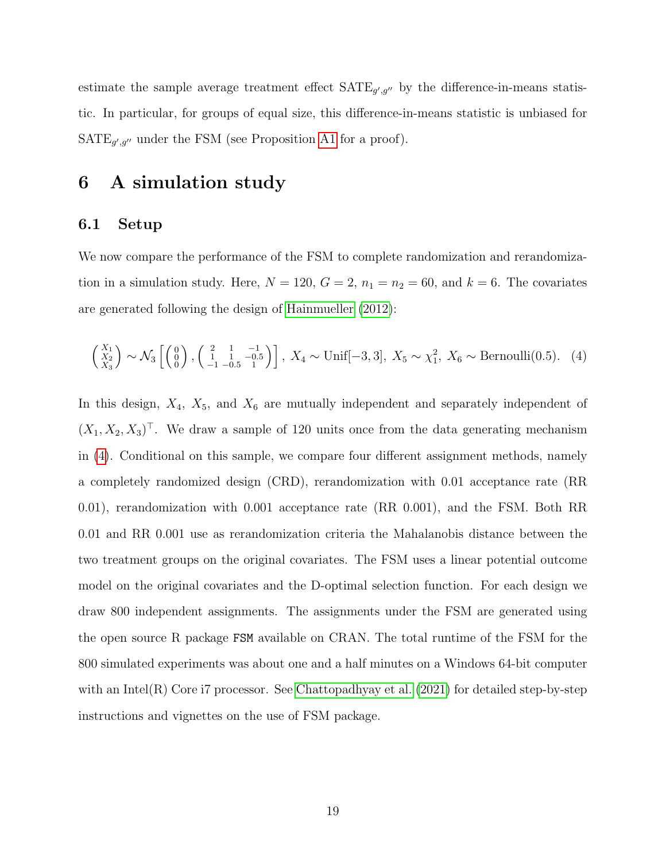estimate the sample average treatment effect  $\text{SATE}_{g',g''}$  by the difference-in-means statistic. In particular, for groups of equal size, this difference-in-means statistic is unbiased for  $\text{SATE}_{g',g''}$  under the FSM (see Proposition [A1](#page-46-0) for a proof).

## <span id="page-18-0"></span>6 A simulation study

#### <span id="page-18-1"></span>6.1 Setup

We now compare the performance of the FSM to complete randomization and rerandomization in a simulation study. Here,  $N = 120$ ,  $G = 2$ ,  $n_1 = n_2 = 60$ , and  $k = 6$ . The covariates are generated following the design of [Hainmueller](#page-36-11) [\(2012\)](#page-36-11):

<span id="page-18-2"></span>
$$
\begin{pmatrix} X_1 \\ X_2 \\ X_3 \end{pmatrix}
$$
 ~  $\mathcal{N}_3 \begin{bmatrix} 0 \\ 0 \\ 0 \end{bmatrix}$ ,  $\begin{pmatrix} 2 & 1 & -1 \\ 1 & 1 & -0.5 \\ -1 & -0.5 & 1 \end{pmatrix}$ ,  $X_4 \sim \text{Unif}[-3, 3]$ ,  $X_5 \sim \chi_1^2$ ,  $X_6 \sim \text{Bernoulli}(0.5)$ . (4)

In this design,  $X_4$ ,  $X_5$ , and  $X_6$  are mutually independent and separately independent of  $(X_1, X_2, X_3)^\top$ . We draw a sample of 120 units once from the data generating mechanism in [\(4\)](#page-18-2). Conditional on this sample, we compare four different assignment methods, namely a completely randomized design (CRD), rerandomization with 0.01 acceptance rate (RR 0.01), rerandomization with 0.001 acceptance rate (RR 0.001), and the FSM. Both RR 0.01 and RR 0.001 use as rerandomization criteria the Mahalanobis distance between the two treatment groups on the original covariates. The FSM uses a linear potential outcome model on the original covariates and the D-optimal selection function. For each design we draw 800 independent assignments. The assignments under the FSM are generated using the open source R package FSM available on CRAN. The total runtime of the FSM for the 800 simulated experiments was about one and a half minutes on a Windows 64-bit computer with an Intel $(R)$  Core i7 processor. See [Chattopadhyay et al.](#page-36-7)  $(2021)$  for detailed step-by-step instructions and vignettes on the use of FSM package.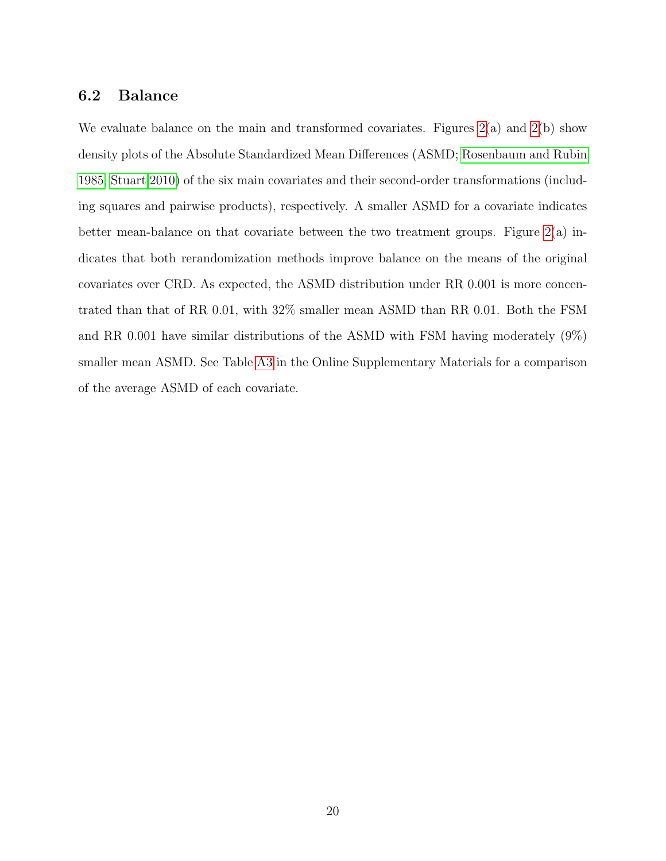#### <span id="page-19-0"></span>6.2 Balance

We evaluate balance on the main and transformed covariates. Figures [2\(](#page-20-0)a) and 2(b) show density plots of the Absolute Standardized Mean Differences (ASMD; [Rosenbaum and Rubin](#page-37-5) [1985,](#page-37-5) [Stuart 2010\)](#page-37-11) of the six main covariates and their second-order transformations (including squares and pairwise products), respectively. A smaller ASMD for a covariate indicates better mean-balance on that covariate between the two treatment groups. Figure  $2(a)$  indicates that both rerandomization methods improve balance on the means of the original covariates over CRD. As expected, the ASMD distribution under RR 0.001 is more concentrated than that of RR 0.01, with 32% smaller mean ASMD than RR 0.01. Both the FSM and RR 0.001 have similar distributions of the ASMD with FSM having moderately (9%) smaller mean ASMD. See Table [A3](#page-53-1) in the Online Supplementary Materials for a comparison of the average ASMD of each covariate.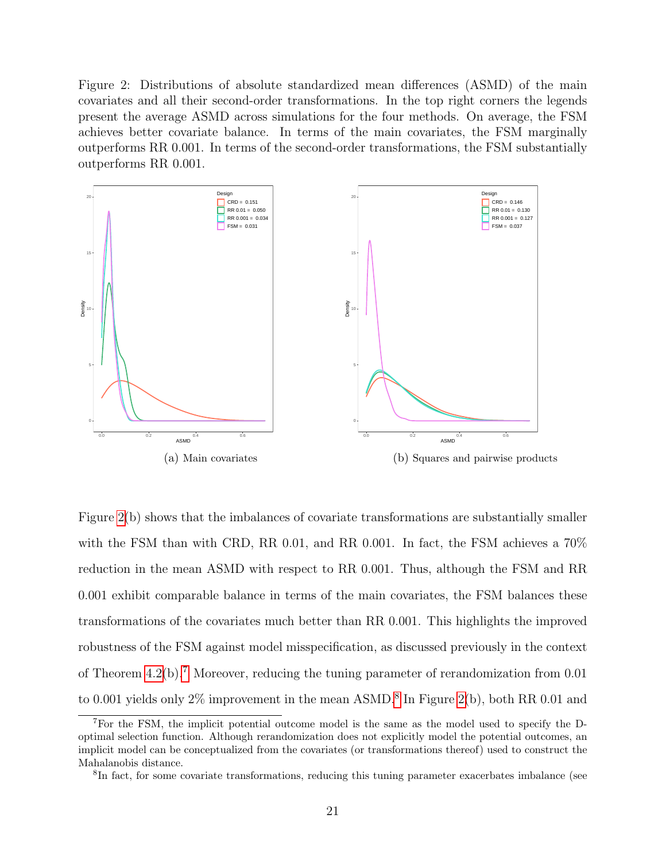Figure 2: Distributions of absolute standardized mean differences (ASMD) of the main covariates and all their second-order transformations. In the top right corners the legends present the average ASMD across simulations for the four methods. On average, the FSM achieves better covariate balance. In terms of the main covariates, the FSM marginally outperforms RR 0.001. In terms of the second-order transformations, the FSM substantially outperforms RR 0.001.

<span id="page-20-0"></span>

Figure [2\(](#page-20-0)b) shows that the imbalances of covariate transformations are substantially smaller with the FSM than with CRD, RR 0.01, and RR 0.001. In fact, the FSM achieves a 70% reduction in the mean ASMD with respect to RR 0.001. Thus, although the FSM and RR 0.001 exhibit comparable balance in terms of the main covariates, the FSM balances these transformations of the covariates much better than RR 0.001. This highlights the improved robustness of the FSM against model misspecification, as discussed previously in the context of Theorem  $4.2(b)$ .<sup>[7](#page-20-1)</sup> Moreover, reducing the tuning parameter of rerandomization from 0.01 to 0.001 yields only  $2\%$  improvement in the mean ASMD.<sup>[8](#page-20-2)</sup> In Figure [2\(](#page-20-0)b), both RR 0.01 and

<span id="page-20-1"></span><sup>7</sup>For the FSM, the implicit potential outcome model is the same as the model used to specify the Doptimal selection function. Although rerandomization does not explicitly model the potential outcomes, an implicit model can be conceptualized from the covariates (or transformations thereof) used to construct the Mahalanobis distance.

<span id="page-20-2"></span><sup>&</sup>lt;sup>8</sup>In fact, for some covariate transformations, reducing this tuning parameter exacerbates imbalance (see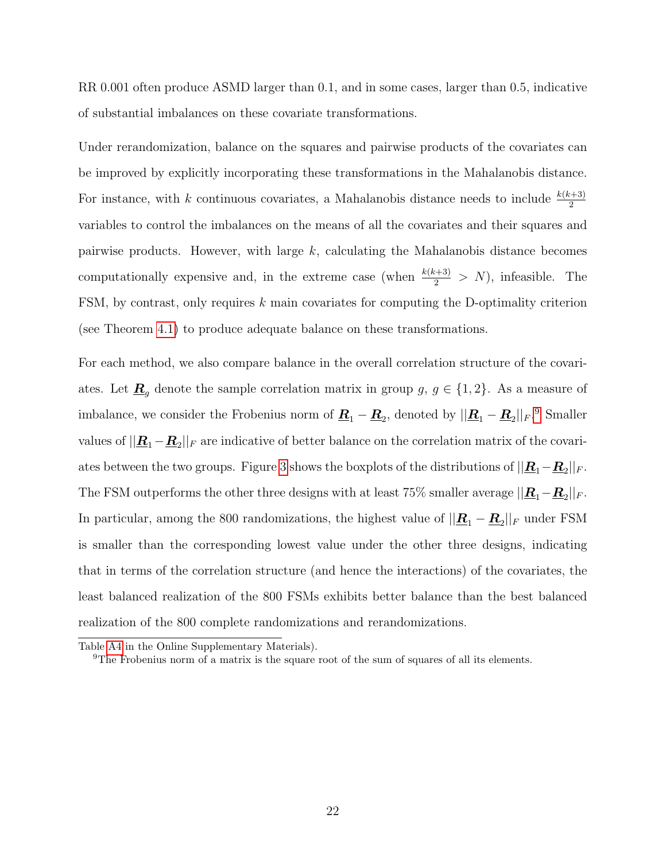RR 0.001 often produce ASMD larger than 0.1, and in some cases, larger than 0.5, indicative of substantial imbalances on these covariate transformations.

Under rerandomization, balance on the squares and pairwise products of the covariates can be improved by explicitly incorporating these transformations in the Mahalanobis distance. For instance, with k continuous covariates, a Mahalanobis distance needs to include  $\frac{k(k+3)}{2}$ variables to control the imbalances on the means of all the covariates and their squares and pairwise products. However, with large k, calculating the Mahalanobis distance becomes computationally expensive and, in the extreme case (when  $\frac{k(k+3)}{2} > N$ ), infeasible. The FSM, by contrast, only requires  $k$  main covariates for computing the D-optimality criterion (see Theorem [4.1\)](#page-11-3) to produce adequate balance on these transformations.

For each method, we also compare balance in the overall correlation structure of the covariates. Let  $\underline{\mathbf{R}}_g$  denote the sample correlation matrix in group  $g, g \in \{1, 2\}$ . As a measure of imbalance, we consider the Frobenius norm of  $\underline{\mathbf{R}}_1 - \underline{\mathbf{R}}_2$ , denoted by  $||\underline{\mathbf{R}}_1 - \underline{\mathbf{R}}_2||_F$ .<sup>[9](#page-21-0)</sup> Smaller values of  $||\mathbf{R}_1 - \mathbf{R}_2||_F$  are indicative of better balance on the correlation matrix of the covari-ates between the two groups. Figure [3](#page-22-1) shows the boxplots of the distributions of  $||\mathbf{R}_1-\mathbf{R}_2||_F$ . The FSM outperforms the other three designs with at least 75% smaller average  $||\mathbf{R}_1-\mathbf{R}_2||_F$ . In particular, among the 800 randomizations, the highest value of  $||\mathbf{R}_{1} - \mathbf{R}_{2}||_{F}$  under FSM is smaller than the corresponding lowest value under the other three designs, indicating that in terms of the correlation structure (and hence the interactions) of the covariates, the least balanced realization of the 800 FSMs exhibits better balance than the best balanced realization of the 800 complete randomizations and rerandomizations.

Table [A4](#page-54-0) in the Online Supplementary Materials).

<span id="page-21-0"></span><sup>9</sup>The Frobenius norm of a matrix is the square root of the sum of squares of all its elements.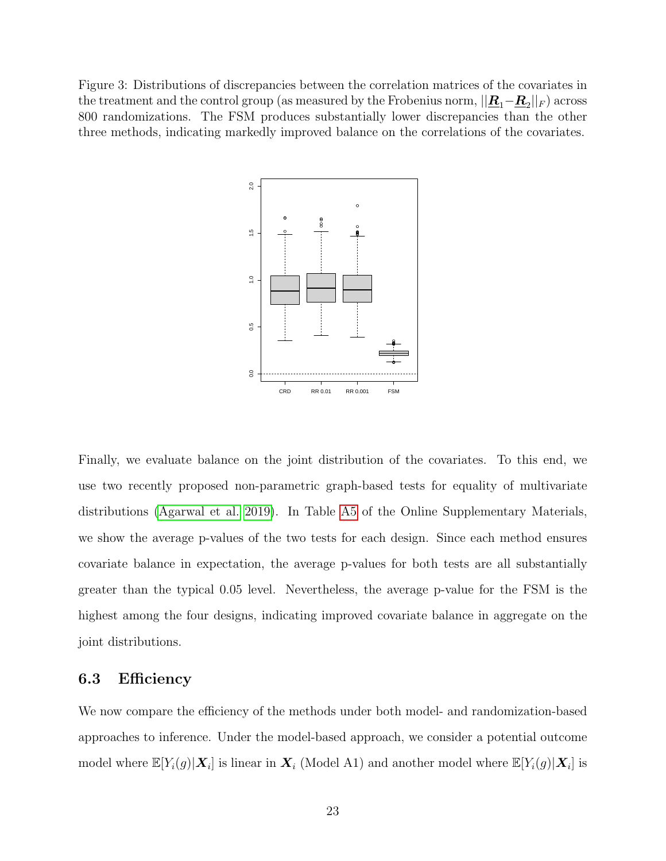<span id="page-22-1"></span>Figure 3: Distributions of discrepancies between the correlation matrices of the covariates in the treatment and the control group (as measured by the Frobenius norm,  $||\underline{\bm{R}}_1 - \underline{\bm{R}}_2||_F)$  across 800 randomizations. The FSM produces substantially lower discrepancies than the other three methods, indicating markedly improved balance on the correlations of the covariates.



Finally, we evaluate balance on the joint distribution of the covariates. To this end, we use two recently proposed non-parametric graph-based tests for equality of multivariate distributions [\(Agarwal et al. 2019\)](#page-35-0). In Table [A5](#page-54-1) of the Online Supplementary Materials, we show the average p-values of the two tests for each design. Since each method ensures covariate balance in expectation, the average p-values for both tests are all substantially greater than the typical 0.05 level. Nevertheless, the average p-value for the FSM is the highest among the four designs, indicating improved covariate balance in aggregate on the joint distributions.

#### <span id="page-22-0"></span>6.3 Efficiency

We now compare the efficiency of the methods under both model- and randomization-based approaches to inference. Under the model-based approach, we consider a potential outcome model where  $\mathbb{E}[Y_i(g)|\bm{X}_i]$  is linear in  $\bm{X}_i$  (Model A1) and another model where  $\mathbb{E}[Y_i(g)|\bm{X}_i]$  is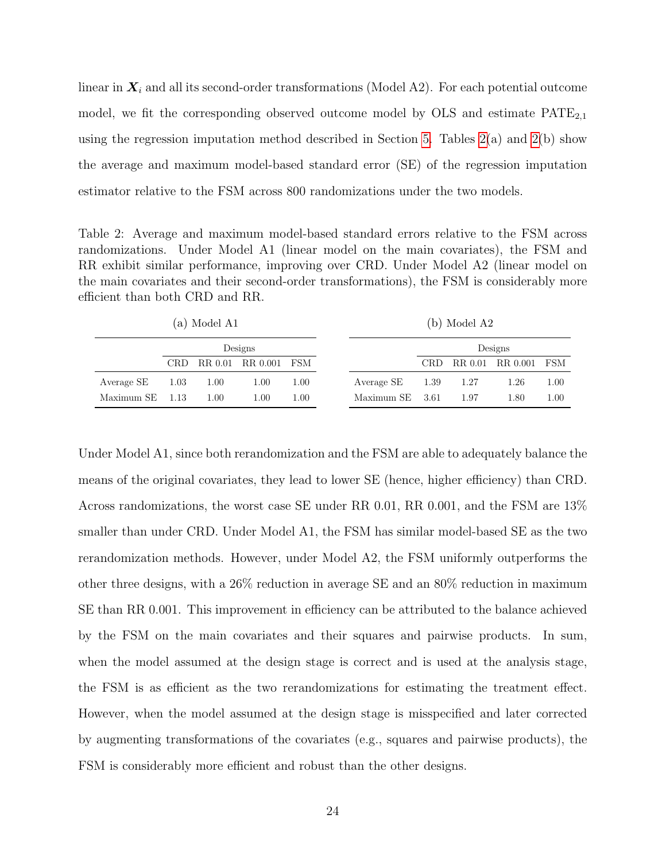linear in  $X_i$  and all its second-order transformations (Model A2). For each potential outcome model, we fit the corresponding observed outcome model by  $OLS$  and estimate  $PATE_{2,1}$ using the regression imputation method described in Section [5.](#page-16-0) Tables  $2(a)$  and  $2(b)$  show the average and maximum model-based standard error (SE) of the regression imputation estimator relative to the FSM across 800 randomizations under the two models.

Table 2: Average and maximum model-based standard errors relative to the FSM across randomizations. Under Model A1 (linear model on the main covariates), the FSM and RR exhibit similar performance, improving over CRD. Under Model A2 (linear model on the main covariates and their second-order transformations), the FSM is considerably more efficient than both CRD and RR.

|  | $(a)$ Model A1 |  |
|--|----------------|--|
|--|----------------|--|

(b) Model A2

<span id="page-23-0"></span>

|                 |      |      | Designs              |      |                   |     | Designs |                      |      |
|-----------------|------|------|----------------------|------|-------------------|-----|---------|----------------------|------|
|                 | CRD. |      | RR 0.01 RR 0.001 FSM |      |                   | CRD |         | RR 0.01 RR 0.001 FSM |      |
| Average SE      | 1.03 | 1.00 | 1.00                 | 1.00 | Average $SE$ 1.39 |     | - 1.27  | 1.26                 | 1.00 |
| Maximum SE 1.13 |      | 1.00 | 1.00                 | 1.00 | Maximum SE 3.61   |     | 1.97    | 1.80                 | 1.00 |

Under Model A1, since both rerandomization and the FSM are able to adequately balance the means of the original covariates, they lead to lower SE (hence, higher efficiency) than CRD. Across randomizations, the worst case SE under RR 0.01, RR 0.001, and the FSM are 13% smaller than under CRD. Under Model A1, the FSM has similar model-based SE as the two rerandomization methods. However, under Model A2, the FSM uniformly outperforms the other three designs, with a 26% reduction in average SE and an 80% reduction in maximum SE than RR 0.001. This improvement in efficiency can be attributed to the balance achieved by the FSM on the main covariates and their squares and pairwise products. In sum, when the model assumed at the design stage is correct and is used at the analysis stage, the FSM is as efficient as the two rerandomizations for estimating the treatment effect. However, when the model assumed at the design stage is misspecified and later corrected by augmenting transformations of the covariates (e.g., squares and pairwise products), the FSM is considerably more efficient and robust than the other designs.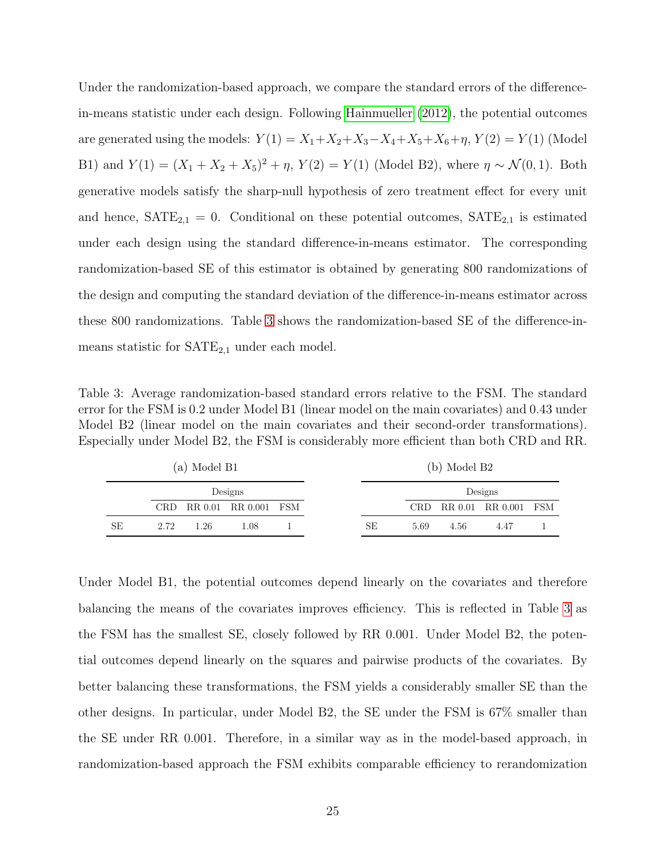Under the randomization-based approach, we compare the standard errors of the differencein-means statistic under each design. Following [Hainmueller](#page-36-11) [\(2012\)](#page-36-11), the potential outcomes are generated using the models:  $Y(1) = X_1 + X_2 + X_3 - X_4 + X_5 + X_6 + \eta$ ,  $Y(2) = Y(1)$  (Model B1) and  $Y(1) = (X_1 + X_2 + X_5)^2 + \eta$ ,  $Y(2) = Y(1)$  (Model B2), where  $\eta \sim \mathcal{N}(0, 1)$ . Both generative models satisfy the sharp-null hypothesis of zero treatment effect for every unit and hence,  $\text{SATE}_{2,1} = 0$ . Conditional on these potential outcomes,  $\text{SATE}_{2,1}$  is estimated under each design using the standard difference-in-means estimator. The corresponding randomization-based SE of this estimator is obtained by generating 800 randomizations of the design and computing the standard deviation of the difference-in-means estimator across these 800 randomizations. Table [3](#page-24-0) shows the randomization-based SE of the difference-inmeans statistic for  $SATE_{2,1}$  under each model.

Table 3: Average randomization-based standard errors relative to the FSM. The standard error for the FSM is 0.2 under Model B1 (linear model on the main covariates) and 0.43 under Model B2 (linear model on the main covariates and their second-order transformations). Especially under Model B2, the FSM is considerably more efficient than both CRD and RR.

<span id="page-24-0"></span>

| (a) Model B1 |      |        |                          |  |    | (b) Model B2 |         |                      |  |  |
|--------------|------|--------|--------------------------|--|----|--------------|---------|----------------------|--|--|
| Designs      |      |        |                          |  |    |              | Designs |                      |  |  |
|              |      |        | CRD RR 0.01 RR 0.001 FSM |  |    | CRD.         |         | RR 0.01 RR 0.001 FSM |  |  |
| SЕ           | 2.72 | - 1.26 | 1.08                     |  | SE | 5.69         | 4.56    | 4.47                 |  |  |

Under Model B1, the potential outcomes depend linearly on the covariates and therefore balancing the means of the covariates improves efficiency. This is reflected in Table [3](#page-24-0) as the FSM has the smallest SE, closely followed by RR 0.001. Under Model B2, the potential outcomes depend linearly on the squares and pairwise products of the covariates. By better balancing these transformations, the FSM yields a considerably smaller SE than the other designs. In particular, under Model B2, the SE under the FSM is 67% smaller than the SE under RR 0.001. Therefore, in a similar way as in the model-based approach, in randomization-based approach the FSM exhibits comparable efficiency to rerandomization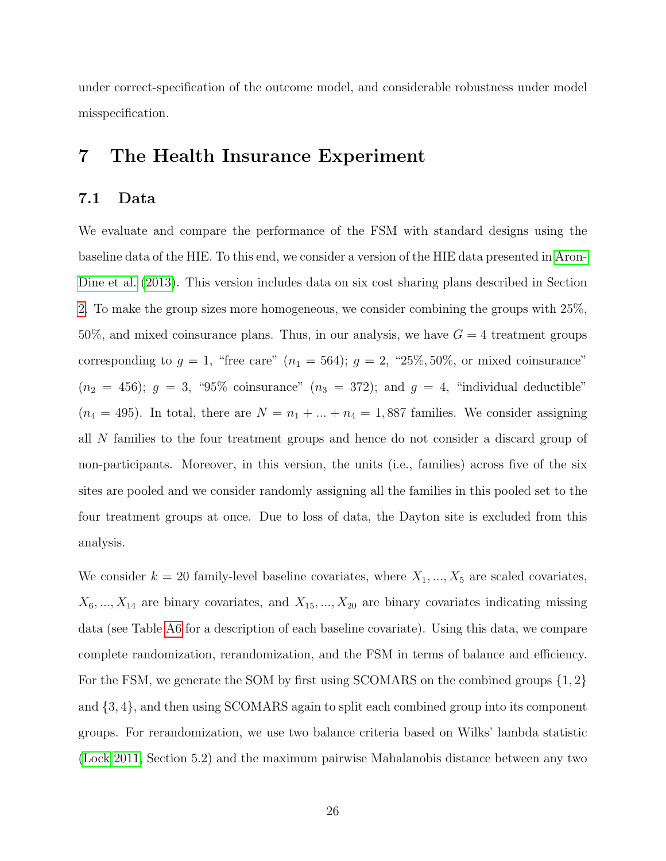under correct-specification of the outcome model, and considerable robustness under model misspecification.

## <span id="page-25-0"></span>7 The Health Insurance Experiment

#### <span id="page-25-1"></span>7.1 Data

We evaluate and compare the performance of the FSM with standard designs using the baseline data of the HIE. To this end, we consider a version of the HIE data presented in [Aron-](#page-36-12)[Dine et al.](#page-36-12) [\(2013\)](#page-36-12). This version includes data on six cost sharing plans described in Section [2.](#page-6-0) To make the group sizes more homogeneous, we consider combining the groups with 25%, 50%, and mixed coinsurance plans. Thus, in our analysis, we have  $G = 4$  treatment groups corresponding to  $g = 1$ , "free care"  $(n_1 = 564)$ ;  $g = 2$ , "25%, 50%, or mixed coinsurance"  $(n_2 = 456); g = 3, \text{``}95\% \text{ coinsurance'' } (n_3 = 372); \text{ and } g = 4, \text{ ``individual deductible'' }$  $(n_4 = 495)$ . In total, there are  $N = n_1 + ... + n_4 = 1,887$  families. We consider assigning all N families to the four treatment groups and hence do not consider a discard group of non-participants. Moreover, in this version, the units (i.e., families) across five of the six sites are pooled and we consider randomly assigning all the families in this pooled set to the four treatment groups at once. Due to loss of data, the Dayton site is excluded from this analysis.

We consider  $k = 20$  family-level baseline covariates, where  $X_1, ..., X_5$  are scaled covariates,  $X_6, ..., X_{14}$  are binary covariates, and  $X_{15}, ..., X_{20}$  are binary covariates indicating missing data (see Table [A6](#page-56-1) for a description of each baseline covariate). Using this data, we compare complete randomization, rerandomization, and the FSM in terms of balance and efficiency. For the FSM, we generate the SOM by first using SCOMARS on the combined groups  $\{1, 2\}$ and {3, 4}, and then using SCOMARS again to split each combined group into its component groups. For rerandomization, we use two balance criteria based on Wilks' lambda statistic [\(Lock 2011,](#page-37-12) Section 5.2) and the maximum pairwise Mahalanobis distance between any two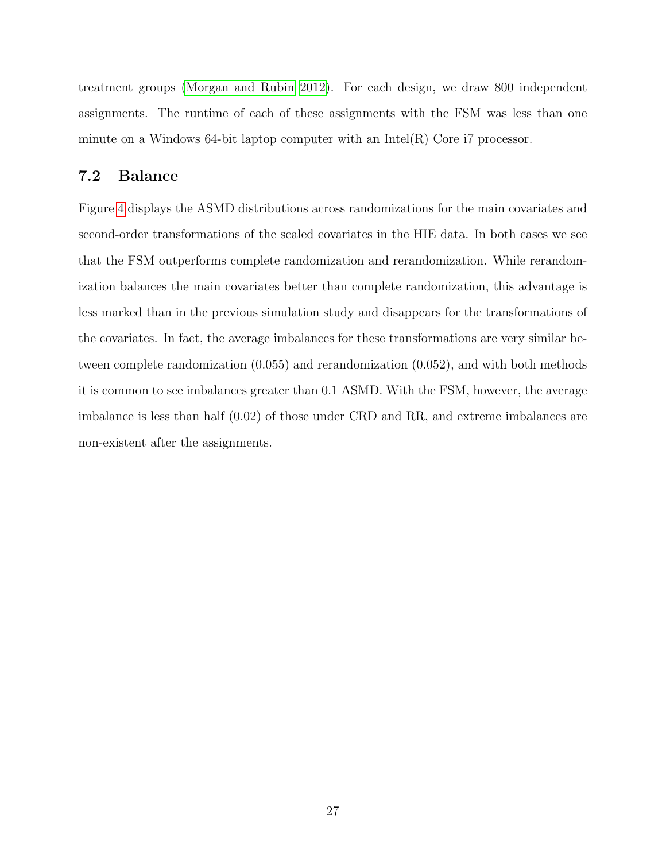treatment groups [\(Morgan and Rubin 2012\)](#page-37-3). For each design, we draw 800 independent assignments. The runtime of each of these assignments with the FSM was less than one minute on a Windows 64-bit laptop computer with an  $Intel(R)$  Core i7 processor.

#### <span id="page-26-0"></span>7.2 Balance

Figure [4](#page-27-0) displays the ASMD distributions across randomizations for the main covariates and second-order transformations of the scaled covariates in the HIE data. In both cases we see that the FSM outperforms complete randomization and rerandomization. While rerandomization balances the main covariates better than complete randomization, this advantage is less marked than in the previous simulation study and disappears for the transformations of the covariates. In fact, the average imbalances for these transformations are very similar between complete randomization (0.055) and rerandomization (0.052), and with both methods it is common to see imbalances greater than 0.1 ASMD. With the FSM, however, the average imbalance is less than half (0.02) of those under CRD and RR, and extreme imbalances are non-existent after the assignments.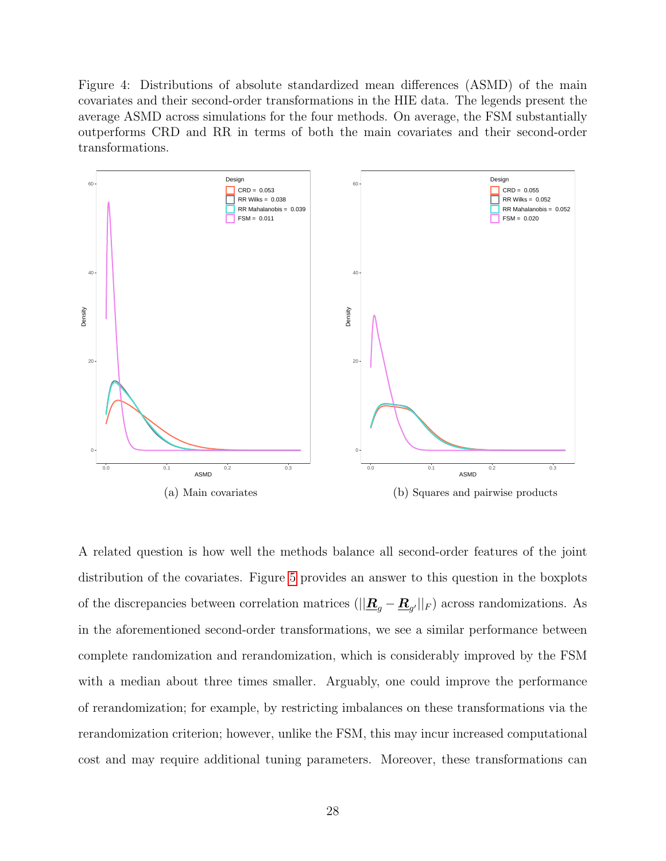Figure 4: Distributions of absolute standardized mean differences (ASMD) of the main covariates and their second-order transformations in the HIE data. The legends present the average ASMD across simulations for the four methods. On average, the FSM substantially outperforms CRD and RR in terms of both the main covariates and their second-order transformations.

<span id="page-27-0"></span>

A related question is how well the methods balance all second-order features of the joint distribution of the covariates. Figure [5](#page-28-1) provides an answer to this question in the boxplots of the discrepancies between correlation matrices ( $||\mathbf{R}_{g} - \mathbf{R}_{g'}||_F$ ) across randomizations. As in the aforementioned second-order transformations, we see a similar performance between complete randomization and rerandomization, which is considerably improved by the FSM with a median about three times smaller. Arguably, one could improve the performance of rerandomization; for example, by restricting imbalances on these transformations via the rerandomization criterion; however, unlike the FSM, this may incur increased computational cost and may require additional tuning parameters. Moreover, these transformations can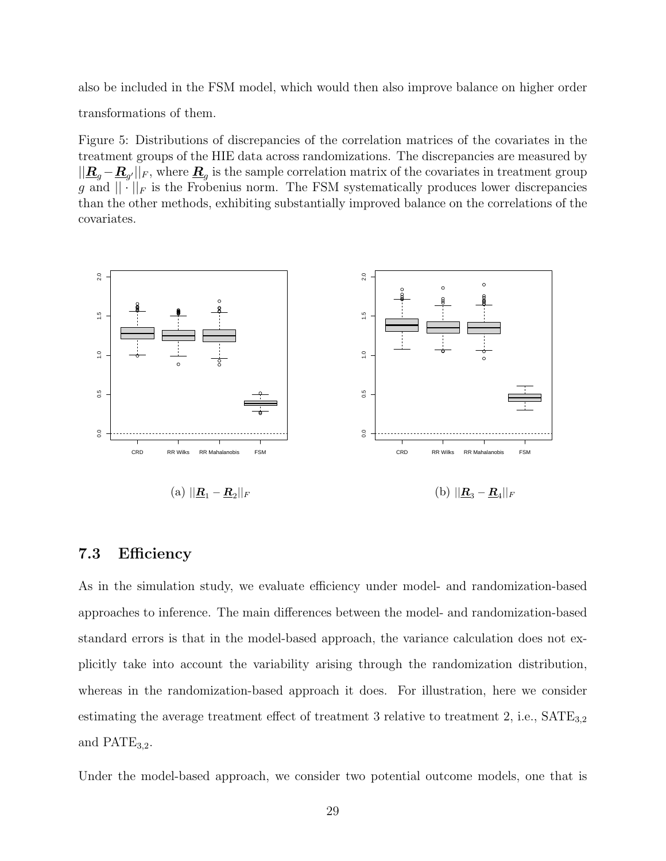also be included in the FSM model, which would then also improve balance on higher order transformations of them.

Figure 5: Distributions of discrepancies of the correlation matrices of the covariates in the treatment groups of the HIE data across randomizations. The discrepancies are measured by  $||\mathbf{R}_g - \mathbf{R}_{g'}||_F$ , where  $\mathbf{R}_g$  is the sample correlation matrix of the covariates in treatment group g and  $\|\cdot\|_F$  is the Frobenius norm. The FSM systematically produces lower discrepancies than the other methods, exhibiting substantially improved balance on the correlations of the covariates.

<span id="page-28-1"></span>

#### <span id="page-28-0"></span>7.3 Efficiency

As in the simulation study, we evaluate efficiency under model- and randomization-based approaches to inference. The main differences between the model- and randomization-based standard errors is that in the model-based approach, the variance calculation does not explicitly take into account the variability arising through the randomization distribution, whereas in the randomization-based approach it does. For illustration, here we consider estimating the average treatment effect of treatment 3 relative to treatment  $2$ , i.e.,  $SATE_{3,2}$ and  $\text{PATE}_{3,2}$ .

Under the model-based approach, we consider two potential outcome models, one that is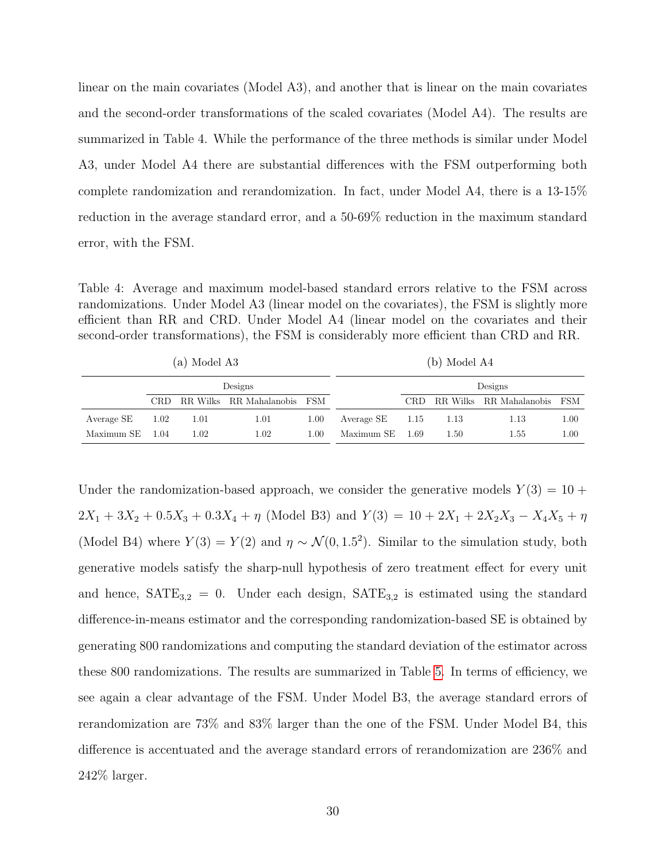linear on the main covariates (Model A3), and another that is linear on the main covariates and the second-order transformations of the scaled covariates (Model A4). The results are summarized in Table 4. While the performance of the three methods is similar under Model A3, under Model A4 there are substantial differences with the FSM outperforming both complete randomization and rerandomization. In fact, under Model A4, there is a 13-15% reduction in the average standard error, and a 50-69% reduction in the maximum standard error, with the FSM.

Table 4: Average and maximum model-based standard errors relative to the FSM across randomizations. Under Model A3 (linear model on the covariates), the FSM is slightly more efficient than RR and CRD. Under Model A4 (linear model on the covariates and their second-order transformations), the FSM is considerably more efficient than CRD and RR.

|                   | (a) Model A3 |         | (b) Model A4                |      |            |         |      |                         |      |
|-------------------|--------------|---------|-----------------------------|------|------------|---------|------|-------------------------|------|
|                   |              | Designs |                             |      |            | Designs |      |                         |      |
|                   | CRD-         |         | RR Wilks RR Mahalanobis FSM |      |            | CRD.    |      | RR Wilks RR Mahalanobis | FSM  |
| Average SE        | 1.02         | 1.01    | 1.01                        | 1.00 | Average SE | - 1.15  | 1.13 | 1.13                    | 1.00 |
| Maximum $SE$ 1.04 |              | 1.02    | 1.02                        | 1.00 | Maximum SE | - 1.69  | 1.50 | 1.55                    | 1.00 |

Under the randomization-based approach, we consider the generative models  $Y(3) = 10 +$  $2X_1 + 3X_2 + 0.5X_3 + 0.3X_4 + \eta$  (Model B3) and  $Y(3) = 10 + 2X_1 + 2X_2X_3 - X_4X_5 + \eta$ (Model B4) where  $Y(3) = Y(2)$  and  $\eta \sim \mathcal{N}(0, 1.5^2)$ . Similar to the simulation study, both generative models satisfy the sharp-null hypothesis of zero treatment effect for every unit and hence,  $SATE_{3,2} = 0$ . Under each design,  $SATE_{3,2}$  is estimated using the standard difference-in-means estimator and the corresponding randomization-based SE is obtained by generating 800 randomizations and computing the standard deviation of the estimator across these 800 randomizations. The results are summarized in Table [5.](#page-30-1) In terms of efficiency, we see again a clear advantage of the FSM. Under Model B3, the average standard errors of rerandomization are 73% and 83% larger than the one of the FSM. Under Model B4, this difference is accentuated and the average standard errors of rerandomization are 236% and 242% larger.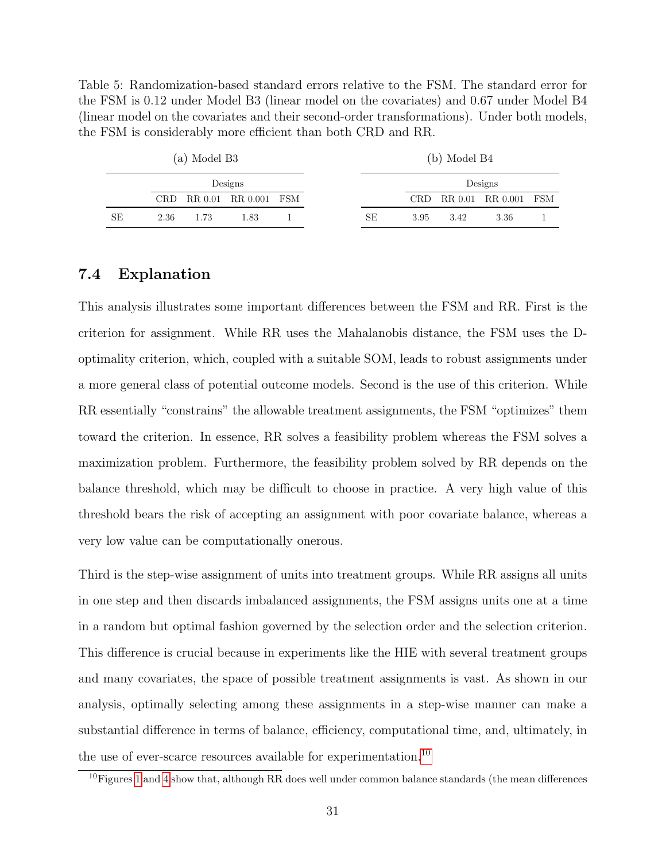Table 5: Randomization-based standard errors relative to the FSM. The standard error for the FSM is 0.12 under Model B3 (linear model on the covariates) and 0.67 under Model B4 (linear model on the covariates and their second-order transformations). Under both models, the FSM is considerably more efficient than both CRD and RR.

<span id="page-30-1"></span>

|    |         | (a) Model B3 |                          |  |    | (b) Model B4 |      |                      |  |  |
|----|---------|--------------|--------------------------|--|----|--------------|------|----------------------|--|--|
|    | Designs |              |                          |  |    |              |      | Designs              |  |  |
|    |         |              | CRD RR 0.01 RR 0.001 FSM |  |    | CRD          |      | RR 0.01 RR 0.001 FSM |  |  |
| SЕ | 2.36    | 1.73         | 1.83                     |  | SE | 3.95         | 3.42 | 3.36                 |  |  |

#### <span id="page-30-0"></span>7.4 Explanation

This analysis illustrates some important differences between the FSM and RR. First is the criterion for assignment. While RR uses the Mahalanobis distance, the FSM uses the Doptimality criterion, which, coupled with a suitable SOM, leads to robust assignments under a more general class of potential outcome models. Second is the use of this criterion. While RR essentially "constrains" the allowable treatment assignments, the FSM "optimizes" them toward the criterion. In essence, RR solves a feasibility problem whereas the FSM solves a maximization problem. Furthermore, the feasibility problem solved by RR depends on the balance threshold, which may be difficult to choose in practice. A very high value of this threshold bears the risk of accepting an assignment with poor covariate balance, whereas a very low value can be computationally onerous.

Third is the step-wise assignment of units into treatment groups. While RR assigns all units in one step and then discards imbalanced assignments, the FSM assigns units one at a time in a random but optimal fashion governed by the selection order and the selection criterion. This difference is crucial because in experiments like the HIE with several treatment groups and many covariates, the space of possible treatment assignments is vast. As shown in our analysis, optimally selecting among these assignments in a step-wise manner can make a substantial difference in terms of balance, efficiency, computational time, and, ultimately, in the use of ever-scarce resources available for experimentation.<sup>[10](#page-30-2)</sup>

<span id="page-30-2"></span> $10$ Figures [1](#page-5-0) and [4](#page-27-0) show that, although RR does well under common balance standards (the mean differences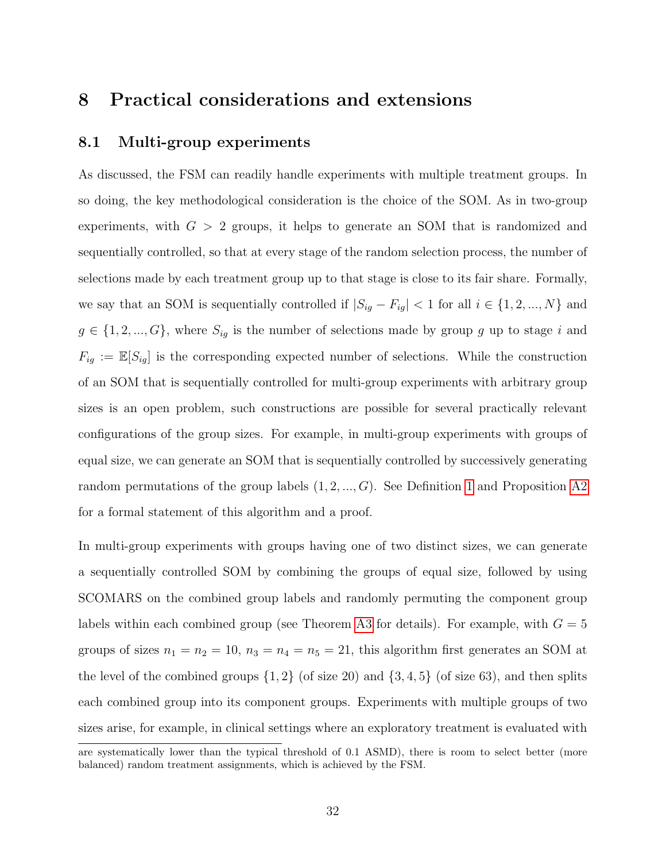## <span id="page-31-0"></span>8 Practical considerations and extensions

#### <span id="page-31-1"></span>8.1 Multi-group experiments

As discussed, the FSM can readily handle experiments with multiple treatment groups. In so doing, the key methodological consideration is the choice of the SOM. As in two-group experiments, with  $G > 2$  groups, it helps to generate an SOM that is randomized and sequentially controlled, so that at every stage of the random selection process, the number of selections made by each treatment group up to that stage is close to its fair share. Formally, we say that an SOM is sequentially controlled if  $|S_{ig} - F_{ig}| < 1$  for all  $i \in \{1, 2, ..., N\}$  and  $g \in \{1, 2, ..., G\}$ , where  $S_{ig}$  is the number of selections made by group g up to stage i and  $F_{ig} := \mathbb{E}[S_{ig}]$  is the corresponding expected number of selections. While the construction of an SOM that is sequentially controlled for multi-group experiments with arbitrary group sizes is an open problem, such constructions are possible for several practically relevant configurations of the group sizes. For example, in multi-group experiments with groups of equal size, we can generate an SOM that is sequentially controlled by successively generating random permutations of the group labels  $(1, 2, ..., G)$ . See Definition [1](#page-47-3) and Proposition [A2](#page-47-4) for a formal statement of this algorithm and a proof.

In multi-group experiments with groups having one of two distinct sizes, we can generate a sequentially controlled SOM by combining the groups of equal size, followed by using SCOMARS on the combined group labels and randomly permuting the component group labels within each combined group (see Theorem [A3](#page-48-0) for details). For example, with  $G = 5$ groups of sizes  $n_1 = n_2 = 10$ ,  $n_3 = n_4 = n_5 = 21$ , this algorithm first generates an SOM at the level of the combined groups  $\{1, 2\}$  (of size 20) and  $\{3, 4, 5\}$  (of size 63), and then splits each combined group into its component groups. Experiments with multiple groups of two sizes arise, for example, in clinical settings where an exploratory treatment is evaluated with are systematically lower than the typical threshold of 0.1 ASMD), there is room to select better (more

balanced) random treatment assignments, which is achieved by the FSM.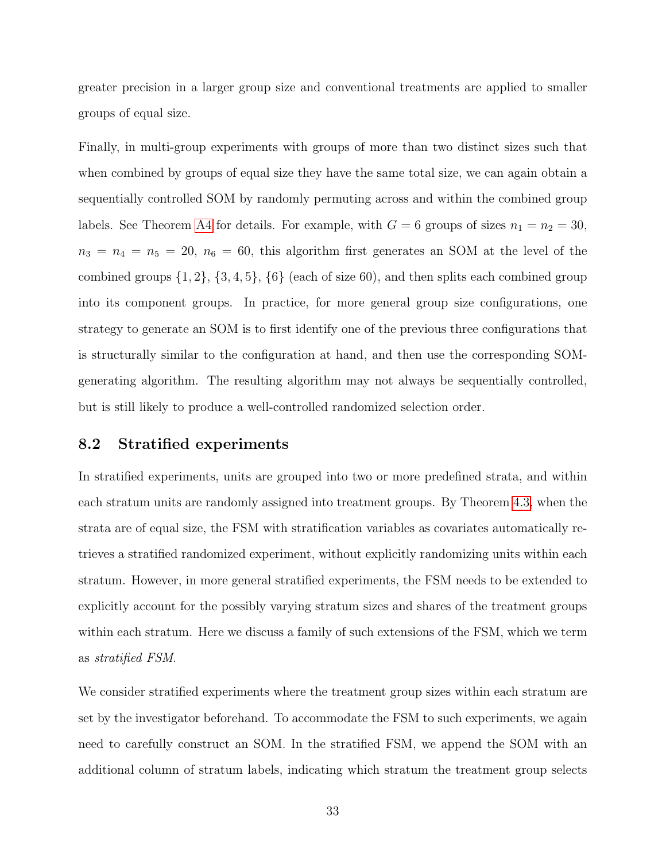greater precision in a larger group size and conventional treatments are applied to smaller groups of equal size.

Finally, in multi-group experiments with groups of more than two distinct sizes such that when combined by groups of equal size they have the same total size, we can again obtain a sequentially controlled SOM by randomly permuting across and within the combined group labels. See Theorem [A4](#page-50-0) for details. For example, with  $G = 6$  groups of sizes  $n_1 = n_2 = 30$ ,  $n_3 = n_4 = n_5 = 20$ ,  $n_6 = 60$ , this algorithm first generates an SOM at the level of the combined groups  $\{1, 2\}$ ,  $\{3, 4, 5\}$ ,  $\{6\}$  (each of size 60), and then splits each combined group into its component groups. In practice, for more general group size configurations, one strategy to generate an SOM is to first identify one of the previous three configurations that is structurally similar to the configuration at hand, and then use the corresponding SOMgenerating algorithm. The resulting algorithm may not always be sequentially controlled, but is still likely to produce a well-controlled randomized selection order.

### <span id="page-32-0"></span>8.2 Stratified experiments

In stratified experiments, units are grouped into two or more predefined strata, and within each stratum units are randomly assigned into treatment groups. By Theorem [4.3,](#page-14-0) when the strata are of equal size, the FSM with stratification variables as covariates automatically retrieves a stratified randomized experiment, without explicitly randomizing units within each stratum. However, in more general stratified experiments, the FSM needs to be extended to explicitly account for the possibly varying stratum sizes and shares of the treatment groups within each stratum. Here we discuss a family of such extensions of the FSM, which we term as stratified FSM.

We consider stratified experiments where the treatment group sizes within each stratum are set by the investigator beforehand. To accommodate the FSM to such experiments, we again need to carefully construct an SOM. In the stratified FSM, we append the SOM with an additional column of stratum labels, indicating which stratum the treatment group selects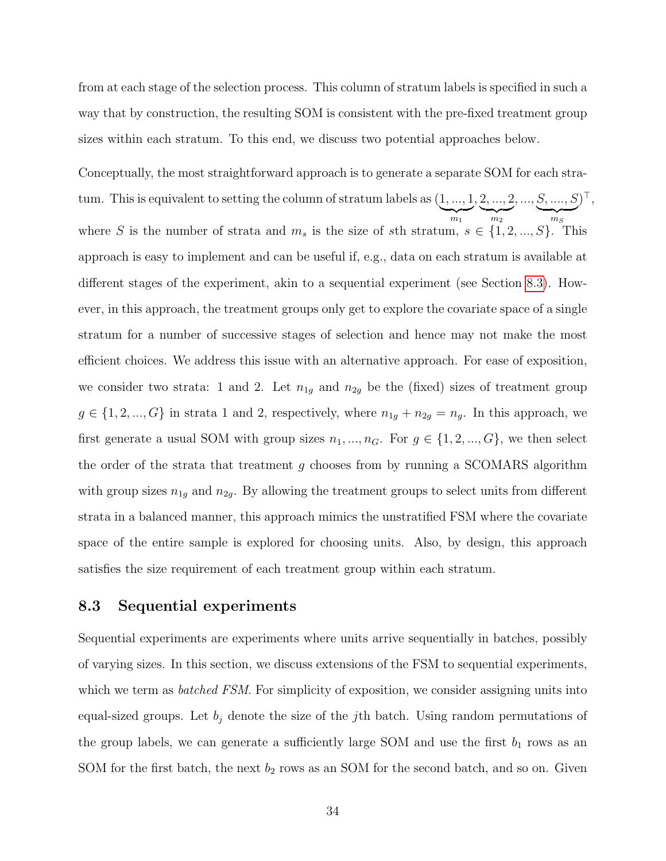from at each stage of the selection process. This column of stratum labels is specified in such a way that by construction, the resulting SOM is consistent with the pre-fixed treatment group sizes within each stratum. To this end, we discuss two potential approaches below.

Conceptually, the most straightforward approach is to generate a separate SOM for each stratum. This is equivalent to setting the column of stratum labels as (1, ..., 1  $\overline{m_1}$ , 2, ..., 2  ${m_2}$  $, ..., S, ..., S$  $\overline{m_S}$  $)^{\top},$ where S is the number of strata and  $m_s$  is the size of sth stratum,  $s \in \{1, 2, ..., S\}$ . This approach is easy to implement and can be useful if, e.g., data on each stratum is available at different stages of the experiment, akin to a sequential experiment (see Section [8.3\)](#page-33-0). However, in this approach, the treatment groups only get to explore the covariate space of a single stratum for a number of successive stages of selection and hence may not make the most efficient choices. We address this issue with an alternative approach. For ease of exposition, we consider two strata: 1 and 2. Let  $n_{1g}$  and  $n_{2g}$  be the (fixed) sizes of treatment group  $g \in \{1, 2, ..., G\}$  in strata 1 and 2, respectively, where  $n_{1g} + n_{2g} = n_g$ . In this approach, we first generate a usual SOM with group sizes  $n_1, ..., n_G$ . For  $g \in \{1, 2, ..., G\}$ , we then select the order of the strata that treatment g chooses from by running a SCOMARS algorithm with group sizes  $n_{1g}$  and  $n_{2g}$ . By allowing the treatment groups to select units from different strata in a balanced manner, this approach mimics the unstratified FSM where the covariate space of the entire sample is explored for choosing units. Also, by design, this approach satisfies the size requirement of each treatment group within each stratum.

#### <span id="page-33-0"></span>8.3 Sequential experiments

Sequential experiments are experiments where units arrive sequentially in batches, possibly of varying sizes. In this section, we discuss extensions of the FSM to sequential experiments, which we term as *batched FSM*. For simplicity of exposition, we consider assigning units into equal-sized groups. Let  $b_j$  denote the size of the j<sup>th</sup> batch. Using random permutations of the group labels, we can generate a sufficiently large SOM and use the first  $b_1$  rows as an SOM for the first batch, the next  $b_2$  rows as an SOM for the second batch, and so on. Given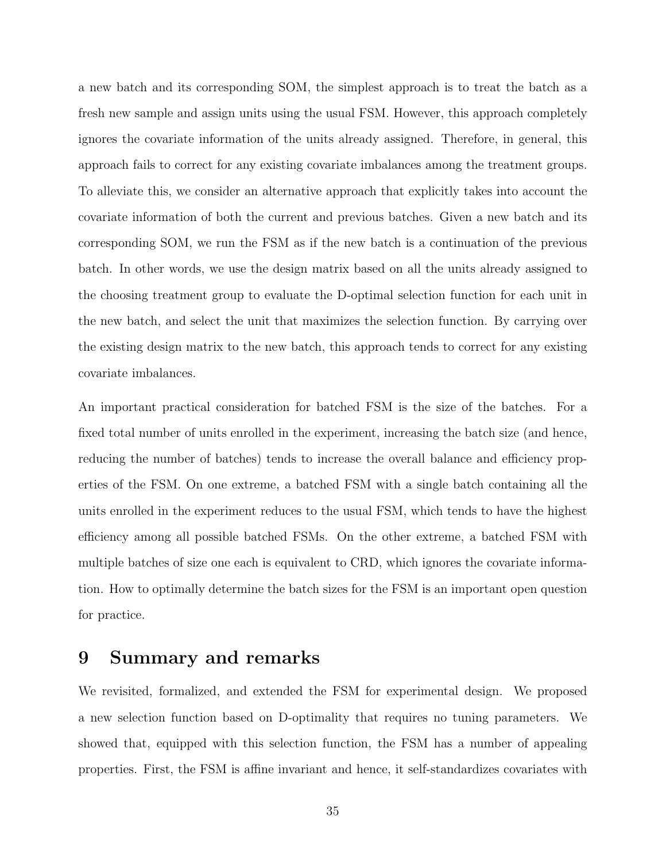a new batch and its corresponding SOM, the simplest approach is to treat the batch as a fresh new sample and assign units using the usual FSM. However, this approach completely ignores the covariate information of the units already assigned. Therefore, in general, this approach fails to correct for any existing covariate imbalances among the treatment groups. To alleviate this, we consider an alternative approach that explicitly takes into account the covariate information of both the current and previous batches. Given a new batch and its corresponding SOM, we run the FSM as if the new batch is a continuation of the previous batch. In other words, we use the design matrix based on all the units already assigned to the choosing treatment group to evaluate the D-optimal selection function for each unit in the new batch, and select the unit that maximizes the selection function. By carrying over the existing design matrix to the new batch, this approach tends to correct for any existing covariate imbalances.

An important practical consideration for batched FSM is the size of the batches. For a fixed total number of units enrolled in the experiment, increasing the batch size (and hence, reducing the number of batches) tends to increase the overall balance and efficiency properties of the FSM. On one extreme, a batched FSM with a single batch containing all the units enrolled in the experiment reduces to the usual FSM, which tends to have the highest efficiency among all possible batched FSMs. On the other extreme, a batched FSM with multiple batches of size one each is equivalent to CRD, which ignores the covariate information. How to optimally determine the batch sizes for the FSM is an important open question for practice.

## <span id="page-34-0"></span>9 Summary and remarks

We revisited, formalized, and extended the FSM for experimental design. We proposed a new selection function based on D-optimality that requires no tuning parameters. We showed that, equipped with this selection function, the FSM has a number of appealing properties. First, the FSM is affine invariant and hence, it self-standardizes covariates with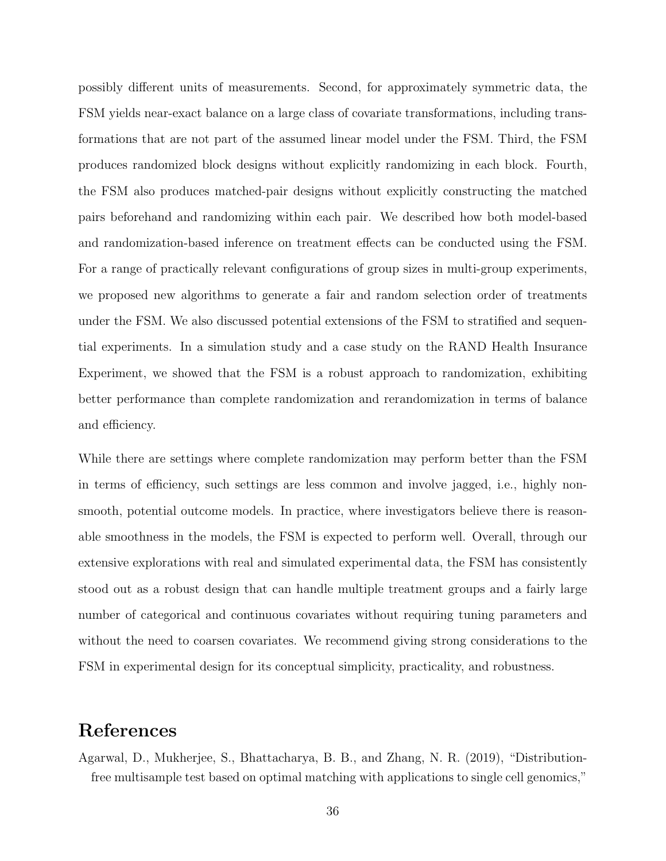possibly different units of measurements. Second, for approximately symmetric data, the FSM yields near-exact balance on a large class of covariate transformations, including transformations that are not part of the assumed linear model under the FSM. Third, the FSM produces randomized block designs without explicitly randomizing in each block. Fourth, the FSM also produces matched-pair designs without explicitly constructing the matched pairs beforehand and randomizing within each pair. We described how both model-based and randomization-based inference on treatment effects can be conducted using the FSM. For a range of practically relevant configurations of group sizes in multi-group experiments, we proposed new algorithms to generate a fair and random selection order of treatments under the FSM. We also discussed potential extensions of the FSM to stratified and sequential experiments. In a simulation study and a case study on the RAND Health Insurance Experiment, we showed that the FSM is a robust approach to randomization, exhibiting better performance than complete randomization and rerandomization in terms of balance and efficiency.

While there are settings where complete randomization may perform better than the FSM in terms of efficiency, such settings are less common and involve jagged, i.e., highly nonsmooth, potential outcome models. In practice, where investigators believe there is reasonable smoothness in the models, the FSM is expected to perform well. Overall, through our extensive explorations with real and simulated experimental data, the FSM has consistently stood out as a robust design that can handle multiple treatment groups and a fairly large number of categorical and continuous covariates without requiring tuning parameters and without the need to coarsen covariates. We recommend giving strong considerations to the FSM in experimental design for its conceptual simplicity, practicality, and robustness.

## References

<span id="page-35-0"></span>Agarwal, D., Mukherjee, S., Bhattacharya, B. B., and Zhang, N. R. (2019), "Distributionfree multisample test based on optimal matching with applications to single cell genomics,"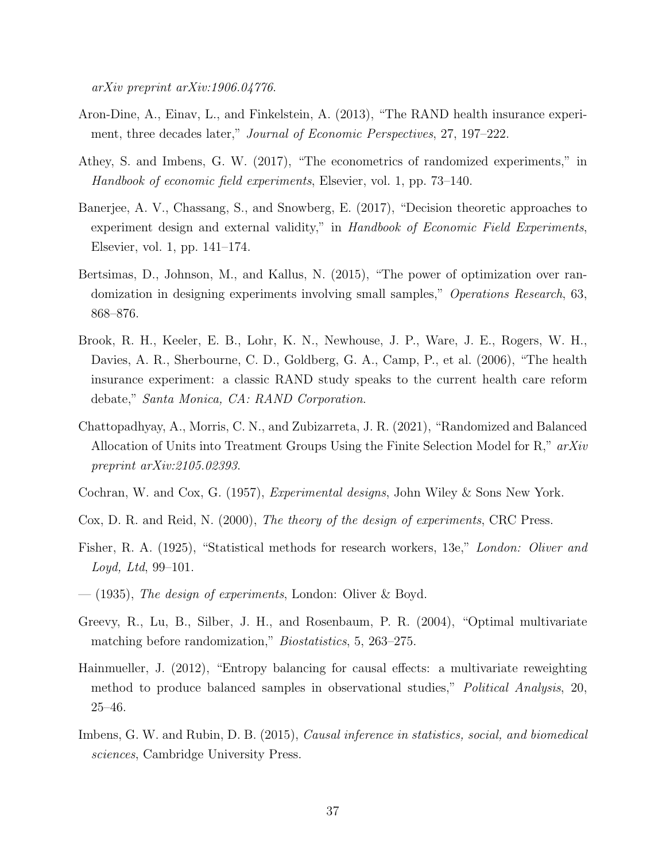arXiv preprint arXiv:1906.04776.

- <span id="page-36-12"></span>Aron-Dine, A., Einav, L., and Finkelstein, A. (2013), "The RAND health insurance experiment, three decades later," *Journal of Economic Perspectives*, 27, 197–222.
- <span id="page-36-6"></span>Athey, S. and Imbens, G. W. (2017), "The econometrics of randomized experiments," in Handbook of economic field experiments, Elsevier, vol. 1, pp. 73–140.
- <span id="page-36-5"></span>Banerjee, A. V., Chassang, S., and Snowberg, E. (2017), "Decision theoretic approaches to experiment design and external validity," in Handbook of Economic Field Experiments, Elsevier, vol. 1, pp. 141–174.
- <span id="page-36-4"></span>Bertsimas, D., Johnson, M., and Kallus, N. (2015), "The power of optimization over randomization in designing experiments involving small samples," Operations Research, 63, 868–876.
- <span id="page-36-8"></span>Brook, R. H., Keeler, E. B., Lohr, K. N., Newhouse, J. P., Ware, J. E., Rogers, W. H., Davies, A. R., Sherbourne, C. D., Goldberg, G. A., Camp, P., et al. (2006), "The health insurance experiment: a classic RAND study speaks to the current health care reform debate," Santa Monica, CA: RAND Corporation.
- <span id="page-36-7"></span>Chattopadhyay, A., Morris, C. N., and Zubizarreta, J. R. (2021), "Randomized and Balanced Allocation of Units into Treatment Groups Using the Finite Selection Model for R," arXiv preprint arXiv:2105.02393.
- <span id="page-36-2"></span>Cochran, W. and Cox, G. (1957), Experimental designs, John Wiley & Sons New York.
- <span id="page-36-9"></span>Cox, D. R. and Reid, N. (2000), The theory of the design of experiments, CRC Press.
- <span id="page-36-0"></span>Fisher, R. A. (1925), "Statistical methods for research workers, 13e," London: Oliver and Loyd, Ltd, 99–101.
- <span id="page-36-1"></span> $-$  (1935), The design of experiments, London: Oliver & Boyd.
- <span id="page-36-3"></span>Greevy, R., Lu, B., Silber, J. H., and Rosenbaum, P. R. (2004), "Optimal multivariate matching before randomization," *Biostatistics*, 5, 263–275.
- <span id="page-36-11"></span>Hainmueller, J. (2012), "Entropy balancing for causal effects: a multivariate reweighting method to produce balanced samples in observational studies," Political Analysis, 20, 25–46.
- <span id="page-36-10"></span>Imbens, G. W. and Rubin, D. B. (2015), *Causal inference in statistics, social, and biomedical* sciences, Cambridge University Press.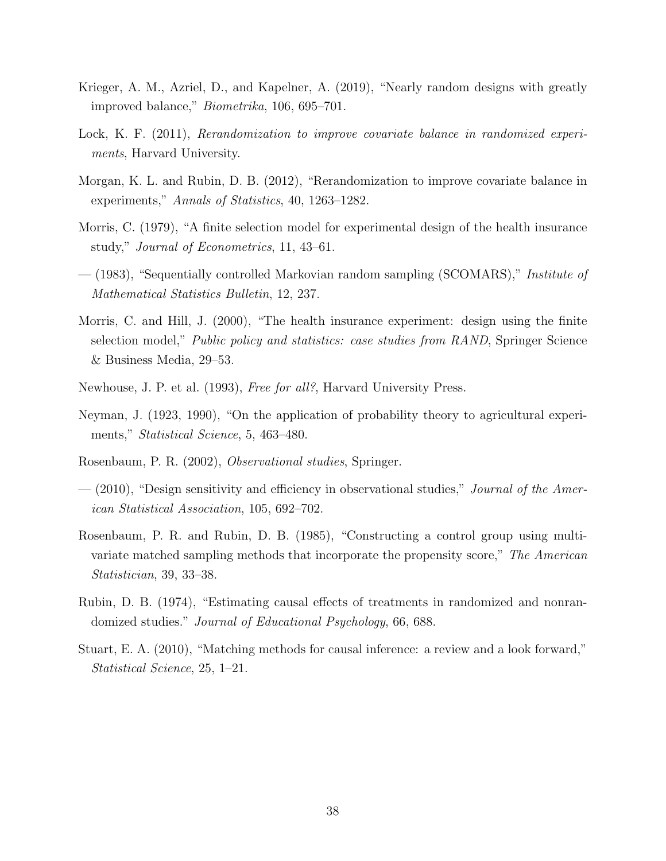- <span id="page-37-2"></span>Krieger, A. M., Azriel, D., and Kapelner, A. (2019), "Nearly random designs with greatly improved balance," Biometrika, 106, 695–701.
- <span id="page-37-12"></span>Lock, K. F. (2011), Rerandomization to improve covariate balance in randomized experiments, Harvard University.
- <span id="page-37-3"></span>Morgan, K. L. and Rubin, D. B. (2012), "Rerandomization to improve covariate balance in experiments," Annals of Statistics, 40, 1263–1282.
- <span id="page-37-0"></span>Morris, C. (1979), "A finite selection model for experimental design of the health insurance study," Journal of Econometrics, 11, 43–61.
- <span id="page-37-8"></span>— (1983), "Sequentially controlled Markovian random sampling (SCOMARS)," Institute of Mathematical Statistics Bulletin, 12, 237.
- <span id="page-37-4"></span>Morris, C. and Hill, J. (2000), "The health insurance experiment: design using the finite selection model," *Public policy and statistics: case studies from RAND*, Springer Science & Business Media, 29–53.
- <span id="page-37-1"></span>Newhouse, J. P. et al. (1993), Free for all?, Harvard University Press.
- <span id="page-37-6"></span>Neyman, J. (1923, 1990), "On the application of probability theory to agricultural experiments," *Statistical Science*, 5, 463–480.
- <span id="page-37-9"></span>Rosenbaum, P. R. (2002), Observational studies, Springer.
- <span id="page-37-10"></span> $-$  (2010), "Design sensitivity and efficiency in observational studies," *Journal of the Amer*ican Statistical Association, 105, 692–702.
- <span id="page-37-5"></span>Rosenbaum, P. R. and Rubin, D. B. (1985), "Constructing a control group using multivariate matched sampling methods that incorporate the propensity score," The American Statistician, 39, 33–38.
- <span id="page-37-7"></span>Rubin, D. B. (1974), "Estimating causal effects of treatments in randomized and nonrandomized studies." Journal of Educational Psychology, 66, 688.
- <span id="page-37-11"></span>Stuart, E. A. (2010), "Matching methods for causal inference: a review and a look forward," Statistical Science, 25, 1–21.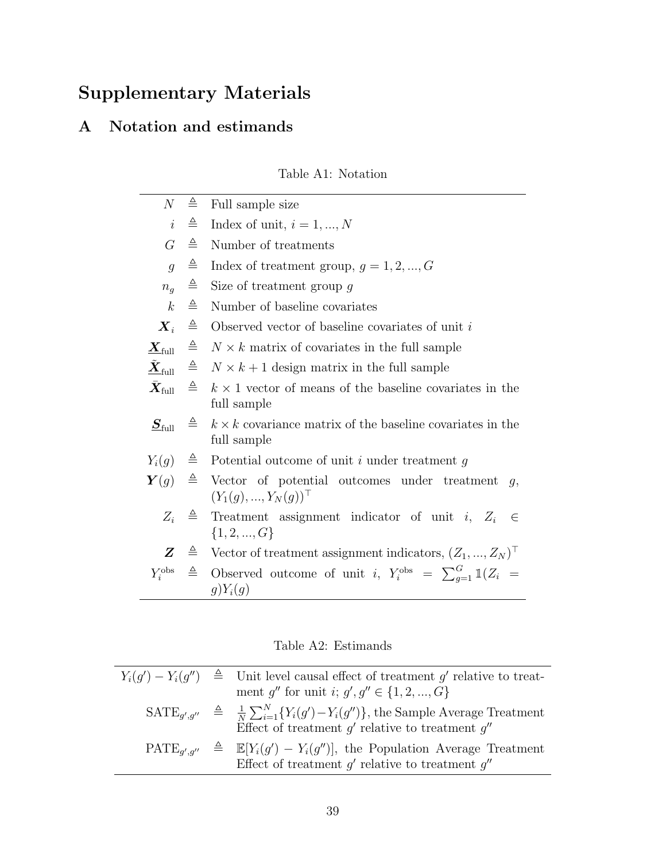# Supplementary Materials

## <span id="page-38-0"></span>A Notation and estimands

## Table A1: Notation

<span id="page-38-1"></span>

| $\mathcal N$                                       | ≜            | Full sample size                                                                                                 |
|----------------------------------------------------|--------------|------------------------------------------------------------------------------------------------------------------|
| $\it i$                                            | ≜            | Index of unit, $i = 1, , N$                                                                                      |
| G                                                  | ≙            | Number of treatments                                                                                             |
| $\overline{q}$                                     | ≜            | Index of treatment group, $g = 1, 2, , G$                                                                        |
| $n_q$                                              | $\triangleq$ | Size of treatment group $g$                                                                                      |
| $\boldsymbol{k}$                                   | ≜            | Number of baseline covariates                                                                                    |
| $\boldsymbol{X}_i$                                 | $\triangleq$ | Observed vector of baseline covariates of unit $i$                                                               |
| $\boldsymbol{\varLambda}_{\mathrm{full}}$          | $\triangleq$ | $N \times k$ matrix of covariates in the full sample                                                             |
| $\tilde{\underline{\boldsymbol{X}}}_{\text{full}}$ | ≜            | $N \times k + 1$ design matrix in the full sample                                                                |
| $\bar{\boldsymbol{X}}_\text{full}$                 | $\triangleq$ | $k \times 1$ vector of means of the baseline covariates in the<br>full sample                                    |
| $\underline{S}_{\mathrm{full}}$                    | ≜            | $k \times k$ covariance matrix of the baseline covariates in the<br>full sample                                  |
|                                                    |              | $Y_i(g) \triangleq$ Potential outcome of unit i under treatment g                                                |
|                                                    |              | $\mathbf{Y}(q) \triangleq$ Vector of potential outcomes under treatment<br>q,<br>$(Y_1(g),,Y_N(g))$ <sup>T</sup> |
| $Z_i$                                              |              | $\triangleq$ Treatment assignment indicator of unit i, $Z_i$<br>$\in$<br>$\{1, 2, , G\}$                         |
| $Z \,$                                             |              | $\hat{=}$ Vector of treatment assignment indicators, $(Z_1, , Z_N)$                                              |
| $Y_i^{\text{obs}}$                                 | $\triangleq$ | Observed outcome of unit i, $Y_i^{\text{obs}} = \sum_{q=1}^{G} \mathbb{1}(Z_i =$<br>$g)Y_i(g)$                   |

Table A2: Estimands

|  | $Y_i(q') - Y_i(q'') \triangleq$ Unit level causal effect of treatment g' relative to treat-                                                                                |
|--|----------------------------------------------------------------------------------------------------------------------------------------------------------------------------|
|  | ment q'' for unit i; $g', g'' \in \{1, 2, , G\}$                                                                                                                           |
|  | $\text{SATE}_{a',a''} \triangleq \frac{1}{N} \sum_{i=1}^{N} \{Y_i(g') - Y_i(g'')\},\$ the Sample Average Treatment<br>Effect of treatment $q'$ relative to treatment $q''$ |
|  | $\text{PATE}_{a',a''} \triangleq \mathbb{E}[Y_i(g') - Y_i(g'')],$ the Population Average Treatment<br>Effect of treatment $g'$ relative to treatment $g''$                 |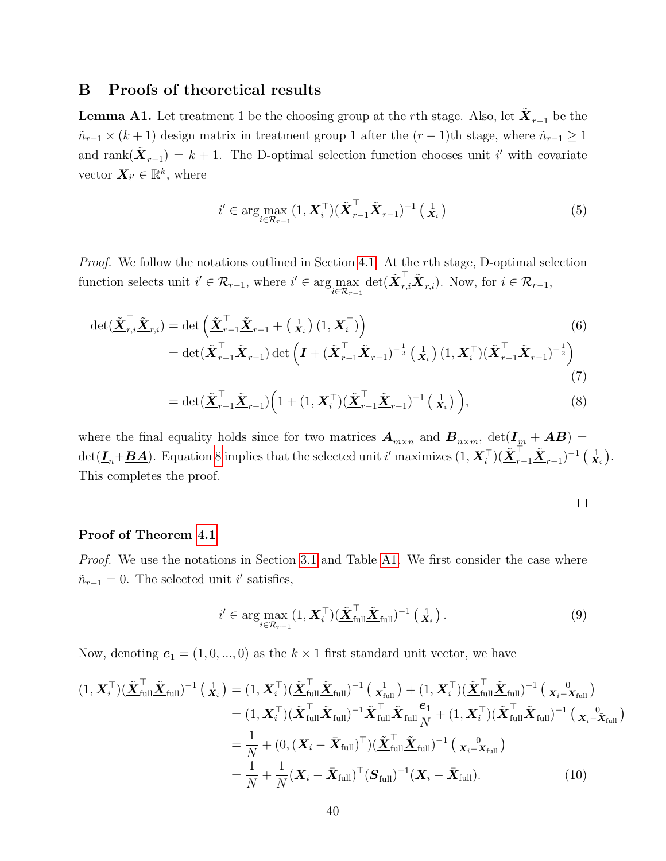#### <span id="page-39-0"></span>B Proofs of theoretical results

**Lemma A1.** Let treatment 1 be the choosing group at the rth stage. Also, let  $\underline{\tilde{X}}_{r-1}$  be the  $\tilde{n}_{r-1} \times (k+1)$  design matrix in treatment group 1 after the  $(r-1)$ th stage, where  $\tilde{n}_{r-1} \ge 1$ and rank $(\underline{\tilde{\mathbf{X}}}_{r-1}) = k+1$ . The D-optimal selection function chooses unit i' with covariate vector  $\mathbf{X}_{i'} \in \mathbb{R}^k$ , where

<span id="page-39-1"></span>
$$
i' \in \arg\max_{i \in \mathcal{R}_{r-1}} (1, \boldsymbol{X}_i^\top) (\tilde{\boldsymbol{\underline{X}}}_{r-1}^\top \tilde{\boldsymbol{\underline{X}}}_{r-1})^{-1} (\mathbf{x}_i)
$$
(5)

Proof. We follow the notations outlined in Section [4.1.](#page-10-1) At the rth stage, D-optimal selection function selects unit  $i' \in \mathcal{R}_{r-1}$ , where  $i' \in \arg\max_{i \in \mathcal{R}_{r-1}} \det(\underline{\tilde{\mathbf{X}}}_{r,i}^{\top} \underline{\tilde{\mathbf{X}}}_{r,i})$ . Now, for  $i \in \mathcal{R}_{r-1}$ ,

$$
\det(\tilde{\mathbf{X}}_{r,i}^{\top}\tilde{\mathbf{X}}_{r,i}) = \det\left(\tilde{\mathbf{X}}_{r-1}^{\top}\tilde{\mathbf{X}}_{r-1} + \begin{pmatrix} 1\\ \mathbf{X}_i \end{pmatrix}(1,\mathbf{X}_i^{\top})\right)
$$
\n
$$
= \det(\tilde{\mathbf{X}}_{r-1}^{\top}\tilde{\mathbf{X}}_{r-1}) \det\left(\underline{\mathbf{I}} + (\tilde{\mathbf{X}}_{r-1}^{\top}\tilde{\mathbf{X}}_{r-1})^{-\frac{1}{2}}\begin{pmatrix} 1\\ \mathbf{X}_i \end{pmatrix}(1,\mathbf{X}_i^{\top})(\tilde{\mathbf{X}}_{r-1}^{\top}\tilde{\mathbf{X}}_{r-1})^{-\frac{1}{2}}\right)
$$
\n(7)

$$
= \det(\underline{\tilde{\mathbf{X}}}_{r-1}^{\top} \underline{\tilde{\mathbf{X}}}_{r-1}) \Big( 1 + (1, \mathbf{X}_i^{\top}) (\underline{\tilde{\mathbf{X}}}_{r-1}^{\top} \underline{\tilde{\mathbf{X}}}_{r-1})^{-1} \left( \begin{array}{c} 1 \\ \mathbf{X}_i \end{array} \right) \Big), \tag{8}
$$

where the final equality holds since for two matrices  $\underline{\mathbf{A}}_{m\times n}$  and  $\underline{\mathbf{B}}_{n\times m}$ ,  $\det(\underline{\mathbf{I}}_m + \underline{\mathbf{A}}\underline{\mathbf{B}})$  $\det(\underline{\boldsymbol{I}}_n+\underline{\boldsymbol{B}}\underline{\boldsymbol{A}})$ . Equation [8](#page-39-2) implies that the selected unit i' maximizes  $(1,\boldsymbol{X}_i^\top)(\tilde{\boldsymbol{\underline{X}}}{}_{r-1}^\top\tilde{\boldsymbol{\underline{X}}}_{r-1})^{-1}$   $(\begin{array}{c} 1 \ \bar{\boldsymbol{X}}_i \end{array})$ . This completes the proof.

<span id="page-39-2"></span>
$$
\qquad \qquad \Box
$$

#### Proof of Theorem [4.1](#page-11-3)

Proof. We use the notations in Section [3.1](#page-7-1) and Table [A1.](#page-38-1) We first consider the case where  $\tilde{n}_{r-1} = 0$ . The selected unit i' satisfies,

$$
i' \in \arg\max_{i \in \mathcal{R}_{r-1}} (1, \boldsymbol{X}_i^{\top}) (\tilde{\boldsymbol{\underline{X}}}_{\text{full}}^{\top} \tilde{\boldsymbol{\underline{X}}}_{\text{full}})^{-1} (\mathbf{X}_i).
$$
 (9)

Now, denoting  $e_1 = (1, 0, ..., 0)$  as the  $k \times 1$  first standard unit vector, we have

$$
(1, \boldsymbol{X}_{i}^{\top})(\tilde{\boldsymbol{X}}_{\text{full}}^{\top}\tilde{\boldsymbol{X}}_{\text{full}})^{-1} (\boldsymbol{X}_{i}) = (1, \boldsymbol{X}_{i}^{\top})(\tilde{\boldsymbol{X}}_{\text{full}}^{\top}\tilde{\boldsymbol{X}}_{\text{full}})^{-1} (\boldsymbol{X}_{\text{full}}^{\top}) + (1, \boldsymbol{X}_{i}^{\top})(\tilde{\boldsymbol{X}}_{\text{full}}^{\top}\tilde{\boldsymbol{X}}_{\text{full}})^{-1} (\boldsymbol{X}_{i} - \bar{\boldsymbol{X}}_{\text{full}})
$$
  
\n
$$
= (1, \boldsymbol{X}_{i}^{\top})(\tilde{\boldsymbol{X}}_{\text{full}}^{\top}\tilde{\boldsymbol{X}}_{\text{full}})^{-1} \tilde{\boldsymbol{X}}_{\text{full}}^{\top}\tilde{\boldsymbol{X}}_{\text{full}} (\boldsymbol{X}_{\text{full}}^{\top}) (\tilde{\boldsymbol{X}}_{\text{full}}^{\top}) (\tilde{\boldsymbol{X}}_{\text{full}}^{\top})^{-1} (\boldsymbol{X}_{i} - \bar{\boldsymbol{X}}_{\text{full}}))^{-1} (\boldsymbol{X}_{i} - \bar{\boldsymbol{X}}_{\text{full}})
$$
  
\n
$$
= \frac{1}{N} + (0, (\boldsymbol{X}_{i} - \bar{\boldsymbol{X}}_{\text{full}})^{\top})(\tilde{\boldsymbol{X}}_{\text{full}}^{\top}\tilde{\boldsymbol{X}}_{\text{full}})^{-1} (\boldsymbol{X}_{i} - \bar{\boldsymbol{X}}_{\text{full}})
$$
  
\n
$$
= \frac{1}{N} + \frac{1}{N} (\boldsymbol{X}_{i} - \bar{\boldsymbol{X}}_{\text{full}})^{\top} (\boldsymbol{S}_{\text{full}})^{-1} (\boldsymbol{X}_{i} - \bar{\boldsymbol{X}}_{\text{full}}).
$$
 (10)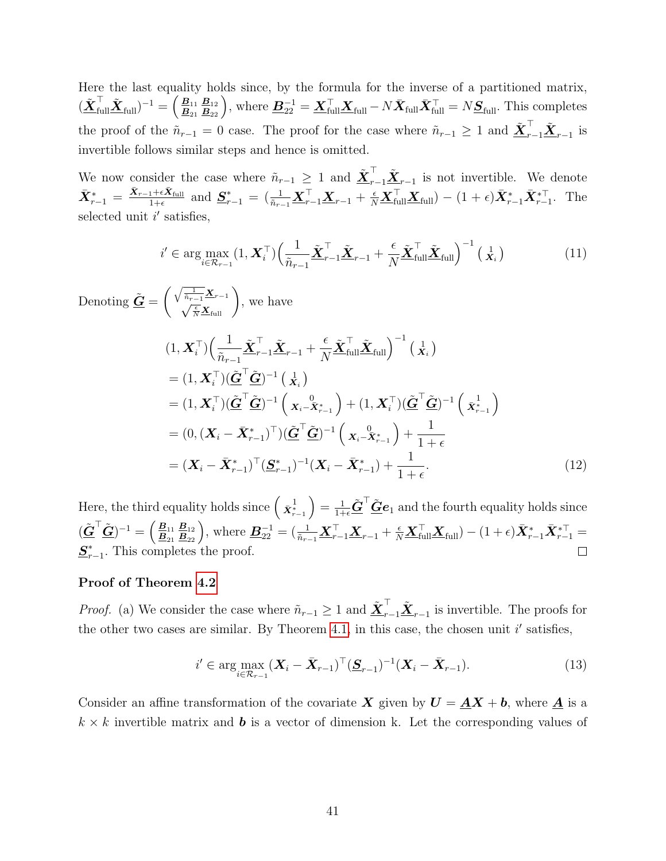Here the last equality holds since, by the formula for the inverse of a partitioned matrix,  $(\tilde{\bm{X}}_{\text{full}}^\top \tilde{\bm{X}}_{\text{full}})^{-1} = \left(\frac{\bm{B}_{11}}{\bm{B}_{21}} \frac{\bm{B}_{12}}{\bm{B}_{22}}\right)$ , where  $\bm{B}_{22}^{-1} = \bm{X}_{\text{full}}^\top \bm{X}_{\text{full}} - N \bar{\bm{X}}_{\text{full}} \bar{\bm{X}}_{\text{full}}^\top = N \bm{S}_{\text{full}}$ . This completes the proof of the  $\tilde{n}_{r-1} = 0$  case. The proof for the case where  $\tilde{n}_{r-1} \geq 1$  and  $\tilde{\mathbf{\underline{X}}}_{r-1}^{\top} \tilde{\mathbf{\underline{X}}}_{r-1}$  is invertible follows similar steps and hence is omitted.

We now consider the case where  $\tilde{n}_{r-1} \geq 1$  and  $\tilde{\mathbf{\underline{X}}}^{\top}_{r-1} \tilde{\mathbf{\underline{X}}}_{r-1}$  is not invertible. We denote  $\bar{\mathbf{X}}_{r-1}^* = \frac{\bar{\mathbf{X}}_{r-1} + \epsilon \bar{\mathbf{X}}_{\text{full}}}{1+\epsilon}$  and  $\underline{\mathbf{S}}_{r-1}^* = \left(\frac{1}{\tilde{n}_{r-1}} \underline{\mathbf{X}}_{r-1}^\top \underline{\mathbf{X}}_{r-1} + \frac{\epsilon}{N} \underline{\mathbf{X}}_{\text{full}}^\top \underline{\mathbf{X}}_{\text{full}}\right) - (1+\epsilon) \bar{\mathbf{X}}_{r-1}^* \bar{\mathbf{X}}_{r-1}^{*\top}$ . The selected unit  $i'$  satisfies,

$$
i' \in \arg\max_{i \in \mathcal{R}_{r-1}} (1, \boldsymbol{X}_i^{\top}) \Big( \frac{1}{\tilde{n}_{r-1}} \tilde{\boldsymbol{\underline{X}}}_{r-1}^{\top} \tilde{\boldsymbol{\underline{X}}}_{r-1} + \frac{\epsilon}{N} \tilde{\boldsymbol{\underline{X}}}_{\text{full}}^{\top} \tilde{\boldsymbol{\underline{X}}}_{\text{full}} \Big)^{-1} (\mathbf{X}_i) \tag{11}
$$

 $\text{Denoting } \underline{\tilde{\bm{G}}} = \begin{pmatrix} \sqrt{\frac{1}{\tilde{n}_{r-1}}}\bm{\underline{X}}_{r-1}\ \sqrt{\frac{\epsilon}{N}}\bm{\underline{X}}_{\text{full}} \end{pmatrix}$ , we have  $(1,\boldsymbol{X}_i^\top)\Big(\frac{1}{\tilde{n}}$  $\tilde{n}_{r-1}$  ${\tilde{\boldsymbol{X}}}_{r-1}^\top {\tilde{\boldsymbol{X}}}_{r-1} +$  $\epsilon$ N  $\tilde{\boldsymbol{X}}_{\text{full}}^\top \tilde{\boldsymbol{X}}_{\text{full}} \Big)^{-1}$   $(\frac{1}{\boldsymbol{X}_i})$  $=(1,\boldsymbol{X}_i^\top)(\tilde{\boldsymbol{\underline{G}}}^\top\tilde{\boldsymbol{\underline{G}}})^{-1} \left(\begin{smallmatrix} 1\X_i\end{smallmatrix}\right)$  $\tilde{\mathbf{G}}^{\top}(\tilde{\mathbf{G}}^{\top}\tilde{\mathbf{G}})^{-1}\left(\begin{array}{c} \mathbf{0} \ \mathbf{X}_{i} - \tilde{\mathbf{X}}_{r-1}^{*} \end{array}\right) + (1,\boldsymbol{X}_{i}^{\top})(\tilde{\mathbf{G}}^{\top}\tilde{\mathbf{G}})^{-1}\left(\begin{array}{c} \mathbf{1} \ \bar{\mathbf{X}}_{r-1}^{*} \end{array}\right)$  $=(0,(\boldsymbol{X}_{i}-\bar{\boldsymbol{X}}_{r-1}^{*})^{\top})(\tilde{\boldsymbol{\underline{G}}}^{\top}\tilde{\boldsymbol{\underline{G}}})^{-1}\left(\begin{array}{c} 0\ \boldsymbol{X}_{i}-\bar{\boldsymbol{X}}_{r-1}^{*}\end{array}\right)+$ 1  $1+\epsilon$  $=(\boldsymbol{X}_{i}-\bar{\boldsymbol{X}}_{r-1}^{*})^{\top}(\underline{\boldsymbol{S}}_{r}^{*}$  $(\bm{X}_i-\bar{\bm{X}}_{r-1}^*)+\frac{1}{1+\epsilon}$  $1+\epsilon$  $(12)$ 

Here, the third equality holds since  $\left(\begin{array}{c}1 \ \bar{\mathbf{x}}_{r-1}^{\mathbf{1}}\end{array}\right)=\frac{1}{1+\epsilon}\tilde{\mathbf{G}}^{\top}\tilde{\mathbf{G}}\mathbf{e}_{1}$  and the fourth equality holds since  $(\tilde{\underline{\boldsymbol{G}}}^{\top}\tilde{\underline{\boldsymbol{G}}})^{-1}=\left(\frac{\underline{\boldsymbol{B}}_{11}}{\underline{\boldsymbol{B}}_{21}}\frac{\underline{\boldsymbol{B}}_{12}}{\underline{\boldsymbol{B}}_{22}}\right),\,\text{where}\,\,\underline{\boldsymbol{B}}_{22}^{-1}=(\frac{1}{\tilde{n}_{r-1}}\underline{\boldsymbol{X}}_{r-1}^{\top}\underline{\boldsymbol{X}}_{r-1}+\frac{\epsilon}{N}\underline{\boldsymbol{X}}_{\text{full}}^{\top}\underline{\boldsymbol{X}}_{\text{full}})- (1+\epsilon)\bar{\boldsymbol{X}}_{r-1}^{*}\bar{\boldsymbol{X}}_{r S_r^*$  $_{r-1}^*$ . This completes the proof.  $\Box$ 

#### Proof of Theorem [4.2](#page-13-0)

*Proof.* (a) We consider the case where  $\tilde{n}_{r-1} \geq 1$  and  $\underline{\tilde{X}}_{r-1}^{\top} \underline{\tilde{X}}_{r-1}$  is invertible. The proofs for the other two cases are similar. By Theorem [4.1,](#page-11-3) in this case, the chosen unit  $i'$  satisfies,

$$
i' \in \arg\max_{i \in \mathcal{R}_{r-1}} (\boldsymbol{X}_i - \bar{\boldsymbol{X}}_{r-1})^\top (\underline{\boldsymbol{S}}_{r-1})^{-1} (\boldsymbol{X}_i - \bar{\boldsymbol{X}}_{r-1}).
$$
\n(13)

Consider an affine transformation of the covariate X given by  $U = \underline{A}X + b$ , where  $\underline{A}$  is a  $k \times k$  invertible matrix and **b** is a vector of dimension k. Let the corresponding values of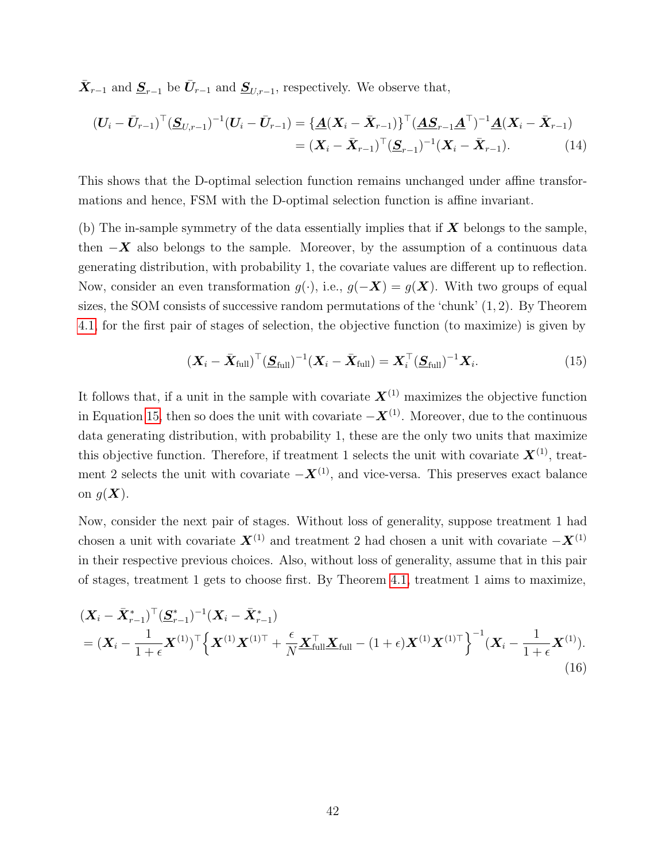$\bar{\mathbf{X}}_{r-1}$  and  $\underline{\mathbf{S}}_{r-1}$  be  $\bar{\mathbf{U}}_{r-1}$  and  $\underline{\mathbf{S}}_{U,r-1}$ , respectively. We observe that,

$$
(\boldsymbol{U}_{i} - \bar{\boldsymbol{U}}_{r-1})^{\top} (\underline{\boldsymbol{S}}_{U,r-1})^{-1} (\boldsymbol{U}_{i} - \bar{\boldsymbol{U}}_{r-1}) = {\underline{\boldsymbol{A}} (\boldsymbol{X}_{i} - \bar{\boldsymbol{X}}_{r-1})}^{\top} (\underline{\boldsymbol{A}} \underline{\boldsymbol{S}}_{r-1} \underline{\boldsymbol{A}}^{\top})^{-1} {\underline{\boldsymbol{A}} (\boldsymbol{X}_{i} - \bar{\boldsymbol{X}}_{r-1})}
$$
  
= 
$$
(\boldsymbol{X}_{i} - \bar{\boldsymbol{X}}_{r-1})^{\top} (\underline{\boldsymbol{S}}_{r-1})^{-1} (\boldsymbol{X}_{i} - \bar{\boldsymbol{X}}_{r-1}).
$$
 (14)

This shows that the D-optimal selection function remains unchanged under affine transformations and hence, FSM with the D-optimal selection function is affine invariant.

(b) The in-sample symmetry of the data essentially implies that if  $X$  belongs to the sample, then  $-X$  also belongs to the sample. Moreover, by the assumption of a continuous data generating distribution, with probability 1, the covariate values are different up to reflection. Now, consider an even transformation  $g(\cdot)$ , i.e.,  $g(-\mathbf{X}) = g(\mathbf{X})$ . With two groups of equal sizes, the SOM consists of successive random permutations of the 'chunk' (1, 2). By Theorem [4.1,](#page-11-3) for the first pair of stages of selection, the objective function (to maximize) is given by

<span id="page-41-1"></span><span id="page-41-0"></span>
$$
(\boldsymbol{X}_i - \bar{\boldsymbol{X}}_{\text{full}})^{\top} (\boldsymbol{S}_{\text{full}})^{-1} (\boldsymbol{X}_i - \bar{\boldsymbol{X}}_{\text{full}}) = \boldsymbol{X}_i^{\top} (\boldsymbol{S}_{\text{full}})^{-1} \boldsymbol{X}_i.
$$
 (15)

It follows that, if a unit in the sample with covariate  $\mathbf{X}^{(1)}$  maximizes the objective function in Equation [15,](#page-41-0) then so does the unit with covariate  $-\boldsymbol{X}^{(1)}$ . Moreover, due to the continuous data generating distribution, with probability 1, these are the only two units that maximize this objective function. Therefore, if treatment 1 selects the unit with covariate  $\mathbf{X}^{(1)}$ , treatment 2 selects the unit with covariate  $-\boldsymbol{X}^{(1)}$ , and vice-versa. This preserves exact balance on  $g(\boldsymbol{X})$ .

Now, consider the next pair of stages. Without loss of generality, suppose treatment 1 had chosen a unit with covariate  $X^{(1)}$  and treatment 2 had chosen a unit with covariate  $-X^{(1)}$ in their respective previous choices. Also, without loss of generality, assume that in this pair of stages, treatment 1 gets to choose first. By Theorem [4.1,](#page-11-3) treatment 1 aims to maximize,

$$
(\mathbf{X}_{i} - \bar{\mathbf{X}}_{r-1}^{*})^{\top} (\underline{\mathbf{S}}_{r-1}^{*})^{-1} (\mathbf{X}_{i} - \bar{\mathbf{X}}_{r-1}^{*})
$$
  
=  $(\mathbf{X}_{i} - \frac{1}{1+\epsilon} \mathbf{X}^{(1)})^{\top} \Big\{ \mathbf{X}^{(1)} \mathbf{X}^{(1)\top} + \frac{\epsilon}{N} \underline{\mathbf{X}}_{\text{full}}^{\top} \underline{\mathbf{X}}_{\text{full}} - (1+\epsilon) \mathbf{X}^{(1)} \mathbf{X}^{(1)\top} \Big\}^{-1} (\mathbf{X}_{i} - \frac{1}{1+\epsilon} \mathbf{X}^{(1)}).$  (16)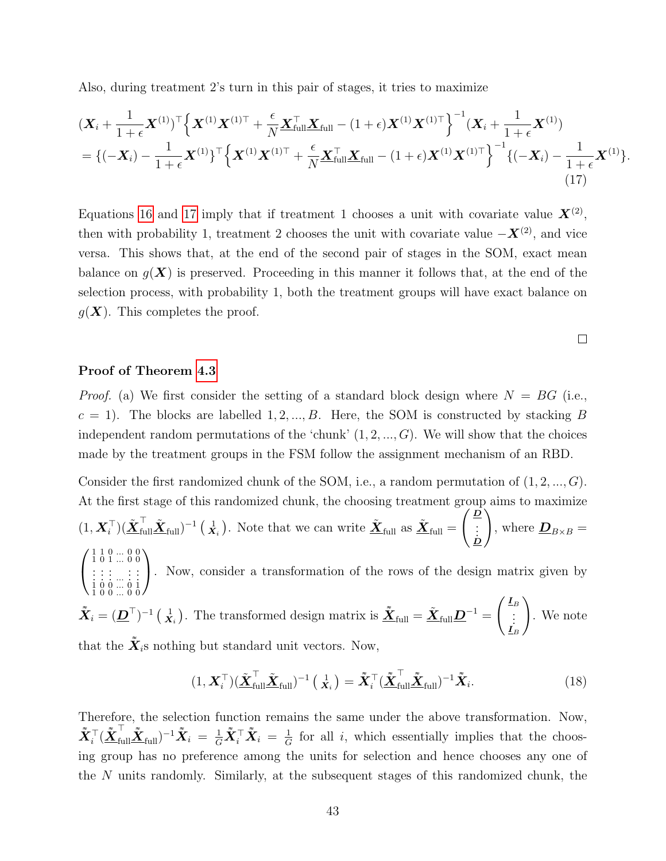Also, during treatment 2's turn in this pair of stages, it tries to maximize

$$
(\mathbf{X}_{i} + \frac{1}{1+\epsilon}\mathbf{X}^{(1)})^{\top} \Big\{ \mathbf{X}^{(1)}\mathbf{X}^{(1)\top} + \frac{\epsilon}{N}\underline{\mathbf{X}}_{\text{full}}^{\top}\underline{\mathbf{X}}_{\text{full}} - (1+\epsilon)\mathbf{X}^{(1)}\mathbf{X}^{(1)\top} \Big\}^{-1} (\mathbf{X}_{i} + \frac{1}{1+\epsilon}\mathbf{X}^{(1)})
$$
  
= { $(-\mathbf{X}_{i}) - \frac{1}{1+\epsilon}\mathbf{X}^{(1)}\}^{\top} \Big\{ \mathbf{X}^{(1)}\mathbf{X}^{(1)\top} + \frac{\epsilon}{N}\underline{\mathbf{X}}_{\text{full}}^{\top}\underline{\mathbf{X}}_{\text{full}} - (1+\epsilon)\mathbf{X}^{(1)}\mathbf{X}^{(1)\top} \Big\}^{-1} \{(-\mathbf{X}_{i}) - \frac{1}{1+\epsilon}\mathbf{X}^{(1)}\}. \tag{17}$ 

Equations [16](#page-41-1) and [17](#page-42-0) imply that if treatment 1 chooses a unit with covariate value  $X^{(2)}$ , then with probability 1, treatment 2 chooses the unit with covariate value  $-\boldsymbol{X}^{(2)}$ , and vice versa. This shows that, at the end of the second pair of stages in the SOM, exact mean balance on  $g(X)$  is preserved. Proceeding in this manner it follows that, at the end of the selection process, with probability 1, both the treatment groups will have exact balance on  $q(\boldsymbol{X})$ . This completes the proof.

<span id="page-42-0"></span> $\Box$ 

#### Proof of Theorem [4.3](#page-14-0)

*Proof.* (a) We first consider the setting of a standard block design where  $N = BG$  (i.e.,  $c = 1$ ). The blocks are labelled 1, 2, ..., B. Here, the SOM is constructed by stacking B independent random permutations of the 'chunk'  $(1, 2, ..., G)$ . We will show that the choices made by the treatment groups in the FSM follow the assignment mechanism of an RBD.

Consider the first randomized chunk of the SOM, i.e., a random permutation of  $(1, 2, ..., G)$ . At the first stage of this randomized chunk, the choosing treatment group aims to maximize  $(1, \boldsymbol{X}_i^{\top})(\tilde{\boldsymbol{X}}_{\text{full}}^{\top}\tilde{\boldsymbol{X}}_{\text{full}})^{-1}(\mathbf{x}_i).$  Note that we can write  $\tilde{\boldsymbol{X}}_{\text{full}}$  as  $\tilde{\boldsymbol{X}}_{\text{full}} =$  $\sqrt{D}$  $\frac{\cdot}{\dot{D}}$  $\setminus$ , where  $\underline{\mathbf{D}}_{B\times B} =$  $\sqrt{ }$  $\overline{1}$ 1 1 0 ... 0 0 1 0 1 ... 0 0 . . . . . . . . . ... . . . . . . 1 0 0 ... 0 1 1 0 0 ... 0 0  $\setminus$ . Now, consider a transformation of the rows of the design matrix given by  $\tilde{\bm{X}}_i = (\bm{D}^\top)^{-1} \left( \frac{1}{\bm{X}_i} \right)$ . The transformed design matrix is  $\tilde{\bm{X}}_{\text{full}} = \tilde{\bm{X}}_{\text{full}} \bm{D}^{-1} =$  $\int$   $\frac{I}{B}$ . . .  $\mathbf{I}_{B}$  $\setminus$ . We note that the  $\tilde{\mathbf{X}}_i$ s nothing but standard unit vectors. Now,

$$
(1, \boldsymbol{X}_i^{\top})(\tilde{\boldsymbol{X}}_{\text{full}}^{\top}\tilde{\boldsymbol{X}}_{\text{full}})^{-1} \left(\begin{matrix} 1 \\ \boldsymbol{X}_i \end{matrix}\right) = \tilde{\boldsymbol{X}}_i^{\top} (\tilde{\boldsymbol{X}}_{\text{full}}^{\top}\tilde{\boldsymbol{X}}_{\text{full}})^{-1} \tilde{\boldsymbol{X}}_i. \tag{18}
$$

Therefore, the selection function remains the same under the above transformation. Now,  $\tilde{\boldsymbol{X}}_i^\top (\tilde{\boldsymbol{\underline{X}}}_{\text{full}}^\top \tilde{\boldsymbol{\underline{X}}}_{\text{full}})^{-1} \tilde{\boldsymbol{X}}_i \ = \ \frac{1}{G} \tilde{\boldsymbol{X}}_i^\top \tilde{\boldsymbol{X}}_i \ = \ \frac{1}{G}$  $\frac{1}{G}$  for all i, which essentially implies that the choosing group has no preference among the units for selection and hence chooses any one of the N units randomly. Similarly, at the subsequent stages of this randomized chunk, the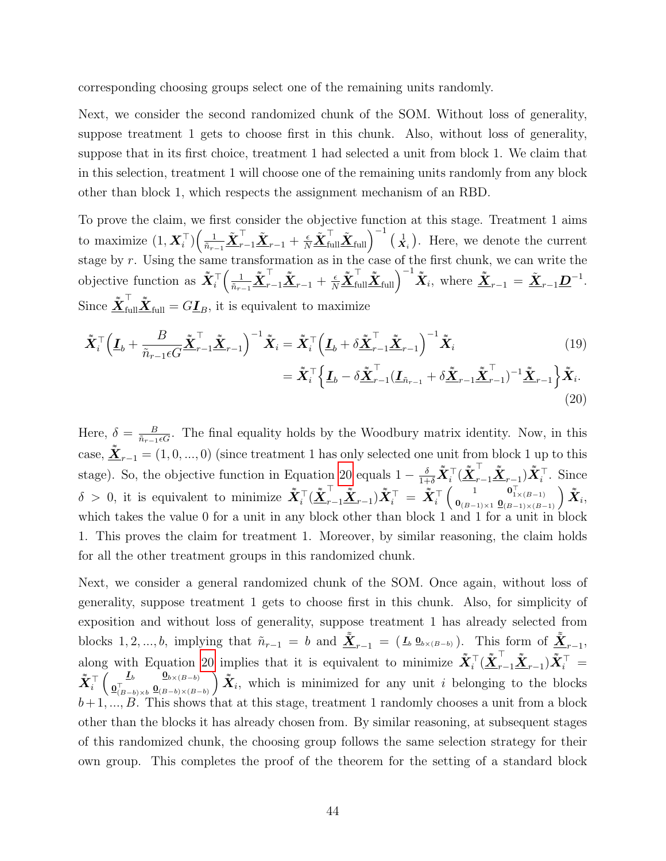corresponding choosing groups select one of the remaining units randomly.

Next, we consider the second randomized chunk of the SOM. Without loss of generality, suppose treatment 1 gets to choose first in this chunk. Also, without loss of generality, suppose that in its first choice, treatment 1 had selected a unit from block 1. We claim that in this selection, treatment 1 will choose one of the remaining units randomly from any block other than block 1, which respects the assignment mechanism of an RBD.

To prove the claim, we first consider the objective function at this stage. Treatment 1 aims to maximize  $(1, \boldsymbol{X}_i^{\top}) \Big( \frac{1}{\tilde{n}_{r-1}} \tilde{\boldsymbol{X}}_{r-1}^{\top} \tilde{\boldsymbol{X}}_{r-1} + \frac{\epsilon}{N} \tilde{\boldsymbol{X}}_{\text{full}}^{\top} \tilde{\boldsymbol{X}}_{\text{full}} \Big)^{-1}$   $(\frac{1}{\boldsymbol{X}_i})$ . Here, we denote the current stage by  $r$ . Using the same transformation as in the case of the first chunk, we can write the objective function as  $\tilde{\tilde{\mathbf{X}}}_{i}^{\top} \left( \frac{1}{\tilde{n}_{r-1}} \tilde{\tilde{\mathbf{X}}}_{r-1}^{\top} \tilde{\tilde{\mathbf{X}}}_{r-1} + \frac{\epsilon}{N} \tilde{\tilde{\mathbf{X}}}_{\text{full}}^{\top} \tilde{\tilde{\mathbf{X}}}_{\text{full}} \right)^{-1} \tilde{\tilde{\mathbf{X}}}_{i}$ , where  $\tilde{\tilde{\mathbf{X}}}_{r-1} = \tilde{\mathbf{X}}_{r-1} \mathbf{D}^{-1}$ . Since  $\tilde{\underline{\mathbf{X}}}^{\top}_{\text{full}}\tilde{\underline{\mathbf{X}}}_{\text{full}} = G\underline{\mathbf{I}}_B$ , it is equivalent to maximize

$$
\tilde{\mathbf{X}}_{i}^{\top} \Big( \underline{\mathbf{I}}_{b} + \frac{B}{\tilde{n}_{r-1} \epsilon G} \tilde{\mathbf{X}}_{r-1}^{\top} \tilde{\mathbf{X}}_{r-1} \Big)^{-1} \tilde{\mathbf{X}}_{i} = \tilde{\mathbf{X}}_{i}^{\top} \Big( \underline{\mathbf{I}}_{b} + \delta \tilde{\mathbf{X}}_{r-1}^{\top} \tilde{\mathbf{X}}_{r-1} \Big)^{-1} \tilde{\mathbf{X}}_{i} \qquad (19)
$$
\n
$$
= \tilde{\mathbf{X}}_{i}^{\top} \Big\{ \underline{\mathbf{I}}_{b} - \delta \tilde{\mathbf{X}}_{r-1}^{\top} (\underline{\mathbf{I}}_{\tilde{n}_{r-1}} + \delta \tilde{\mathbf{X}}_{r-1} \tilde{\mathbf{X}}_{r-1}^{\top})^{-1} \tilde{\mathbf{X}}_{r-1} \Big\} \tilde{\mathbf{X}}_{i}.
$$

<span id="page-43-1"></span><span id="page-43-0"></span>
$$
- \partial \underline{\mathbf{A}}_{r-1} \underline{\mathbf{A}}_{r-1}) \quad \underline{\mathbf{A}}_{r-1} \upf \mathbf{A}_i. \tag{20}
$$

Here,  $\delta = \frac{B}{\tilde{n}_{r-1}\epsilon G}$ . The final equality holds by the Woodbury matrix identity. Now, in this case,  $\underline{\tilde{X}}_{r-1} = (1, 0, ..., 0)$  (since treatment 1 has only selected one unit from block 1 up to this stage). So, the objective function in Equation [20](#page-43-0) equals  $1 - \frac{\delta}{1+\delta} \tilde{X}_i^{\top} (\tilde{\underline{X}}_{r-1}^{\top} \tilde{\underline{X}}_{r-1}) \tilde{X}_i^{\top}$ . Since  $\delta > 0$ , it is equivalent to minimize  $\tilde{\bm{X}}_i^\top (\tilde{\bm{X}}_{r-1}^\top \tilde{\bm{X}}_{r-1}) \tilde{\bm{X}}_i^\top = \tilde{\bm{X}}_i^\top \begin{pmatrix} 1 & \bm{0}_{1\times (B-1)}^\top \\ \bm{0}_{(B-1)\times 1} & \bm{0}_{(B-1)\times (B-1)}^\top \end{pmatrix} \tilde{\bm{X}}_i$ which takes the value 0 for a unit in any block other than block 1 and 1 for a unit in block 1. This proves the claim for treatment 1. Moreover, by similar reasoning, the claim holds for all the other treatment groups in this randomized chunk.

Next, we consider a general randomized chunk of the SOM. Once again, without loss of generality, suppose treatment 1 gets to choose first in this chunk. Also, for simplicity of exposition and without loss of generality, suppose treatment 1 has already selected from blocks 1, 2, ..., b, implying that  $\tilde{n}_{r-1} = b$  and  $\underline{\tilde{X}}_{r-1} = (I_b \mathbf{0}_{b \times (B-b)})$ . This form of  $\underline{\tilde{X}}_{r-1}$ , along with Equation [20](#page-43-0) implies that it is equivalent to minimize  $\tilde{\bm{X}}_i^{\top} (\tilde{\bm{X}}_{r-1}^{\top} \tilde{\bm{X}}_{r-1}^{\top}) \tilde{\bm{X}}_i^{\top} =$  $\tilde{\boldsymbol{X}}_i^\top \left(\begin{smallmatrix}\boldsymbol{L}_b & \boldsymbol{0}_{b\times(B-b)}\ 0_{(B-b)\times b}^\top & \boldsymbol{0}_{(B-b)\times(B-b)} \end{smallmatrix}\right)$  $\sum_{i=1}^{n} \tilde{X}_i$ , which is minimized for any unit i belonging to the blocks  $b+1, ..., B$ . This shows that at this stage, treatment 1 randomly chooses a unit from a block other than the blocks it has already chosen from. By similar reasoning, at subsequent stages of this randomized chunk, the choosing group follows the same selection strategy for their own group. This completes the proof of the theorem for the setting of a standard block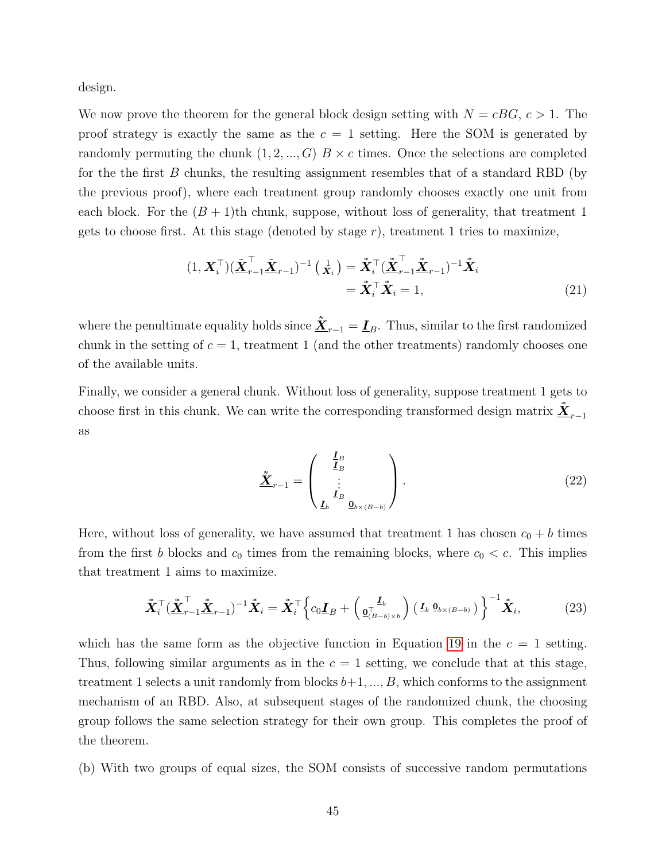design.

We now prove the theorem for the general block design setting with  $N = cBG$ ,  $c > 1$ . The proof strategy is exactly the same as the  $c = 1$  setting. Here the SOM is generated by randomly permuting the chunk  $(1, 2, ..., G)$   $B \times c$  times. Once the selections are completed for the the first  $B$  chunks, the resulting assignment resembles that of a standard RBD (by the previous proof), where each treatment group randomly chooses exactly one unit from each block. For the  $(B + 1)$ th chunk, suppose, without loss of generality, that treatment 1 gets to choose first. At this stage (denoted by stage  $r$ ), treatment 1 tries to maximize,

$$
(1, \boldsymbol{X}_i^{\top})(\tilde{\boldsymbol{X}}_{r-1}^{\top}\tilde{\boldsymbol{X}}_{r-1})^{-1} (\mathbf{x}_i) = \tilde{\boldsymbol{X}}_i^{\top}(\tilde{\boldsymbol{X}}_{r-1}^{\top}\tilde{\boldsymbol{X}}_{r-1})^{-1}\tilde{\boldsymbol{X}}_i
$$

$$
= \tilde{\boldsymbol{X}}_i^{\top}\tilde{\boldsymbol{X}}_i = 1,
$$
(21)

where the penultimate equality holds since  $\underline{\tilde{X}}_{r-1} = \underline{I}_B$ . Thus, similar to the first randomized chunk in the setting of  $c = 1$ , treatment 1 (and the other treatments) randomly chooses one of the available units.

Finally, we consider a general chunk. Without loss of generality, suppose treatment 1 gets to choose first in this chunk. We can write the corresponding transformed design matrix  $\underline{\tilde{X}}_{r-1}$ as

$$
\tilde{\underline{\mathbf{X}}}_{r-1} = \begin{pmatrix} \frac{\underline{I}_B}{\underline{I}_B} \\ \vdots \\ \frac{\underline{I}_b}{\underline{I}_b} \\ 0_{b \times (B-b)} \end{pmatrix} . \tag{22}
$$

Here, without loss of generality, we have assumed that treatment 1 has chosen  $c_0 + b$  times from the first b blocks and  $c_0$  times from the remaining blocks, where  $c_0 < c$ . This implies that treatment 1 aims to maximize.

$$
\tilde{\mathbf{X}}_i^{\top} (\tilde{\mathbf{X}}_{r-1}^{\top} \tilde{\mathbf{X}}_{r-1})^{-1} \tilde{\mathbf{X}}_i = \tilde{\mathbf{X}}_i^{\top} \left\{ c_0 \mathbf{I}_B + \left( \mathbf{I}_b^{\mathbf{I}_b} \right) \left( \mathbf{I}_b \, \mathbf{0}_{b \times (B-b)} \right) \right\}^{-1} \tilde{\mathbf{X}}_i, \tag{23}
$$

which has the same form as the objective function in Equation [19](#page-43-1) in the  $c = 1$  setting. Thus, following similar arguments as in the  $c = 1$  setting, we conclude that at this stage, treatment 1 selects a unit randomly from blocks  $b+1, ..., B$ , which conforms to the assignment mechanism of an RBD. Also, at subsequent stages of the randomized chunk, the choosing group follows the same selection strategy for their own group. This completes the proof of the theorem.

(b) With two groups of equal sizes, the SOM consists of successive random permutations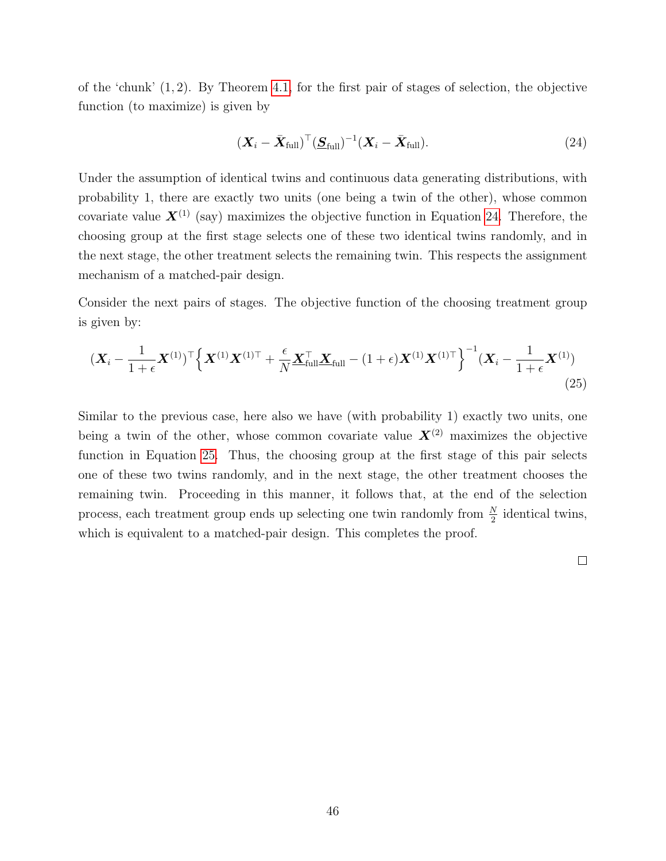of the 'chunk'  $(1, 2)$ . By Theorem [4.1,](#page-11-3) for the first pair of stages of selection, the objective function (to maximize) is given by

<span id="page-45-0"></span>
$$
(\boldsymbol{X}_i - \bar{\boldsymbol{X}}_{\text{full}})^{\top} (\underline{\boldsymbol{S}}_{\text{full}})^{-1} (\boldsymbol{X}_i - \bar{\boldsymbol{X}}_{\text{full}}). \tag{24}
$$

Under the assumption of identical twins and continuous data generating distributions, with probability 1, there are exactly two units (one being a twin of the other), whose common covariate value  $\mathbf{X}^{(1)}$  (say) maximizes the objective function in Equation [24.](#page-45-0) Therefore, the choosing group at the first stage selects one of these two identical twins randomly, and in the next stage, the other treatment selects the remaining twin. This respects the assignment mechanism of a matched-pair design.

Consider the next pairs of stages. The objective function of the choosing treatment group is given by:

$$
(\mathbf{X}_{i} - \frac{1}{1+\epsilon}\mathbf{X}^{(1)})^{\top} \Big\{ \mathbf{X}^{(1)}\mathbf{X}^{(1)\top} + \frac{\epsilon}{N} \mathbf{X}_{\text{full}}^{\top} \mathbf{X}_{\text{full}} - (1+\epsilon)\mathbf{X}^{(1)}\mathbf{X}^{(1)\top} \Big\}^{-1} (\mathbf{X}_{i} - \frac{1}{1+\epsilon}\mathbf{X}^{(1)}) \tag{25}
$$

Similar to the previous case, here also we have (with probability 1) exactly two units, one being a twin of the other, whose common covariate value  $\mathbf{X}^{(2)}$  maximizes the objective function in Equation [25.](#page-45-1) Thus, the choosing group at the first stage of this pair selects one of these two twins randomly, and in the next stage, the other treatment chooses the remaining twin. Proceeding in this manner, it follows that, at the end of the selection process, each treatment group ends up selecting one twin randomly from  $\frac{N}{2}$  identical twins, which is equivalent to a matched-pair design. This completes the proof.

<span id="page-45-1"></span> $\Box$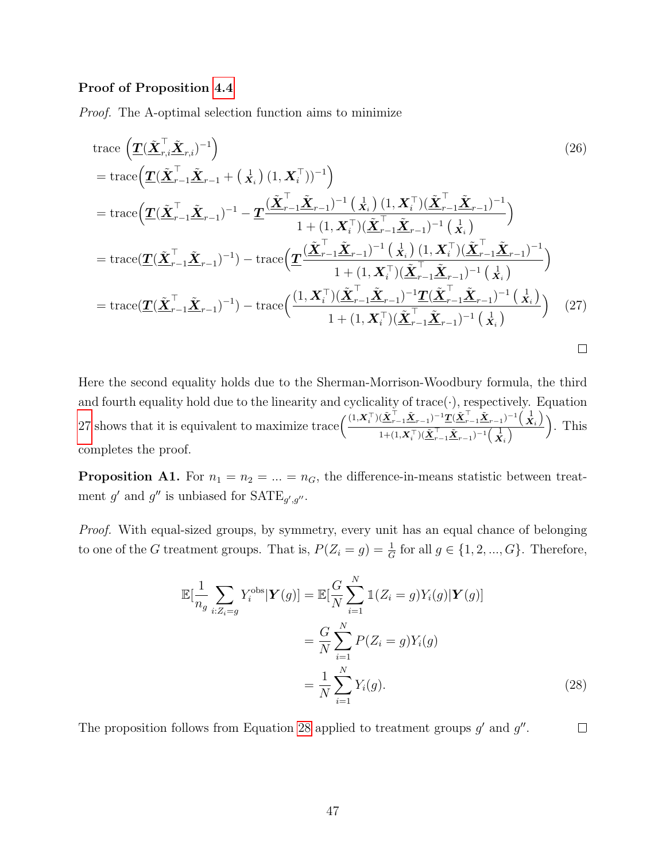#### Proof of Proposition [4.4](#page-15-2)

Proof. The A-optimal selection function aims to minimize

trace 
$$
\left(\underline{\mathbf{T}}(\tilde{\mathbf{X}}_{r,i}^{\top}\tilde{\mathbf{X}}_{r,i})^{-1}\right)
$$
 (26)  
\n
$$
= \text{trace}\left(\underline{\mathbf{T}}(\tilde{\mathbf{X}}_{r-1}^{\top}\tilde{\mathbf{X}}_{r-1} + (\mathbf{x}_i)(1, \mathbf{X}_i^{\top}))^{-1}\right)
$$
\n
$$
= \text{trace}\left(\underline{\mathbf{T}}(\tilde{\mathbf{X}}_{r-1}^{\top}\tilde{\mathbf{X}}_{r-1})^{-1} - \underline{\mathbf{T}}(\frac{(\tilde{\mathbf{X}}_{r-1}^{\top}\tilde{\mathbf{X}}_{r-1})^{-1}(\mathbf{x}_i)(1, \mathbf{X}_i^{\top})(\tilde{\mathbf{X}}_{r-1}^{\top}\tilde{\mathbf{X}}_{r-1})^{-1}}{1 + (1, \mathbf{X}_i^{\top})(\tilde{\mathbf{X}}_{r-1}^{\top}\tilde{\mathbf{X}}_{r-1})^{-1}(\mathbf{x}_i)}\right)
$$
\n
$$
= \text{trace}(\underline{\mathbf{T}}(\tilde{\mathbf{X}}_{r-1}^{\top}\tilde{\mathbf{X}}_{r-1})^{-1}) - \text{trace}\left(\underline{\mathbf{T}}(\frac{(\tilde{\mathbf{X}}_{r-1}^{\top}\tilde{\mathbf{X}}_{r-1})^{-1}(\mathbf{x}_i)(1, \mathbf{X}_i^{\top})(\tilde{\mathbf{X}}_{r-1}^{\top}\tilde{\mathbf{X}}_{r-1})^{-1}}{1 + (1, \mathbf{X}_i^{\top})(\tilde{\mathbf{X}}_{r-1}^{\top}\tilde{\mathbf{X}}_{r-1})^{-1}(\mathbf{x}_i)}\right)
$$
\n
$$
= \text{trace}(\underline{\mathbf{T}}(\tilde{\mathbf{X}}_{r-1}^{\top}\tilde{\mathbf{X}}_{r-1})^{-1}) - \text{trace}\left(\frac{(1, \mathbf{X}_i^{\top})(\tilde{\mathbf{X}}_{r-1}^{\top}\tilde{\mathbf{X}}_{r-1})^{-1}\underline{\mathbf{T}}(\tilde{\mathbf{X}}_{r-1}^{\top}\tilde{\mathbf{X}}_{r-1})^{-1}(\mathbf{x}_i)}{1 + (1, \mathbf{X}_i^{\top})(\tilde{\mathbf{X}}_{r-1}^{\top
$$

Here the second equality holds due to the Sherman-Morrison-Woodbury formula, the third and fourth equality hold due to the linearity and cyclicality of trace( $\cdot$ ), respectively. Equation [27](#page-46-1) shows that it is equivalent to maximize trace  $\left(\frac{(1,X_i^{\top})(\tilde{\mathbf{X}}_{r-1}^{\top}\tilde{\mathbf{X}}_{r-1})^{-1}\mathbf{T}(\tilde{\mathbf{X}}_{r-1}^{\top}\tilde{\mathbf{X}}_{r-1})^{-1}(\mathbf{X}_i)}{\mathbf{X}(\mathbf{X}_{r-1}^{\top}\tilde{\mathbf{X}}_{r-1})^{-1}(\mathbf{X}_{i})}\right)$  $\frac{(\mathbf{X}_{r-1}\mathbf{X}_{r-1})^{-1}\mathbf{T}(\mathbf{X}_{r-1}\mathbf{X}_{r-1})^{-1}(\mathbf{X}_i)}{1+(1,\mathbf{X}_i^\top)(\mathbf{X}_{r-1}^\top\mathbf{X}_{r-1})^{-1}(\mathbf{X}_i)}$ . This completes the proof.

<span id="page-46-0"></span>**Proposition A1.** For  $n_1 = n_2 = ... = n_G$ , the difference-in-means statistic between treatment g' and g'' is unbiased for  $\text{SATE}_{g',g''}.$ 

*Proof.* With equal-sized groups, by symmetry, every unit has an equal chance of belonging to one of the G treatment groups. That is,  $P(Z_i = g) = \frac{1}{G}$  for all  $g \in \{1, 2, ..., G\}$ . Therefore,

<span id="page-46-2"></span><span id="page-46-1"></span>
$$
\mathbb{E}[\frac{1}{n_g} \sum_{i:Z_i=g} Y_i^{\text{obs}} | \mathbf{Y}(g)] = \mathbb{E}[\frac{G}{N} \sum_{i=1}^N \mathbb{1}(Z_i = g) Y_i(g) | \mathbf{Y}(g)]
$$

$$
= \frac{G}{N} \sum_{i=1}^N P(Z_i = g) Y_i(g)
$$

$$
= \frac{1}{N} \sum_{i=1}^N Y_i(g).
$$
(28)

The proposition follows from Equation [28](#page-46-2) applied to treatment groups  $g'$  and  $g''$ .  $\Box$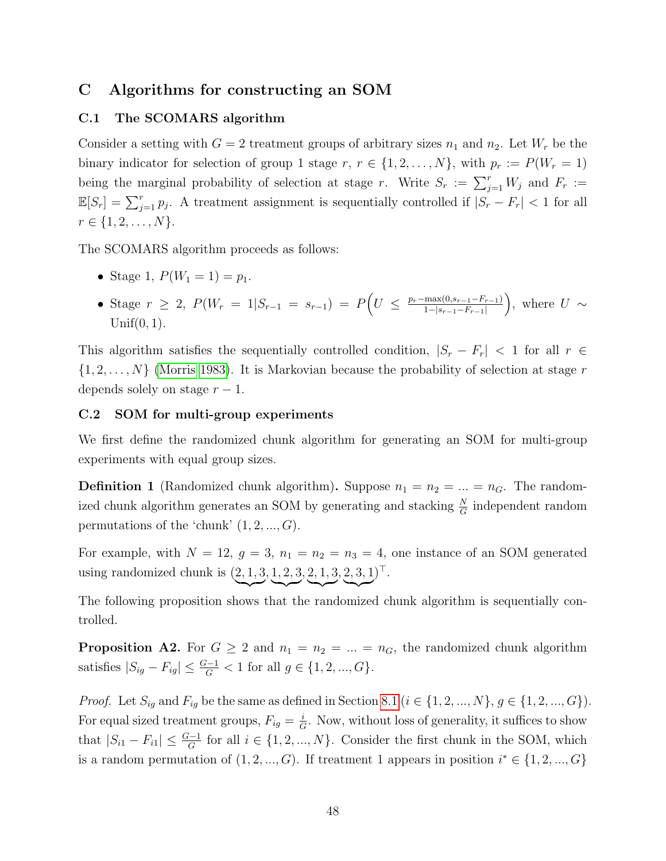### <span id="page-47-0"></span>C Algorithms for constructing an SOM

#### <span id="page-47-1"></span>C.1 The SCOMARS algorithm

Consider a setting with  $G = 2$  treatment groups of arbitrary sizes  $n_1$  and  $n_2$ . Let  $W_r$  be the binary indicator for selection of group 1 stage r,  $r \in \{1, 2, ..., N\}$ , with  $p_r := P(W_r = 1)$ being the marginal probability of selection at stage r. Write  $S_r := \sum_{j=1}^r W_j$  and  $F_r :=$  $\mathbb{E}[S_r] = \sum_{j=1}^r p_j$ . A treatment assignment is sequentially controlled if  $|S_r - F_r| < 1$  for all  $r \in \{1, 2, \ldots, N\}.$ 

The SCOMARS algorithm proceeds as follows:

- Stage 1,  $P(W_1 = 1) = p_1$ .
- Stage  $r \geq 2$ ,  $P(W_r = 1 | S_{r-1} = s_{r-1}) = P(U \leq \frac{p_r \max(0, s_{r-1} F_{r-1})}{1 |s_{r-1} F_{r-1}|})$  $1-|s_{r-1}-F_{r-1}|$ ), where  $U \sim$  $Unif(0, 1)$ .

This algorithm satisfies the sequentially controlled condition,  $|S_r - F_r|$  < 1 for all  $r \in$  $\{1, 2, \ldots, N\}$  [\(Morris 1983\)](#page-37-8). It is Markovian because the probability of selection at stage r depends solely on stage  $r - 1$ .

#### <span id="page-47-2"></span>C.2 SOM for multi-group experiments

We first define the randomized chunk algorithm for generating an SOM for multi-group experiments with equal group sizes.

<span id="page-47-3"></span>**Definition 1** (Randomized chunk algorithm). Suppose  $n_1 = n_2 = ... = n_G$ . The randomized chunk algorithm generates an SOM by generating and stacking  $\frac{N}{G}$  independent random permutations of the 'chunk'  $(1, 2, ..., G)$ .

For example, with  $N = 12$ ,  $g = 3$ ,  $n_1 = n_2 = n_3 = 4$ , one instance of an SOM generated using randomized chunk is  $(2, 1, 3)$  $\sim$ , 1, 2, 3  $\overline{\phantom{a}}$ , 2, 1, 3  $\overline{\phantom{a}}$ , 2, 3, 1  $\sim$  $)^{\top}.$ 

The following proposition shows that the randomized chunk algorithm is sequentially controlled.

<span id="page-47-4"></span>**Proposition A2.** For  $G \geq 2$  and  $n_1 = n_2 = ... = n_G$ , the randomized chunk algorithm satisfies  $|S_{ig} - F_{ig}| \leq \frac{G-1}{G} < 1$  for all  $g \in \{1, 2, ..., G\}$ .

*Proof.* Let  $S_{ig}$  and  $F_{ig}$  be the same as defined in Section [8.1](#page-31-1) ( $i \in \{1, 2, ..., N\}, g \in \{1, 2, ..., G\}$ ). For equal sized treatment groups,  $F_{ig} = \frac{i}{G}$  $\frac{i}{G}$ . Now, without loss of generality, it suffices to show that  $|S_{i1} - F_{i1}| \leq \frac{G-1}{G}$  for all  $i \in \{1, 2, ..., N\}$ . Consider the first chunk in the SOM, which is a random permutation of  $(1, 2, ..., G)$ . If treatment 1 appears in position  $i^* \in \{1, 2, ..., G\}$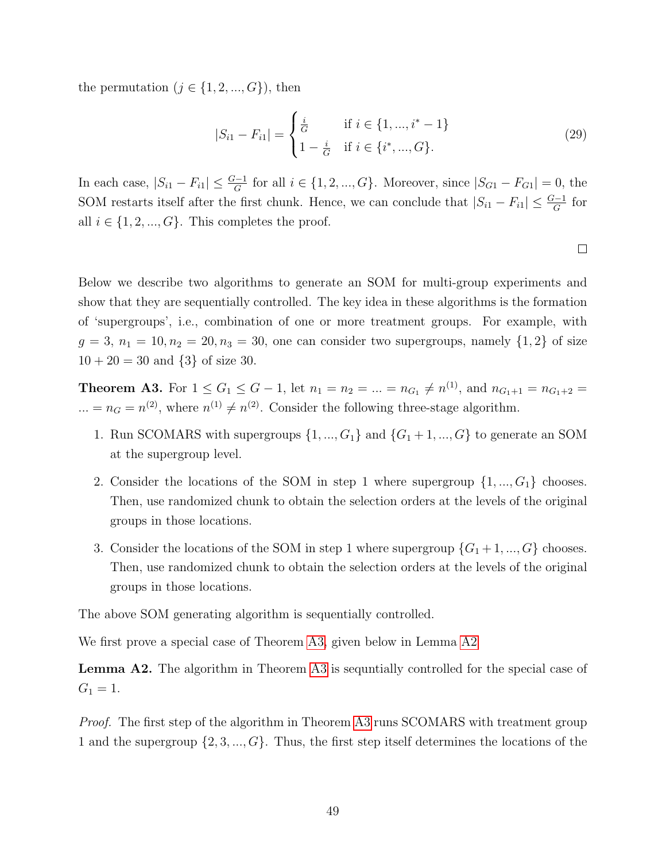the permutation  $(j \in \{1, 2, ..., G\})$ , then

$$
|S_{i1} - F_{i1}| = \begin{cases} \frac{i}{G} & \text{if } i \in \{1, ..., i^* - 1\} \\ 1 - \frac{i}{G} & \text{if } i \in \{i^*, ..., G\}. \end{cases}
$$
 (29)

In each case,  $|S_{i1} - F_{i1}| \leq \frac{G-1}{G}$  for all  $i \in \{1, 2, ..., G\}$ . Moreover, since  $|S_{G1} - F_{G1}| = 0$ , the SOM restarts itself after the first chunk. Hence, we can conclude that  $|S_{i1} - F_{i1}| \leq \frac{G-1}{G}$  for all  $i \in \{1, 2, ..., G\}$ . This completes the proof.

 $\Box$ 

Below we describe two algorithms to generate an SOM for multi-group experiments and show that they are sequentially controlled. The key idea in these algorithms is the formation of 'supergroups', i.e., combination of one or more treatment groups. For example, with  $g = 3, n_1 = 10, n_2 = 20, n_3 = 30$ , one can consider two supergroups, namely  $\{1, 2\}$  of size  $10 + 20 = 30$  and  $\{3\}$  of size 30.

<span id="page-48-0"></span>**Theorem A3.** For  $1 \le G_1 \le G - 1$ , let  $n_1 = n_2 = ... = n_{G_1} \neq n^{(1)}$ , and  $n_{G_1+1} = n_{G_1+2} =$ ... =  $n_G = n^{(2)}$ , where  $n^{(1)} \neq n^{(2)}$ . Consider the following three-stage algorithm.

- 1. Run SCOMARS with supergroups  $\{1, ..., G_1\}$  and  $\{G_1 + 1, ..., G\}$  to generate an SOM at the supergroup level.
- 2. Consider the locations of the SOM in step 1 where supergroup  $\{1, ..., G_1\}$  chooses. Then, use randomized chunk to obtain the selection orders at the levels of the original groups in those locations.
- 3. Consider the locations of the SOM in step 1 where supergroup  $\{G_1 + 1, ..., G\}$  chooses. Then, use randomized chunk to obtain the selection orders at the levels of the original groups in those locations.

The above SOM generating algorithm is sequentially controlled.

We first prove a special case of Theorem [A3,](#page-48-0) given below in Lemma [A2](#page-48-1)

<span id="page-48-1"></span>**Lemma A2.** The algorithm in Theorem [A3](#page-48-0) is sequntially controlled for the special case of  $G_1 = 1.$ 

Proof. The first step of the algorithm in Theorem [A3](#page-48-0) runs SCOMARS with treatment group 1 and the supergroup  $\{2, 3, ..., G\}$ . Thus, the first step itself determines the locations of the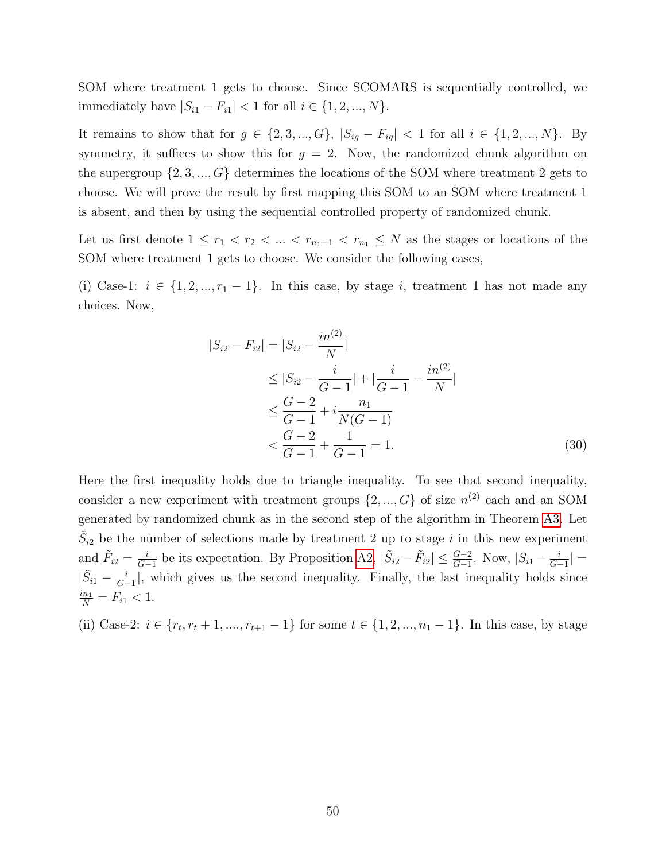SOM where treatment 1 gets to choose. Since SCOMARS is sequentially controlled, we immediately have  $|S_{i1} - F_{i1}|$  < 1 for all  $i \in \{1, 2, ..., N\}$ .

It remains to show that for  $g \in \{2, 3, ..., G\}$ ,  $|S_{ig} - F_{ig}| < 1$  for all  $i \in \{1, 2, ..., N\}$ . By symmetry, it suffices to show this for  $g = 2$ . Now, the randomized chunk algorithm on the supergroup  $\{2, 3, ..., G\}$  determines the locations of the SOM where treatment 2 gets to choose. We will prove the result by first mapping this SOM to an SOM where treatment 1 is absent, and then by using the sequential controlled property of randomized chunk.

Let us first denote  $1 \leq r_1 < r_2 < \ldots < r_{n_1-1} < r_{n_1} \leq N$  as the stages or locations of the SOM where treatment 1 gets to choose. We consider the following cases,

(i) Case-1:  $i \in \{1, 2, ..., r_1 - 1\}$ . In this case, by stage i, treatment 1 has not made any choices. Now,

$$
|S_{i2} - F_{i2}| = |S_{i2} - \frac{in^{(2)}}{N}|
$$
  
\n
$$
\leq |S_{i2} - \frac{i}{G-1}| + |\frac{i}{G-1} - \frac{in^{(2)}}{N}|
$$
  
\n
$$
\leq \frac{G-2}{G-1} + i\frac{n_1}{N(G-1)}
$$
  
\n
$$
< \frac{G-2}{G-1} + \frac{1}{G-1} = 1.
$$
 (30)

Here the first inequality holds due to triangle inequality. To see that second inequality, consider a new experiment with treatment groups  $\{2, ..., G\}$  of size  $n^{(2)}$  each and an SOM generated by randomized chunk as in the second step of the algorithm in Theorem [A3.](#page-48-0) Let  $\tilde{S}_{i2}$  be the number of selections made by treatment 2 up to stage i in this new experiment and  $\tilde{F}_{i2} = \frac{i}{G}$  $\frac{i}{G-1}$  be its expectation. By Proposition [A2,](#page-47-4)  $|\tilde{S}_{i2} - \tilde{F}_{i2}|$  ≤  $\frac{G-2}{G-1}$ . Now,  $|S_{i1} - \frac{i}{G-1}|$  $\frac{i}{G-1}|=$  $|\tilde{S}_{i1} - \frac{i}{G_i}|$  $\frac{i}{G-1}$ , which gives us the second inequality. Finally, the last inequality holds since  $\frac{i n_1}{N} = F_{i1} < 1.$ 

(ii) Case-2:  $i \in \{r_t, r_t + 1, \ldots, r_{t+1} - 1\}$  for some  $t \in \{1, 2, \ldots, n_1 - 1\}$ . In this case, by stage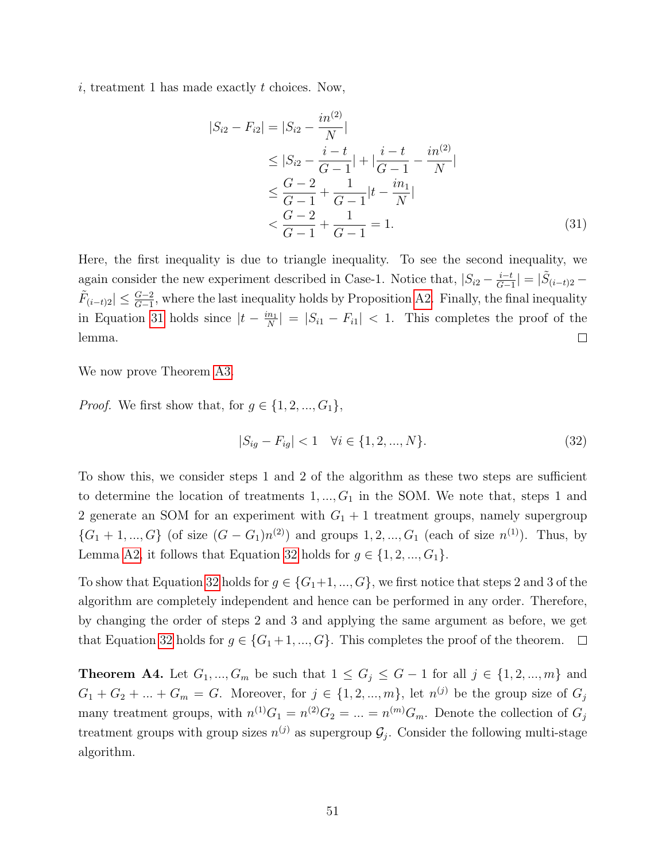i, treatment 1 has made exactly t choices. Now,

<span id="page-50-1"></span>
$$
|S_{i2} - F_{i2}| = |S_{i2} - \frac{in^{(2)}}{N}|
$$
  
\n
$$
\leq |S_{i2} - \frac{i - t}{G - 1}| + |\frac{i - t}{G - 1} - \frac{in^{(2)}}{N}|
$$
  
\n
$$
\leq \frac{G - 2}{G - 1} + \frac{1}{G - 1}|t - \frac{in_1}{N}|
$$
  
\n
$$
< \frac{G - 2}{G - 1} + \frac{1}{G - 1} = 1.
$$
 (31)

Here, the first inequality is due to triangle inequality. To see the second inequality, we  $\frac{i-t}{G-1}| = |\tilde{S}_{(i-t)2}$ again consider the new experiment described in Case-1. Notice that,  $|S_{i2} - \frac{i-t}{G-1}|$  $\tilde{F}_{(i-t)2} \leq \frac{G-2}{G-1}$ , where the last inequality holds by Proposition [A2.](#page-47-4) Finally, the final inequality in Equation [31](#page-50-1) holds since  $|t - \frac{in_1}{N}\rangle$  $\left| \frac{n_1}{N} \right| = |S_{i1} - F_{i1}| < 1.$  This completes the proof of the lemma.  $\Box$ 

We now prove Theorem [A3.](#page-48-0)

*Proof.* We first show that, for  $g \in \{1, 2, ..., G_1\}$ ,

<span id="page-50-2"></span>
$$
|S_{ig} - F_{ig}| < 1 \quad \forall i \in \{1, 2, ..., N\}.\tag{32}
$$

To show this, we consider steps 1 and 2 of the algorithm as these two steps are sufficient to determine the location of treatments  $1, ..., G_1$  in the SOM. We note that, steps 1 and 2 generate an SOM for an experiment with  $G_1 + 1$  treatment groups, namely supergroup  $\{G_1 + 1, ..., G\}$  (of size  $(G - G_1)n^{(2)}$ ) and groups 1, 2, ...,  $G_1$  (each of size  $n^{(1)}$ ). Thus, by Lemma [A2,](#page-48-1) it follows that Equation [32](#page-50-2) holds for  $g \in \{1, 2, ..., G_1\}$ .

To show that Equation [32](#page-50-2) holds for  $g \in \{G_1+1, ..., G\}$ , we first notice that steps 2 and 3 of the algorithm are completely independent and hence can be performed in any order. Therefore, by changing the order of steps 2 and 3 and applying the same argument as before, we get that Equation [32](#page-50-2) holds for  $g \in \{G_1 + 1, ..., G\}$ . This completes the proof of the theorem.  $\Box$ 

<span id="page-50-0"></span>**Theorem A4.** Let  $G_1, ..., G_m$  be such that  $1 \le G_j \le G - 1$  for all  $j \in \{1, 2, ..., m\}$  and  $G_1 + G_2 + \ldots + G_m = G$ . Moreover, for  $j \in \{1, 2, ..., m\}$ , let  $n^{(j)}$  be the group size of  $G_j$ many treatment groups, with  $n^{(1)}G_1 = n^{(2)}G_2 = ... = n^{(m)}G_m$ . Denote the collection of  $G_j$ treatment groups with group sizes  $n^{(j)}$  as supergroup  $\mathcal{G}_j$ . Consider the following multi-stage algorithm.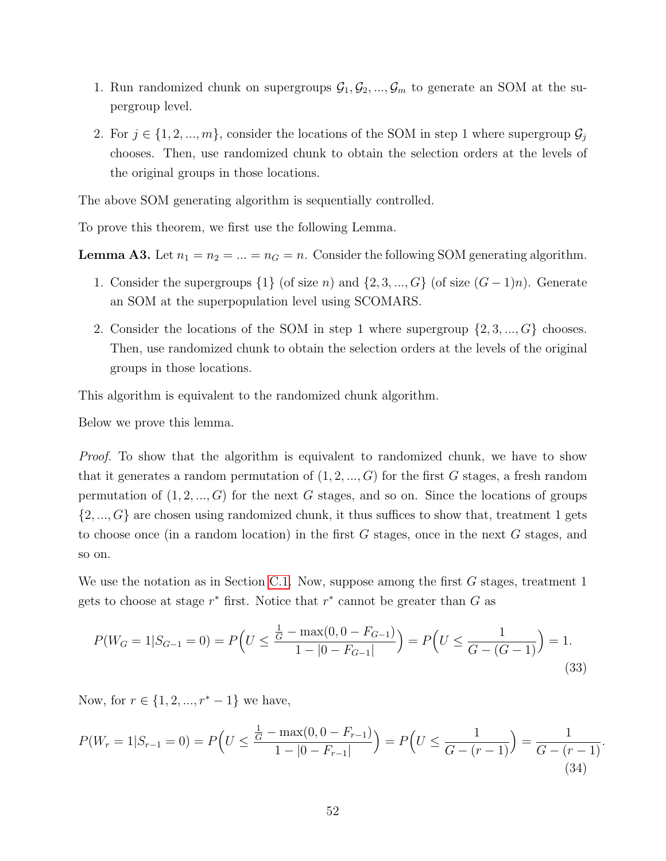- 1. Run randomized chunk on supergroups  $\mathcal{G}_1, \mathcal{G}_2, ..., \mathcal{G}_m$  to generate an SOM at the supergroup level.
- 2. For  $j \in \{1, 2, ..., m\}$ , consider the locations of the SOM in step 1 where supergroup  $\mathcal{G}_j$ chooses. Then, use randomized chunk to obtain the selection orders at the levels of the original groups in those locations.

The above SOM generating algorithm is sequentially controlled.

To prove this theorem, we first use the following Lemma.

**Lemma A3.** Let  $n_1 = n_2 = ... = n_G = n$ . Consider the following SOM generating algorithm.

- 1. Consider the supergroups  $\{1\}$  (of size n) and  $\{2, 3, ..., G\}$  (of size  $(G-1)n$ ). Generate an SOM at the superpopulation level using SCOMARS.
- <span id="page-51-1"></span>2. Consider the locations of the SOM in step 1 where supergroup  $\{2, 3, ..., G\}$  chooses. Then, use randomized chunk to obtain the selection orders at the levels of the original groups in those locations.

This algorithm is equivalent to the randomized chunk algorithm.

Below we prove this lemma.

Proof. To show that the algorithm is equivalent to randomized chunk, we have to show that it generates a random permutation of  $(1, 2, ..., G)$  for the first G stages, a fresh random permutation of  $(1, 2, ..., G)$  for the next G stages, and so on. Since the locations of groups  $\{2, ..., G\}$  are chosen using randomized chunk, it thus suffices to show that, treatment 1 gets to choose once (in a random location) in the first G stages, once in the next G stages, and so on.

We use the notation as in Section [C.1.](#page-47-1) Now, suppose among the first  $G$  stages, treatment 1 gets to choose at stage  $r^*$  first. Notice that  $r^*$  cannot be greater than  $G$  as

$$
P(W_G = 1|S_{G-1} = 0) = P\left(U \le \frac{\frac{1}{G} - \max(0, 0 - F_{G-1})}{1 - |0 - F_{G-1}|}\right) = P\left(U \le \frac{1}{G - (G-1)}\right) = 1.
$$
\n(33)

Now, for  $r \in \{1, 2, ..., r^* - 1\}$  we have,

<span id="page-51-0"></span>
$$
P(W_r = 1 | S_{r-1} = 0) = P\left(U \le \frac{\frac{1}{G} - \max(0, 0 - F_{r-1})}{1 - |0 - F_{r-1}|}\right) = P\left(U \le \frac{1}{G - (r-1)}\right) = \frac{1}{G - (r-1)}.
$$
\n(34)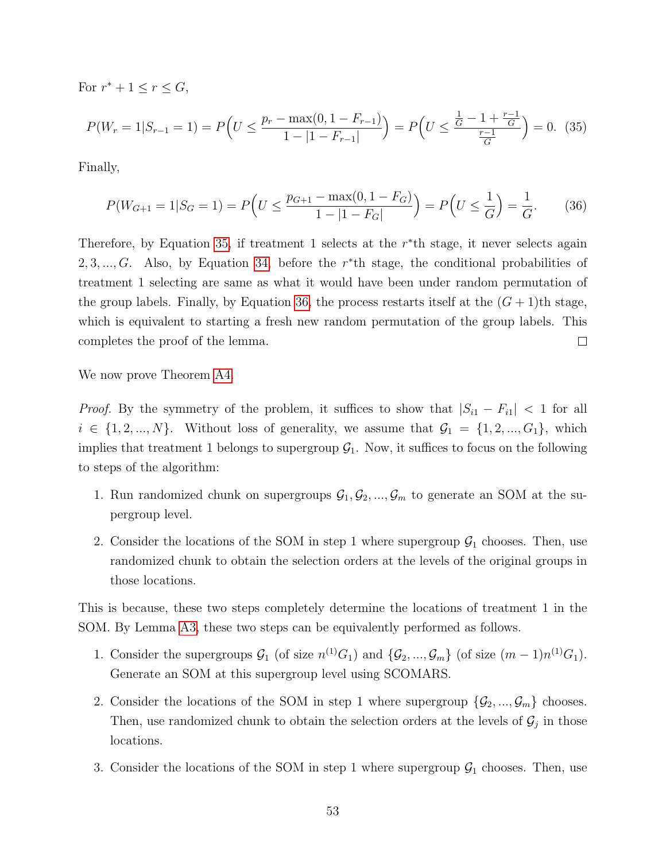For  $r^* + 1 \leq r \leq G$ ,

$$
P(W_r = 1 | S_{r-1} = 1) = P\left(U \le \frac{p_r - \max(0, 1 - F_{r-1})}{1 - |1 - F_{r-1}|}\right) = P\left(U \le \frac{\frac{1}{G} - 1 + \frac{r-1}{G}}{\frac{r-1}{G}}\right) = 0. \tag{35}
$$

Finally,

<span id="page-52-1"></span><span id="page-52-0"></span>
$$
P(W_{G+1} = 1 | S_G = 1) = P\left(U \le \frac{p_{G+1} - \max(0, 1 - F_G)}{1 - |1 - F_G|}\right) = P\left(U \le \frac{1}{G}\right) = \frac{1}{G}.\tag{36}
$$

Therefore, by Equation [35,](#page-52-0) if treatment 1 selects at the  $r^*$ th stage, it never selects again 2, 3, ..., G. Also, by Equation [34,](#page-51-0) before the  $r^*$ th stage, the conditional probabilities of treatment 1 selecting are same as what it would have been under random permutation of the group labels. Finally, by Equation [36,](#page-52-1) the process restarts itself at the  $(G + 1)$ th stage, which is equivalent to starting a fresh new random permutation of the group labels. This completes the proof of the lemma.  $\Box$ 

We now prove Theorem [A4.](#page-50-0)

*Proof.* By the symmetry of the problem, it suffices to show that  $|S_{i1} - F_{i1}| < 1$  for all  $i \in \{1, 2, ..., N\}$ . Without loss of generality, we assume that  $\mathcal{G}_1 = \{1, 2, ..., G_1\}$ , which implies that treatment 1 belongs to supergroup  $G_1$ . Now, it suffices to focus on the following to steps of the algorithm:

- 1. Run randomized chunk on supergroups  $\mathcal{G}_1, \mathcal{G}_2, ..., \mathcal{G}_m$  to generate an SOM at the supergroup level.
- 2. Consider the locations of the SOM in step 1 where supergroup  $\mathcal{G}_1$  chooses. Then, use randomized chunk to obtain the selection orders at the levels of the original groups in those locations.

This is because, these two steps completely determine the locations of treatment 1 in the SOM. By Lemma [A3,](#page-51-1) these two steps can be equivalently performed as follows.

- 1. Consider the supergroups  $\mathcal{G}_1$  (of size  $n^{(1)}G_1$ ) and  $\{\mathcal{G}_2, ..., \mathcal{G}_m\}$  (of size  $(m-1)n^{(1)}G_1$ ). Generate an SOM at this supergroup level using SCOMARS.
- 2. Consider the locations of the SOM in step 1 where supergroup  $\{\mathcal{G}_2, ..., \mathcal{G}_m\}$  chooses. Then, use randomized chunk to obtain the selection orders at the levels of  $\mathcal{G}_j$  in those locations.
- 3. Consider the locations of the SOM in step 1 where supergroup  $\mathcal{G}_1$  chooses. Then, use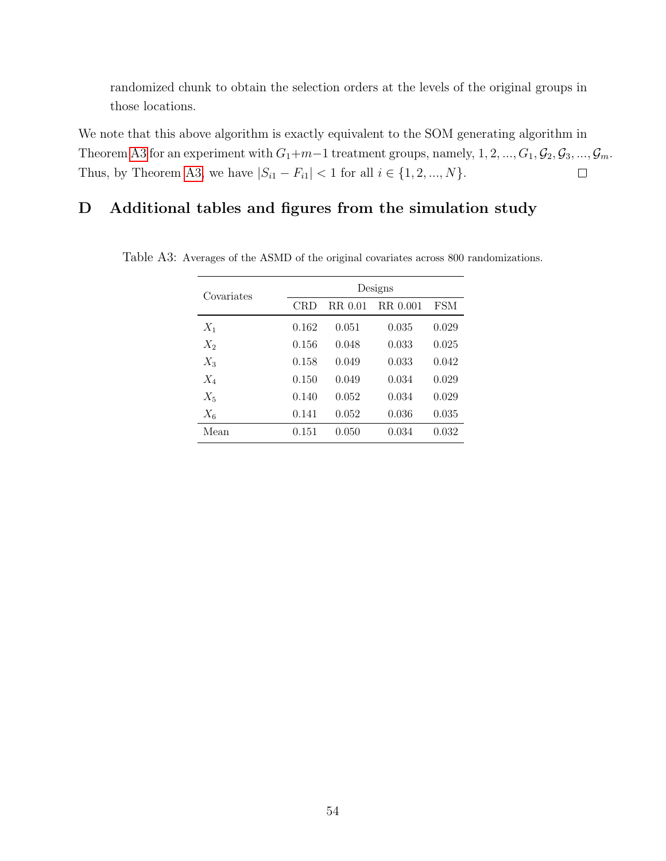randomized chunk to obtain the selection orders at the levels of the original groups in those locations.

We note that this above algorithm is exactly equivalent to the SOM generating algorithm in Theorem [A3](#page-48-0) for an experiment with  $G_1+m-1$  treatment groups, namely,  $1, 2, ..., G_1, \mathcal{G}_2, \mathcal{G}_3, ..., \mathcal{G}_m$ . Thus, by Theorem [A3,](#page-48-0) we have  $|S_{i1} - F_{i1}| < 1$  for all  $i \in \{1, 2, ..., N\}$ .  $\Box$ 

## <span id="page-53-0"></span>D Additional tables and figures from the simulation study

| Covariates | Designs |         |            |            |  |  |  |
|------------|---------|---------|------------|------------|--|--|--|
|            | CRD     | RR 0.01 | R.R. 0.001 | <b>FSM</b> |  |  |  |
| $X_1$      | 0.162   | 0.051   | 0.035      | 0.029      |  |  |  |
| $X_2$      | 0.156   | 0.048   | 0.033      | 0.025      |  |  |  |
| $X_3$      | 0.158   | 0.049   | 0.033      | 0.042      |  |  |  |
| $X_4$      | 0.150   | 0.049   | 0.034      | 0.029      |  |  |  |
| $X_5$      | 0.140   | 0.052   | 0.034      | 0.029      |  |  |  |
| $X_6$      | 0.141   | 0.052   | 0.036      | 0.035      |  |  |  |
| Mean       | 0.151   | 0.050   | 0.034      | 0.032      |  |  |  |

<span id="page-53-1"></span>Table A3: Averages of the ASMD of the original covariates across 800 randomizations.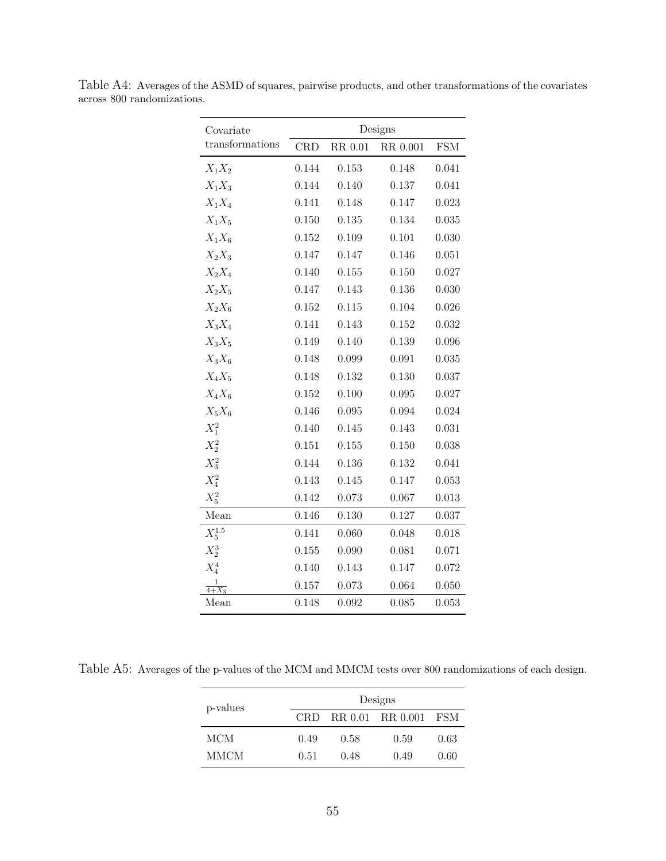| Covariate         |       |         | Designs  |            |
|-------------------|-------|---------|----------|------------|
| transformations   | CRD   | RR 0.01 | RR 0.001 | <b>FSM</b> |
| $X_1X_2$          | 0.144 | 0.153   | 0.148    | 0.041      |
| $X_1X_3$          | 0.144 | 0.140   | 0.137    | 0.041      |
| $X_1X_4$          | 0.141 | 0.148   | 0.147    | 0.023      |
| $X_1X_5$          | 0.150 | 0.135   | 0.134    | 0.035      |
| $X_1X_6$          | 0.152 | 0.109   | 0.101    | 0.030      |
| $X_2X_3$          | 0.147 | 0.147   | 0.146    | 0.051      |
| $X_2X_4$          | 0.140 | 0.155   | 0.150    | 0.027      |
| $X_2X_5$          | 0.147 | 0.143   | 0.136    | 0.030      |
| $X_2X_6$          | 0.152 | 0.115   | 0.104    | 0.026      |
| $X_3X_4$          | 0.141 | 0.143   | 0.152    | 0.032      |
| $X_3X_5$          | 0.149 | 0.140   | 0.139    | 0.096      |
| $X_3X_6$          | 0.148 | 0.099   | 0.091    | 0.035      |
| $X_4X_5$          | 0.148 | 0.132   | 0.130    | 0.037      |
| $X_4X_6$          | 0.152 | 0.100   | 0.095    | 0.027      |
| $X_5X_6$          | 0.146 | 0.095   | 0.094    | 0.024      |
| $X_1^2$           | 0.140 | 0.145   | 0.143    | 0.031      |
| $X_2^2$           | 0.151 | 0.155   | 0.150    | 0.038      |
| $X_3^2$           | 0.144 | 0.136   | 0.132    | 0.041      |
| $X_4^2$           | 0.143 | 0.145   | 0.147    | 0.053      |
| $X_5^2$           | 0.142 | 0.073   | 0.067    | 0.013      |
| Mean              | 0.146 | 0.130   | 0.127    | 0.037      |
| $X_5^{1.5}$       | 0.141 | 0.060   | 0.048    | 0.018      |
| $X_2^3$           | 0.155 | 0.090   | 0.081    | 0.071      |
| $X_4^4$           | 0.140 | 0.143   | 0.147    | 0.072      |
| $\frac{1}{4+X_3}$ | 0.157 | 0.073   | 0.064    | 0.050      |
| Mean              | 0.148 | 0.092   | 0.085    | 0.053      |

<span id="page-54-0"></span>Table A4: Averages of the ASMD of squares, pairwise products, and other transformations of the covariates across 800 randomizations.

<span id="page-54-1"></span>Table A5: Averages of the p-values of the MCM and MMCM tests over 800 randomizations of each design.

| p-values |        |      | Designs          |       |
|----------|--------|------|------------------|-------|
|          | CRD.   |      | RR 0.01 RR 0.001 | – FSM |
| MCM      | 0.49   | 0.58 | 0.59             | 0.63  |
| MMCM     | (0.51) | 0.48 | 0.49             | 0.60  |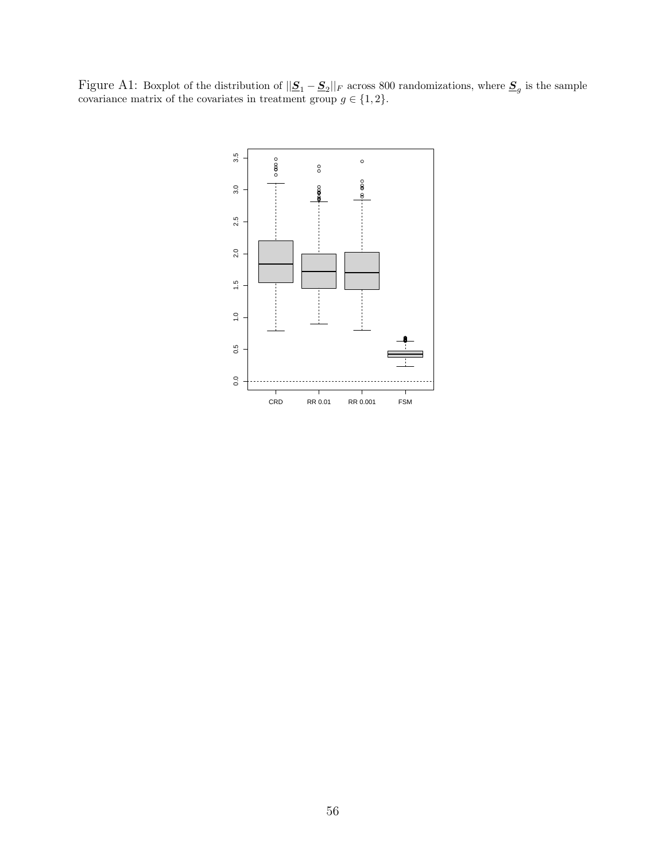Figure A1: Boxplot of the distribution of  $||\mathbf{S}_1 - \mathbf{S}_2||_F$  across 800 randomizations, where  $\mathbf{S}_g$  is the sample covariance matrix of the covariates in treatment group  $g \in \{1, 2\}.$ 

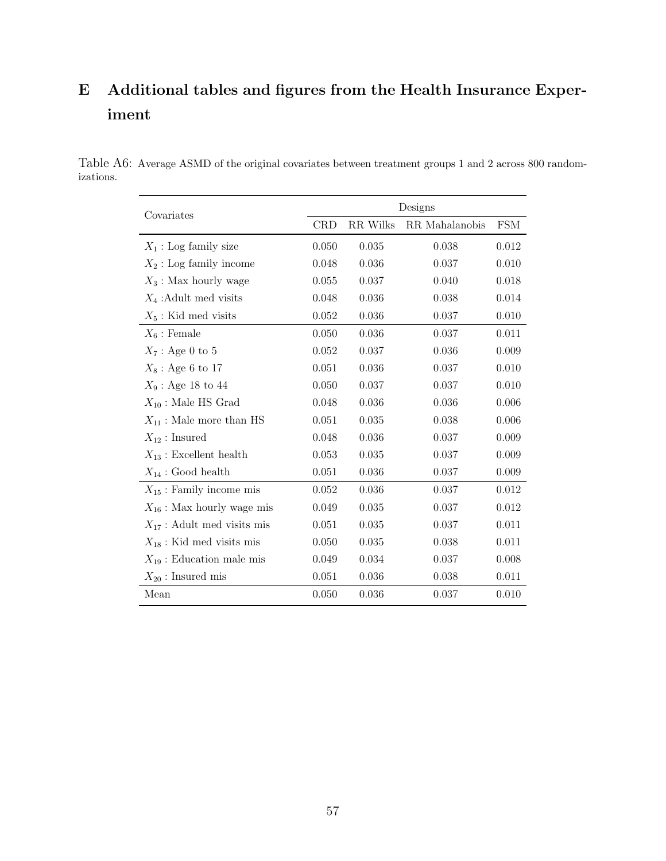## <span id="page-56-0"></span>E Additional tables and figures from the Health Insurance Experiment

<span id="page-56-1"></span>Table A6: Average ASMD of the original covariates between treatment groups 1 and 2 across 800 randomizations.

| Covariates                      | Designs    |          |                |            |  |
|---------------------------------|------------|----------|----------------|------------|--|
|                                 | <b>CRD</b> | RR Wilks | RR Mahalanobis | <b>FSM</b> |  |
| $X_1$ : Log family size         | 0.050      | 0.035    | 0.038          | 0.012      |  |
| $X_2$ : Log family income       | 0.048      | 0.036    | 0.037          | 0.010      |  |
| $X_3$ : Max hourly wage         | 0.055      | 0.037    | 0.040          | 0.018      |  |
| $X_4$ : Adult med visits        | 0.048      | 0.036    | 0.038          | 0.014      |  |
| $X_5$ : Kid med visits          | 0.052      | 0.036    | 0.037          | 0.010      |  |
| $X_6$ : Female                  | 0.050      | 0.036    | 0.037          | 0.011      |  |
| $X_7$ : Age 0 to 5              | 0.052      | 0.037    | 0.036          | 0.009      |  |
| $X_8$ : Age 6 to 17             | 0.051      | 0.036    | 0.037          | 0.010      |  |
| $X_9$ : Age 18 to 44            | 0.050      | 0.037    | 0.037          | 0.010      |  |
| $X_{10}$ : Male HS Grad         | 0.048      | 0.036    | 0.036          | 0.006      |  |
| $X_{11}$ : Male more than HS    | 0.051      | 0.035    | 0.038          | 0.006      |  |
| $X_{12}:$ Insured               | 0.048      | 0.036    | 0.037          | 0.009      |  |
| $X_{13}$ : Excellent health     | $0.053\,$  | 0.035    | 0.037          | 0.009      |  |
| $X_{14}$ : Good health          | 0.051      | 0.036    | 0.037          | 0.009      |  |
| $X_{15}$ : Family income mis    | 0.052      | 0.036    | 0.037          | 0.012      |  |
| $X_{16}$ : Max hourly wage mis  | 0.049      | 0.035    | 0.037          | 0.012      |  |
| $X_{17}$ : Adult med visits mis | 0.051      | 0.035    | 0.037          | 0.011      |  |
| $X_{18}$ : Kid med visits mis   | 0.050      | 0.035    | 0.038          | 0.011      |  |
| $X_{19}$ : Education male mis   | 0.049      | 0.034    | 0.037          | 0.008      |  |
| $X_{20}$ : Insured mis          | 0.051      | 0.036    | 0.038          | 0.011      |  |
| Mean                            | 0.050      | 0.036    | 0.037          | 0.010      |  |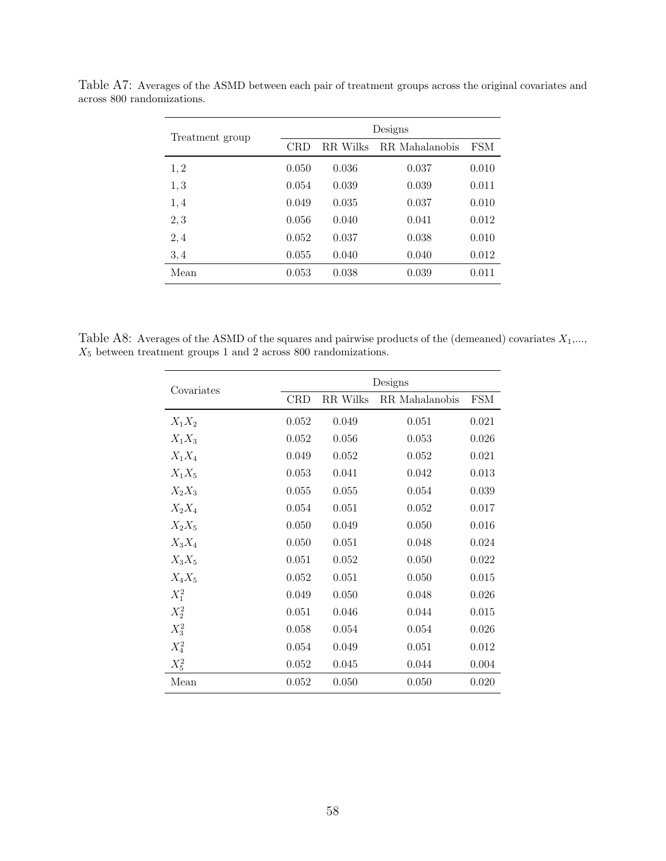| Treatment group | Designs    |          |                |       |  |
|-----------------|------------|----------|----------------|-------|--|
|                 | <b>CRD</b> | RR Wilks | RR Mahalanobis | FSM   |  |
| 1, 2            | 0.050      | 0.036    | 0.037          | 0.010 |  |
| 1, 3            | 0.054      | 0.039    | 0.039          | 0.011 |  |
| 1,4             | 0.049      | 0.035    | 0.037          | 0.010 |  |
| 2, 3            | 0.056      | 0.040    | 0.041          | 0.012 |  |
| 2,4             | 0.052      | 0.037    | 0.038          | 0.010 |  |
| 3, 4            | 0.055      | 0.040    | 0.040          | 0.012 |  |
| Mean            | 0.053      | 0.038    | 0.039          | 0.011 |  |

Table A7: Averages of the ASMD between each pair of treatment groups across the original covariates and across 800 randomizations.

Table A8: Averages of the ASMD of the squares and pairwise products of the (demeaned) covariates  $X_1, \ldots$ ,  $X_5$  between treatment groups 1 and 2 across 800 randomizations.

| Covariates | Designs    |          |                |            |  |
|------------|------------|----------|----------------|------------|--|
|            | <b>CRD</b> | RR Wilks | RR Mahalanobis | <b>FSM</b> |  |
| $X_1X_2$   | 0.052      | 0.049    | 0.051          | 0.021      |  |
| $X_1X_3$   | 0.052      | 0.056    | 0.053          | 0.026      |  |
| $X_1X_4$   | 0.049      | 0.052    | 0.052          | 0.021      |  |
| $X_1X_5$   | 0.053      | 0.041    | 0.042          | 0.013      |  |
| $X_2X_3$   | 0.055      | 0.055    | 0.054          | 0.039      |  |
| $X_2X_4$   | 0.054      | 0.051    | 0.052          | 0.017      |  |
| $X_2X_5$   | 0.050      | 0.049    | 0.050          | 0.016      |  |
| $X_3X_4$   | 0.050      | 0.051    | 0.048          | 0.024      |  |
| $X_3X_5$   | 0.051      | 0.052    | 0.050          | 0.022      |  |
| $X_4X_5$   | 0.052      | 0.051    | 0.050          | 0.015      |  |
| $X_1^2$    | 0.049      | 0.050    | 0.048          | 0.026      |  |
| $X_2^2$    | 0.051      | 0.046    | 0.044          | 0.015      |  |
| $X_3^2$    | 0.058      | 0.054    | 0.054          | 0.026      |  |
| $X_4^2$    | 0.054      | 0.049    | 0.051          | 0.012      |  |
| $X_5^2$    | 0.052      | 0.045    | 0.044          | 0.004      |  |
| Mean       | 0.052      | 0.050    | 0.050          | 0.020      |  |